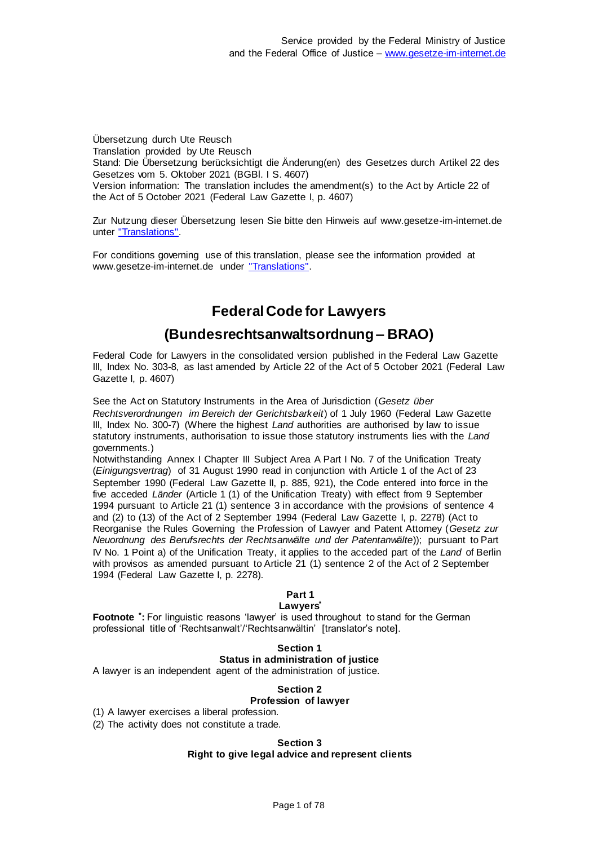Übersetzung durch Ute Reusch Translation provided by Ute Reusch Stand: Die Übersetzung berücksichtigt die Änderung(en) des Gesetzes durch Artikel 22 des Gesetzes vom 5. Oktober 2021 (BGBl. I S. 4607) Version information: The translation includes the amendment(s) to the Act by Article 22 of the Act of 5 October 2021 (Federal Law Gazette I, p. 4607)

Zur Nutzung dieser Übersetzung lesen Sie bitte den Hinweis auf www.gesetze-im-internet.de unter ["Translations".](https://www.gesetze-im-internet.de/Teilliste_translations.html)

For conditions governing use of this translation, please see the information provided at www.gesetze-im-internet.de under ["Translations".](https://www.gesetze-im-internet.de/Teilliste_translations.html)

## **Federal Code for Lawyers**

## **(Bundesrechtsanwaltsordnung – BRAO)**

Federal Code for Lawyers in the consolidated version published in the Federal Law Gazette III, Index No. 303-8, as last amended by Article 22 of the Act of 5 October 2021 (Federal Law Gazette I, p. 4607)

See the Act on Statutory Instruments in the Area of Jurisdiction (*Gesetz über Rechtsverordnungen im Bereich der Gerichtsbarkeit*) of 1 July 1960 (Federal Law Gazette III, Index No. 300-7) (Where the highest *Land* authorities are authorised by law to issue statutory instruments, authorisation to issue those statutory instruments lies with the *Land* governments.)

Notwithstanding Annex I Chapter III Subject Area A Part I No. 7 of the Unification Treaty (*Einigungsvertrag*) of 31 August 1990 read in conjunction with Article 1 of the Act of 23 September 1990 (Federal Law Gazette II, p. 885, 921), the Code entered into force in the five acceded *Länder* (Article 1 (1) of the Unification Treaty) with effect from 9 September 1994 pursuant to Article 21 (1) sentence 3 in accordance with the provisions of sentence 4 and (2) to (13) of the Act of 2 September 1994 (Federal Law Gazette I, p. 2278) (Act to Reorganise the Rules Governing the Profession of Lawyer and Patent Attorney (*Gesetz zur Neuordnung des Berufsrechts der Rechtsanwälte und der Patentanwälte*)); pursuant to Part IV No. 1 Point a) of the Unification Treaty, it applies to the acceded part of the *Land* of Berlin with provisos as amended pursuant to Article 21 (1) sentence 2 of the Act of 2 September 1994 (Federal Law Gazette I, p. 2278).

#### **Part 1**

#### **Lawyers\***

**Footnote \* :** For linguistic reasons 'lawyer' is used throughout to stand for the German professional title of 'Rechtsanwalt'/'Rechtsanwältin' [translator's note].

## **Section 1 Status in administration of justice**

A lawyer is an independent agent of the administration of justice.

## **Section 2**

## **Profession of lawyer**

(1) A lawyer exercises a liberal profession.

(2) The activity does not constitute a trade.

#### **Section 3 Right to give legal advice and represent clients**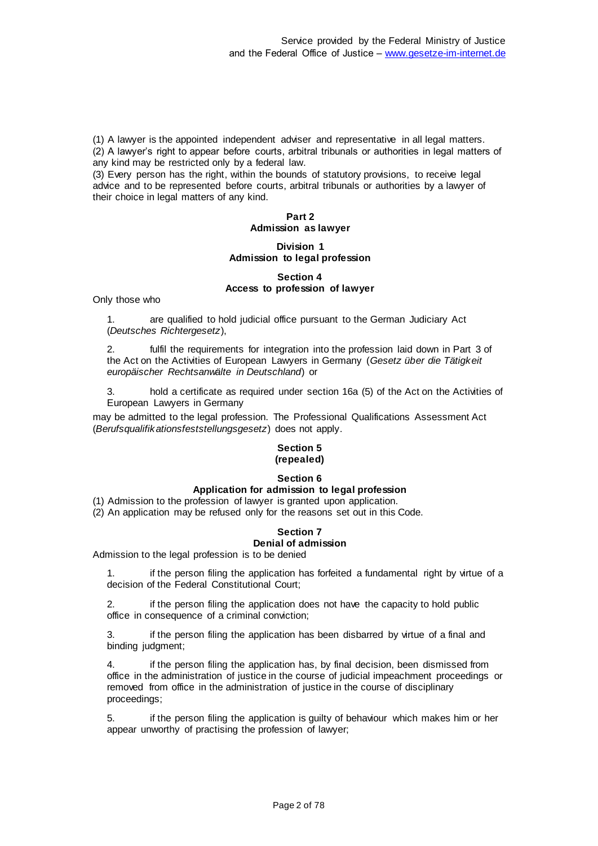(1) A lawyer is the appointed independent adviser and representative in all legal matters. (2) A lawyer's right to appear before courts, arbitral tribunals or authorities in legal matters of any kind may be restricted only by a federal law.

(3) Every person has the right, within the bounds of statutory provisions, to receive legal advice and to be represented before courts, arbitral tribunals or authorities by a lawyer of their choice in legal matters of any kind.

#### **Part 2 Admission as lawyer**

## **Division 1 Admission to legal profession**

### **Section 4 Access to profession of lawyer**

Only those who

are qualified to hold judicial office pursuant to the German Judiciary Act (*Deutsches Richtergesetz*),

fulfil the requirements for integration into the profession laid down in Part 3 of the Act on the Activities of European Lawyers in Germany (*Gesetz über die Tätigkeit europäischer Rechtsanwälte in Deutschland*) or

3. hold a certificate as required under section 16a (5) of the Act on the Activities of European Lawyers in Germany

may be admitted to the legal profession. The Professional Qualifications Assessment Act (*Berufsqualifikationsfeststellungsgesetz*) does not apply.

## **Section 5**

## **(repealed)**

#### **Section 6 Application for admission to legal profession**

### (1) Admission to the profession of lawyer is granted upon application.

(2) An application may be refused only for the reasons set out in this Code.

## **Section 7**

### **Denial of admission**

Admission to the legal profession is to be denied

1. if the person filing the application has forfeited a fundamental right by virtue of a decision of the Federal Constitutional Court;

2. if the person filing the application does not have the capacity to hold public office in consequence of a criminal conviction;

3. if the person filing the application has been disbarred by virtue of a final and binding judgment;

if the person filing the application has, by final decision, been dismissed from office in the administration of justice in the course of judicial impeachment proceedings or removed from office in the administration of justice in the course of disciplinary proceedings;

5. if the person filing the application is guilty of behaviour which makes him or her appear unworthy of practising the profession of lawyer;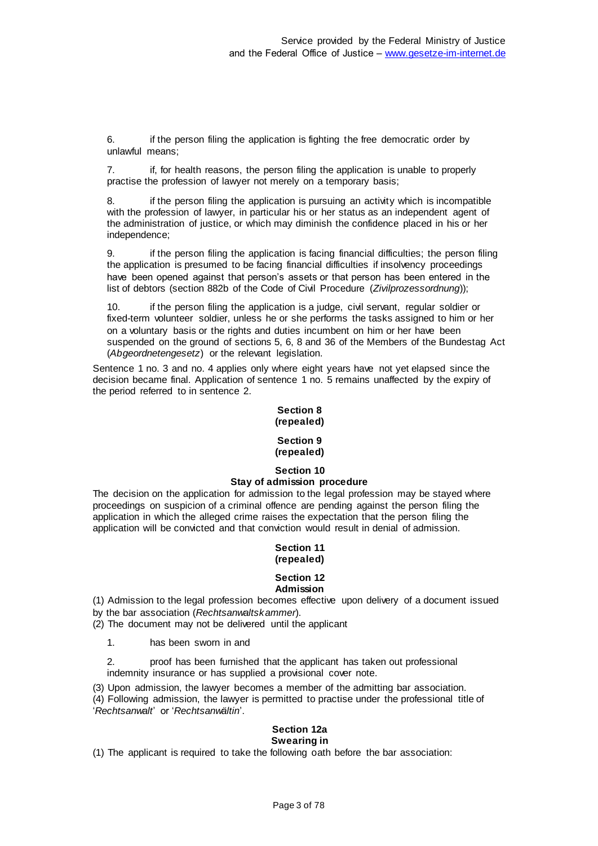6. if the person filing the application is fighting the free democratic order by unlawful means;

7. if, for health reasons, the person filing the application is unable to properly practise the profession of lawyer not merely on a temporary basis;

8. if the person filing the application is pursuing an activity which is incompatible with the profession of lawyer, in particular his or her status as an independent agent of the administration of justice, or which may diminish the confidence placed in his or her independence;

9. if the person filing the application is facing financial difficulties; the person filing the application is presumed to be facing financial difficulties if insolvency proceedings have been opened against that person's assets or that person has been entered in the list of debtors (section 882b of the Code of Civil Procedure (*Zivilprozessordnung*));

10. if the person filing the application is a judge, civil servant, regular soldier or fixed-term volunteer soldier, unless he or she performs the tasks assigned to him or her on a voluntary basis or the rights and duties incumbent on him or her have been suspended on the ground of sections 5, 6, 8 and 36 of the Members of the Bundestag Act (*Abgeordnetengesetz*) or the relevant legislation.

Sentence 1 no. 3 and no. 4 applies only where eight years have not yet elapsed since the decision became final. Application of sentence 1 no. 5 remains unaffected by the expiry of the period referred to in sentence 2.

## **Section 8 (repealed)**

#### **Section 9 (repealed)**

#### **Section 10 Stay of admission procedure**

The decision on the application for admission to the legal profession may be stayed where proceedings on suspicion of a criminal offence are pending against the person filing the application in which the alleged crime raises the expectation that the person filing the application will be convicted and that conviction would result in denial of admission.

### **Section 11 (repealed)**

#### **Section 12 Admission**

(1) Admission to the legal profession becomes effective upon delivery of a document issued by the bar association (*Rechtsanwaltskammer*).

(2) The document may not be delivered until the applicant

1. has been sworn in and

2. proof has been furnished that the applicant has taken out professional indemnity insurance or has supplied a provisional cover note.

(3) Upon admission, the lawyer becomes a member of the admitting bar association.

(4) Following admission, the lawyer is permitted to practise under the professional title of '*Rechtsanwalt*' or '*Rechtsanwältin*'.

#### **Section 12a Swearing in**

(1) The applicant is required to take the following oath before the bar association: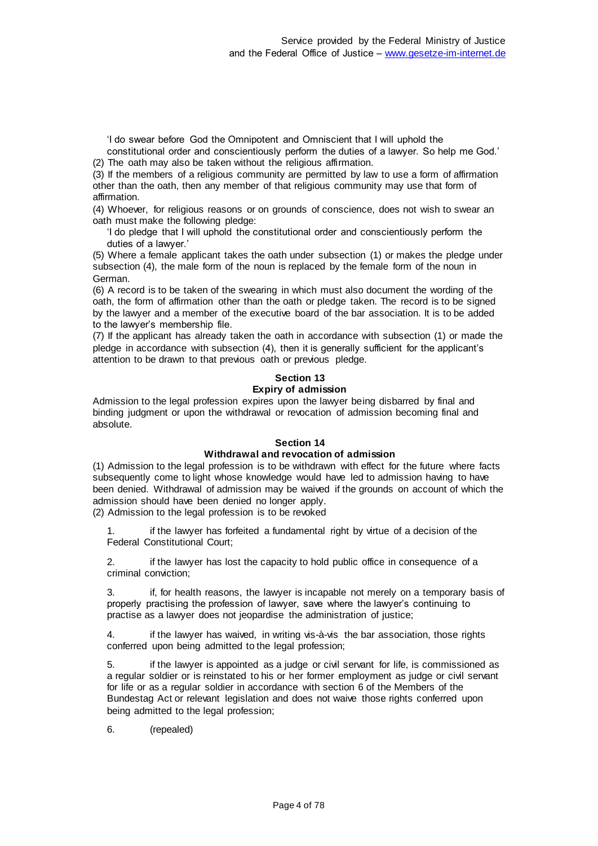'I do swear before God the Omnipotent and Omniscient that I will uphold the

constitutional order and conscientiously perform the duties of a lawyer. So help me God.' (2) The oath may also be taken without the religious affirmation.

(3) If the members of a religious community are permitted by law to use a form of affirmation other than the oath, then any member of that religious community may use that form of affirmation.

(4) Whoever, for religious reasons or on grounds of conscience, does not wish to swear an oath must make the following pledge:

'I do pledge that I will uphold the constitutional order and conscientiously perform the duties of a lawyer.'

(5) Where a female applicant takes the oath under subsection (1) or makes the pledge under subsection (4), the male form of the noun is replaced by the female form of the noun in German.

(6) A record is to be taken of the swearing in which must also document the wording of the oath, the form of affirmation other than the oath or pledge taken. The record is to be signed by the lawyer and a member of the executive board of the bar association. It is to be added to the lawyer's membership file.

(7) If the applicant has already taken the oath in accordance with subsection (1) or made the pledge in accordance with subsection (4), then it is generally sufficient for the applicant's attention to be drawn to that previous oath or previous pledge.

## **Section 13**

#### **Expiry of admission**

Admission to the legal profession expires upon the lawyer being disbarred by final and binding judgment or upon the withdrawal or revocation of admission becoming final and absolute.

#### **Section 14**

#### **Withdrawal and revocation of admission**

(1) Admission to the legal profession is to be withdrawn with effect for the future where facts subsequently come to light whose knowledge would have led to admission having to have been denied. Withdrawal of admission may be waived if the grounds on account of which the admission should have been denied no longer apply.

(2) Admission to the legal profession is to be revoked

1. if the lawyer has forfeited a fundamental right by virtue of a decision of the Federal Constitutional Court;

2. if the lawyer has lost the capacity to hold public office in consequence of a criminal conviction;

3. if, for health reasons, the lawyer is incapable not merely on a temporary basis of properly practising the profession of lawyer, save where the lawyer's continuing to practise as a lawyer does not jeopardise the administration of justice;

4. if the lawyer has waived, in writing vis-à-vis the bar association, those rights conferred upon being admitted to the legal profession;

if the lawyer is appointed as a judge or civil servant for life, is commissioned as a regular soldier or is reinstated to his or her former employment as judge or civil servant for life or as a regular soldier in accordance with section 6 of the Members of the Bundestag Act or relevant legislation and does not waive those rights conferred upon being admitted to the legal profession;

6. (repealed)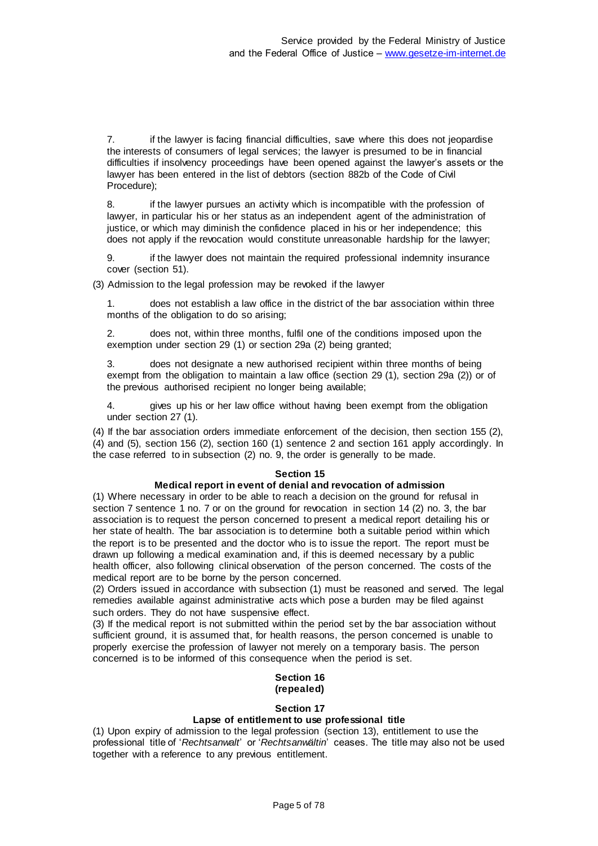7. if the lawyer is facing financial difficulties, save where this does not jeopardise the interests of consumers of legal services; the lawyer is presumed to be in financial difficulties if insolvency proceedings have been opened against the lawyer's assets or the lawyer has been entered in the list of debtors (section 882b of the Code of Civil Procedure);

8. if the lawyer pursues an activity which is incompatible with the profession of lawyer, in particular his or her status as an independent agent of the administration of justice, or which may diminish the confidence placed in his or her independence; this does not apply if the revocation would constitute unreasonable hardship for the lawyer;

9. if the lawyer does not maintain the required professional indemnity insurance cover (section 51).

(3) Admission to the legal profession may be revoked if the lawyer

1. does not establish a law office in the district of the bar association within three months of the obligation to do so arising;

2. does not, within three months, fulfil one of the conditions imposed upon the exemption under section 29 (1) or section 29a (2) being granted;

3. does not designate a new authorised recipient within three months of being exempt from the obligation to maintain a law office (section 29 (1), section 29a (2)) or of the previous authorised recipient no longer being available;

4. gives up his or her law office without having been exempt from the obligation under section 27 (1).

(4) If the bar association orders immediate enforcement of the decision, then section 155 (2), (4) and (5), section 156 (2), section 160 (1) sentence 2 and section 161 apply accordingly. In the case referred to in subsection (2) no. 9, the order is generally to be made.

#### **Section 15**

#### **Medical report in event of denial and revocation of admission**

(1) Where necessary in order to be able to reach a decision on the ground for refusal in section 7 sentence 1 no. 7 or on the ground for revocation in section 14 (2) no. 3, the bar association is to request the person concerned to present a medical report detailing his or her state of health. The bar association is to determine both a suitable period within which the report is to be presented and the doctor who is to issue the report. The report must be drawn up following a medical examination and, if this is deemed necessary by a public health officer, also following clinical observation of the person concerned. The costs of the medical report are to be borne by the person concerned.

(2) Orders issued in accordance with subsection (1) must be reasoned and served. The legal remedies available against administrative acts which pose a burden may be filed against such orders. They do not have suspensive effect.

(3) If the medical report is not submitted within the period set by the bar association without sufficient ground, it is assumed that, for health reasons, the person concerned is unable to properly exercise the profession of lawyer not merely on a temporary basis. The person concerned is to be informed of this consequence when the period is set.

### **Section 16 (repealed)**

#### **Section 17**

## **Lapse of entitlement to use professional title**

(1) Upon expiry of admission to the legal profession (section 13), entitlement to use the professional title of '*Rechtsanwalt*' or '*Rechtsanwältin*' ceases. The title may also not be used together with a reference to any previous entitlement.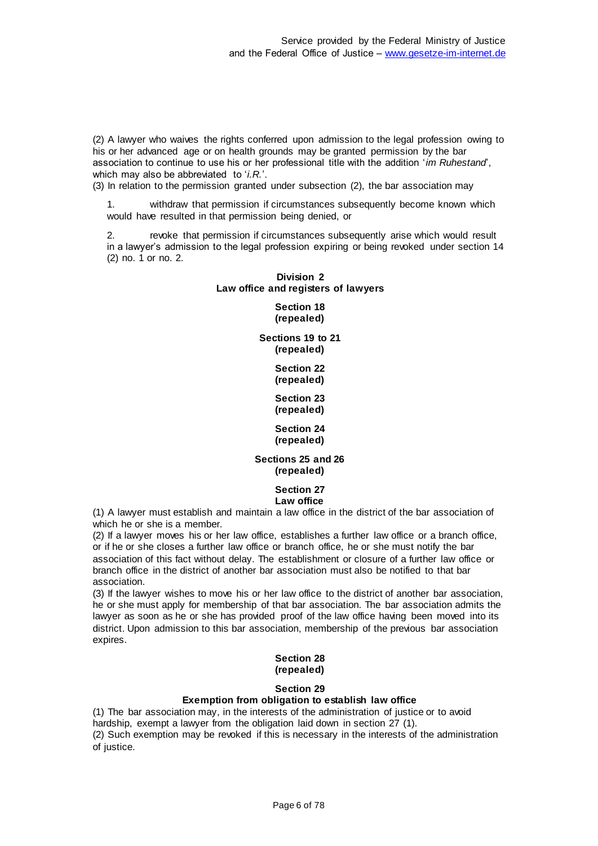(2) A lawyer who waives the rights conferred upon admission to the legal profession owing to his or her advanced age or on health grounds may be granted permission by the bar association to continue to use his or her professional title with the addition ʻ*im Ruhestand*', which may also be abbreviated to ʻ*i.R.*'.

(3) In relation to the permission granted under subsection (2), the bar association may

1. withdraw that permission if circumstances subsequently become known which would have resulted in that permission being denied, or

2. revoke that permission if circumstances subsequently arise which would result in a lawyer's admission to the legal profession expiring or being revoked under section 14 (2) no. 1 or no. 2.

## **Division 2 Law office and registers of lawyers**

**Section 18 (repealed)**

**Sections 19 to 21 (repealed)**

> **Section 22 (repealed)**

**Section 23 (repealed)**

#### **Section 24 (repealed)**

#### **Sections 25 and 26 (repealed)**

**Section 27 Law office**

(1) A lawyer must establish and maintain a law office in the district of the bar association of which he or she is a member.

(2) If a lawyer moves his or her law office, establishes a further law office or a branch office, or if he or she closes a further law office or branch office, he or she must notify the bar association of this fact without delay. The establishment or closure of a further law office or branch office in the district of another bar association must also be notified to that bar association.

(3) If the lawyer wishes to move his or her law office to the district of another bar association, he or she must apply for membership of that bar association. The bar association admits the lawyer as soon as he or she has provided proof of the law office having been moved into its district. Upon admission to this bar association, membership of the previous bar association expires.

#### **Section 28 (repealed)**

**Section 29**

#### **Exemption from obligation to establish law office**

(1) The bar association may, in the interests of the administration of justice or to avoid hardship, exempt a lawyer from the obligation laid down in section 27 (1). (2) Such exemption may be revoked if this is necessary in the interests of the administration of justice.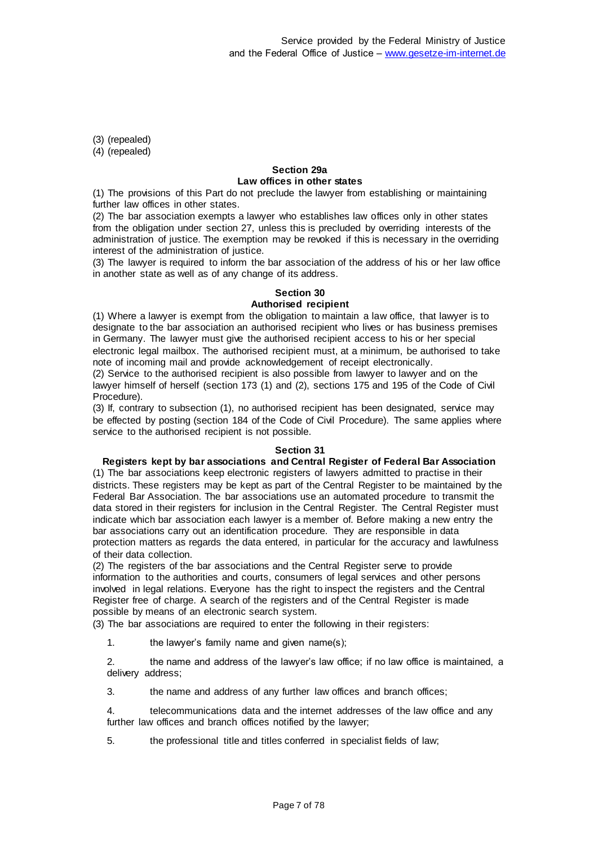(3) (repealed)

(4) (repealed)

#### **Section 29a Law offices in other states**

(1) The provisions of this Part do not preclude the lawyer from establishing or maintaining further law offices in other states.

(2) The bar association exempts a lawyer who establishes law offices only in other states from the obligation under section 27, unless this is precluded by overriding interests of the administration of justice. The exemption may be revoked if this is necessary in the overriding interest of the administration of justice.

(3) The lawyer is required to inform the bar association of the address of his or her law office in another state as well as of any change of its address.

# **Section 30**

## **Authorised recipient**

(1) Where a lawyer is exempt from the obligation to maintain a law office, that lawyer is to designate to the bar association an authorised recipient who lives or has business premises in Germany. The lawyer must give the authorised recipient access to his or her special electronic legal mailbox. The authorised recipient must, at a minimum, be authorised to take note of incoming mail and provide acknowledgement of receipt electronically.

(2) Service to the authorised recipient is also possible from lawyer to lawyer and on the lawyer himself of herself (section 173 (1) and (2), sections 175 and 195 of the Code of Civil Procedure).

(3) If, contrary to subsection (1), no authorised recipient has been designated, service may be effected by posting (section 184 of the Code of Civil Procedure). The same applies where service to the authorised recipient is not possible.

## **Section 31**

**Registers kept by bar associations and Central Register of Federal Bar Association** (1) The bar associations keep electronic registers of lawyers admitted to practise in their districts. These registers may be kept as part of the Central Register to be maintained by the Federal Bar Association. The bar associations use an automated procedure to transmit the data stored in their registers for inclusion in the Central Register. The Central Register must indicate which bar association each lawyer is a member of. Before making a new entry the bar associations carry out an identification procedure. They are responsible in data protection matters as regards the data entered, in particular for the accuracy and lawfulness of their data collection.

(2) The registers of the bar associations and the Central Register serve to provide information to the authorities and courts, consumers of legal services and other persons involved in legal relations. Everyone has the right to inspect the registers and the Central Register free of charge. A search of the registers and of the Central Register is made possible by means of an electronic search system.

(3) The bar associations are required to enter the following in their registers:

1. the lawyer's family name and given name(s);

2. the name and address of the lawyer's law office; if no law office is maintained, a delivery address;

3. the name and address of any further law offices and branch offices;

4. telecommunications data and the internet addresses of the law office and any further law offices and branch offices notified by the lawyer;

5. the professional title and titles conferred in specialist fields of law;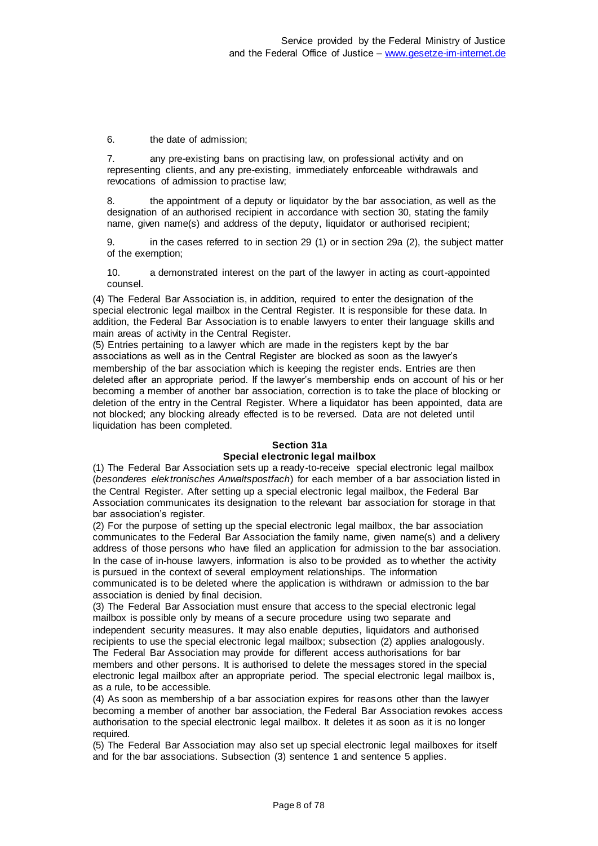6. the date of admission;

7. any pre-existing bans on practising law, on professional activity and on representing clients, and any pre-existing, immediately enforceable withdrawals and revocations of admission to practise law;

8. the appointment of a deputy or liquidator by the bar association, as well as the designation of an authorised recipient in accordance with section 30, stating the family name, given name(s) and address of the deputy, liquidator or authorised recipient;

9. in the cases referred to in section 29 (1) or in section 29a (2), the subject matter of the exemption;

10. a demonstrated interest on the part of the lawyer in acting as court-appointed counsel.

(4) The Federal Bar Association is, in addition, required to enter the designation of the special electronic legal mailbox in the Central Register. It is responsible for these data. In addition, the Federal Bar Association is to enable lawyers to enter their language skills and main areas of activity in the Central Register.

(5) Entries pertaining to a lawyer which are made in the registers kept by the bar associations as well as in the Central Register are blocked as soon as the lawyer's membership of the bar association which is keeping the register ends. Entries are then deleted after an appropriate period. If the lawyer's membership ends on account of his or her becoming a member of another bar association, correction is to take the place of blocking or deletion of the entry in the Central Register. Where a liquidator has been appointed, data are not blocked; any blocking already effected is to be reversed. Data are not deleted until liquidation has been completed.

### **Section 31a**

#### **Special electronic legal mailbox**

(1) The Federal Bar Association sets up a ready-to-receive special electronic legal mailbox (*besonderes elektronisches Anwaltspostfach*) for each member of a bar association listed in the Central Register. After setting up a special electronic legal mailbox, the Federal Bar Association communicates its designation to the relevant bar association for storage in that bar association's register.

(2) For the purpose of setting up the special electronic legal mailbox, the bar association communicates to the Federal Bar Association the family name, given name(s) and a delivery address of those persons who have filed an application for admission to the bar association. In the case of in-house lawyers, information is also to be provided as to whether the activity is pursued in the context of several employment relationships. The information

communicated is to be deleted where the application is withdrawn or admission to the bar association is denied by final decision.

(3) The Federal Bar Association must ensure that access to the special electronic legal mailbox is possible only by means of a secure procedure using two separate and independent security measures. It may also enable deputies, liquidators and authorised recipients to use the special electronic legal mailbox; subsection (2) applies analogously. The Federal Bar Association may provide for different access authorisations for bar members and other persons. It is authorised to delete the messages stored in the special electronic legal mailbox after an appropriate period. The special electronic legal mailbox is, as a rule, to be accessible.

(4) As soon as membership of a bar association expires for reasons other than the lawyer becoming a member of another bar association, the Federal Bar Association revokes access authorisation to the special electronic legal mailbox. It deletes it as soon as it is no longer required.

(5) The Federal Bar Association may also set up special electronic legal mailboxes for itself and for the bar associations. Subsection (3) sentence 1 and sentence 5 applies.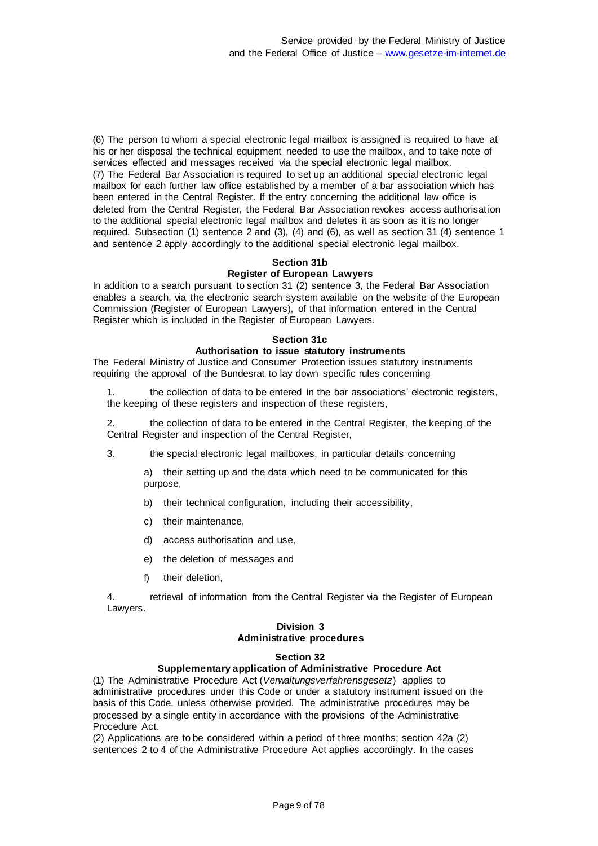(6) The person to whom a special electronic legal mailbox is assigned is required to have at his or her disposal the technical equipment needed to use the mailbox, and to take note of services effected and messages received via the special electronic legal mailbox. (7) The Federal Bar Association is required to set up an additional special electronic legal mailbox for each further law office established by a member of a bar association which has been entered in the Central Register. If the entry concerning the additional law office is deleted from the Central Register, the Federal Bar Association revokes access authorisation to the additional special electronic legal mailbox and deletes it as soon as it is no longer required. Subsection (1) sentence 2 and (3), (4) and (6), as well as section 31 (4) sentence 1 and sentence 2 apply accordingly to the additional special electronic legal mailbox.

## **Section 31b Register of European Lawyers**

In addition to a search pursuant to section 31 (2) sentence 3, the Federal Bar Association enables a search, via the electronic search system available on the website of the European Commission (Register of European Lawyers), of that information entered in the Central Register which is included in the Register of European Lawyers.

### **Section 31c**

#### **Authorisation to issue statutory instruments**

The Federal Ministry of Justice and Consumer Protection issues statutory instruments requiring the approval of the Bundesrat to lay down specific rules concerning

1. the collection of data to be entered in the bar associations' electronic registers, the keeping of these registers and inspection of these registers,

2. the collection of data to be entered in the Central Register, the keeping of the Central Register and inspection of the Central Register,

3. the special electronic legal mailboxes, in particular details concerning

a) their setting up and the data which need to be communicated for this purpose,

- b) their technical configuration, including their accessibility,
- c) their maintenance,
- d) access authorisation and use,
- e) the deletion of messages and
- f) their deletion,

4. retrieval of information from the Central Register via the Register of European Lawyers.

#### **Division 3 Administrative procedures**

#### **Section 32**

#### **Supplementary application of Administrative Procedure Act**

(1) The Administrative Procedure Act (*Verwaltungsverfahrensgesetz*) applies to administrative procedures under this Code or under a statutory instrument issued on the basis of this Code, unless otherwise provided. The administrative procedures may be processed by a single entity in accordance with the provisions of the Administrative Procedure Act.

(2) Applications are to be considered within a period of three months; section 42a (2) sentences 2 to 4 of the Administrative Procedure Act applies accordingly. In the cases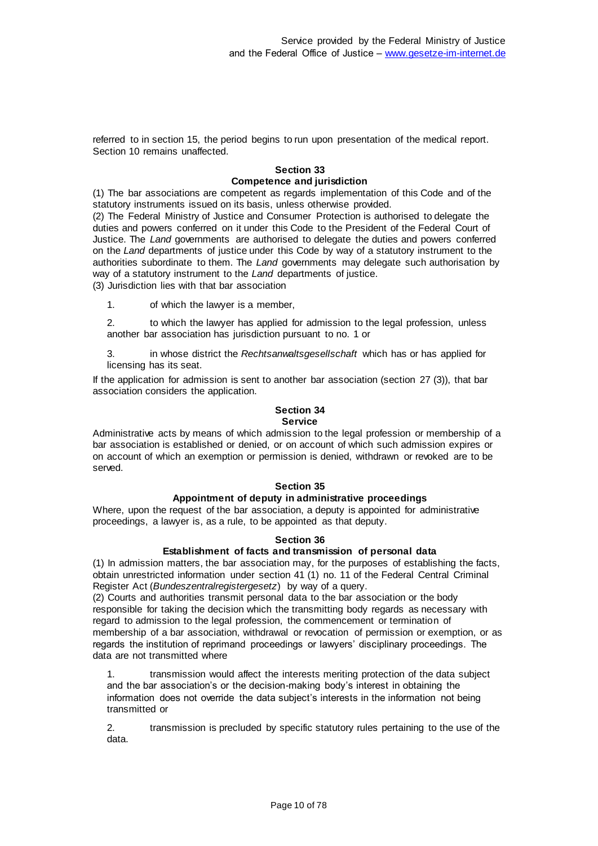referred to in section 15, the period begins to run upon presentation of the medical report. Section 10 remains unaffected.

#### **Section 33 Competence and jurisdiction**

(1) The bar associations are competent as regards implementation of this Code and of the statutory instruments issued on its basis, unless otherwise provided.

(2) The Federal Ministry of Justice and Consumer Protection is authorised to delegate the duties and powers conferred on it under this Code to the President of the Federal Court of Justice. The *Land* governments are authorised to delegate the duties and powers conferred on the *Land* departments of justice under this Code by way of a statutory instrument to the authorities subordinate to them. The *Land* governments may delegate such authorisation by way of a statutory instrument to the *Land* departments of justice.

(3) Jurisdiction lies with that bar association

1. of which the lawyer is a member,

2. to which the lawyer has applied for admission to the legal profession, unless another bar association has jurisdiction pursuant to no. 1 or

3. in whose district the *Rechtsanwaltsgesellschaft* which has or has applied for licensing has its seat.

If the application for admission is sent to another bar association (section 27 (3)), that bar association considers the application.

## **Section 34**

**Service**

Administrative acts by means of which admission to the legal profession or membership of a bar association is established or denied, or on account of which such admission expires or on account of which an exemption or permission is denied, withdrawn or revoked are to be served.

#### **Section 35**

#### **Appointment of deputy in administrative proceedings**

Where, upon the request of the bar association, a deputy is appointed for administrative proceedings, a lawyer is, as a rule, to be appointed as that deputy.

#### **Section 36**

### **Establishment of facts and transmission of personal data**

(1) In admission matters, the bar association may, for the purposes of establishing the facts, obtain unrestricted information under section 41 (1) no. 11 of the Federal Central Criminal Register Act (*Bundeszentralregistergesetz*) by way of a query.

(2) Courts and authorities transmit personal data to the bar association or the body responsible for taking the decision which the transmitting body regards as necessary with regard to admission to the legal profession, the commencement or termination of membership of a bar association, withdrawal or revocation of permission or exemption, or as regards the institution of reprimand proceedings or lawyers' disciplinary proceedings. The data are not transmitted where

1. transmission would affect the interests meriting protection of the data subject and the bar association's or the decision-making body's interest in obtaining the information does not override the data subject's interests in the information not being transmitted or

2. transmission is precluded by specific statutory rules pertaining to the use of the data.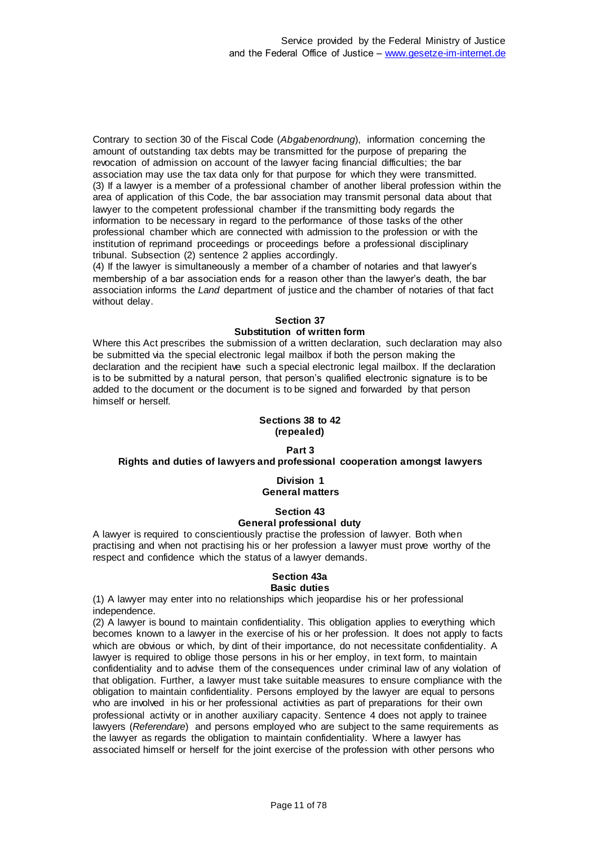Contrary to section 30 of the Fiscal Code (*Abgabenordnung*), information concerning the amount of outstanding tax debts may be transmitted for the purpose of preparing the revocation of admission on account of the lawyer facing financial difficulties; the bar association may use the tax data only for that purpose for which they were transmitted. (3) If a lawyer is a member of a professional chamber of another liberal profession within the area of application of this Code, the bar association may transmit personal data about that lawyer to the competent professional chamber if the transmitting body regards the information to be necessary in regard to the performance of those tasks of the other professional chamber which are connected with admission to the profession or with the institution of reprimand proceedings or proceedings before a professional disciplinary tribunal. Subsection (2) sentence 2 applies accordingly.

(4) If the lawyer is simultaneously a member of a chamber of notaries and that lawyer's membership of a bar association ends for a reason other than the lawyer's death, the bar association informs the *Land* department of justice and the chamber of notaries of that fact without delay.

#### **Section 37**

#### **Substitution of written form**

Where this Act prescribes the submission of a written declaration, such declaration may also be submitted via the special electronic legal mailbox if both the person making the declaration and the recipient have such a special electronic legal mailbox. If the declaration is to be submitted by a natural person, that person's qualified electronic signature is to be added to the document or the document is to be signed and forwarded by that person himself or herself.

#### **Sections 38 to 42 (repealed)**

#### **Part 3**

## **Rights and duties of lawyers and professional cooperation amongst lawyers**

#### **Division 1 General matters**

#### **Section 43 General professional duty**

A lawyer is required to conscientiously practise the profession of lawyer. Both when practising and when not practising his or her profession a lawyer must prove worthy of the respect and confidence which the status of a lawyer demands.

#### **Section 43a Basic duties**

(1) A lawyer may enter into no relationships which jeopardise his or her professional independence.

(2) A lawyer is bound to maintain confidentiality. This obligation applies to everything which becomes known to a lawyer in the exercise of his or her profession. It does not apply to facts which are obvious or which, by dint of their importance, do not necessitate confidentiality. A lawyer is required to oblige those persons in his or her employ, in text form, to maintain confidentiality and to advise them of the consequences under criminal law of any violation of that obligation. Further, a lawyer must take suitable measures to ensure compliance with the obligation to maintain confidentiality. Persons employed by the lawyer are equal to persons who are involved in his or her professional activities as part of preparations for their own professional activity or in another auxiliary capacity. Sentence 4 does not apply to trainee lawyers (*Referendare*) and persons employed who are subject to the same requirements as the lawyer as regards the obligation to maintain confidentiality. Where a lawyer has associated himself or herself for the joint exercise of the profession with other persons who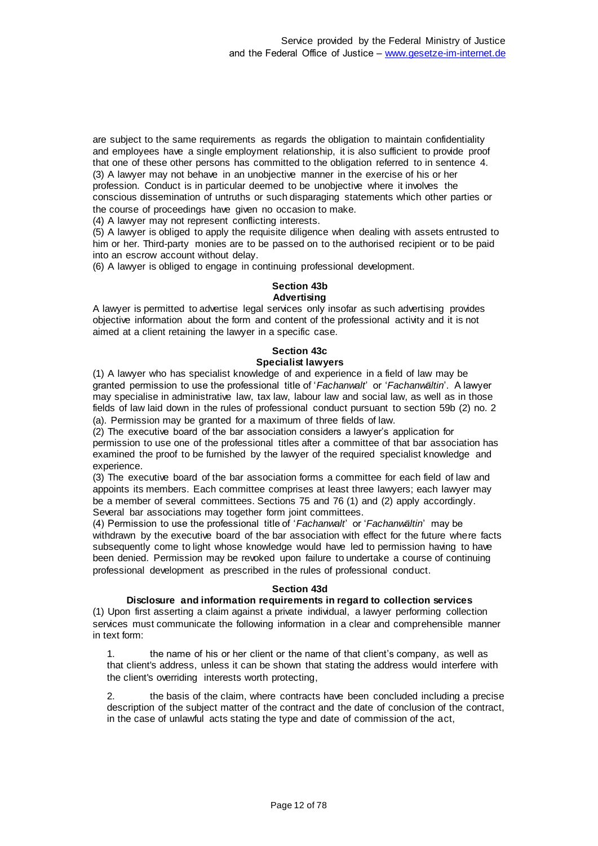are subject to the same requirements as regards the obligation to maintain confidentiality and employees have a single employment relationship, it is also sufficient to provide proof that one of these other persons has committed to the obligation referred to in sentence 4. (3) A lawyer may not behave in an unobjective manner in the exercise of his or her profession. Conduct is in particular deemed to be unobjective where it involves the conscious dissemination of untruths or such disparaging statements which other parties or the course of proceedings have given no occasion to make.

(4) A lawyer may not represent conflicting interests.

(5) A lawyer is obliged to apply the requisite diligence when dealing with assets entrusted to him or her. Third-party monies are to be passed on to the authorised recipient or to be paid into an escrow account without delay.

(6) A lawyer is obliged to engage in continuing professional development.

#### **Section 43b Advertising**

A lawyer is permitted to advertise legal services only insofar as such advertising provides objective information about the form and content of the professional activity and it is not aimed at a client retaining the lawyer in a specific case.

#### **Section 43c Specialist lawyers**

(1) A lawyer who has specialist knowledge of and experience in a field of law may be granted permission to use the professional title of '*Fachanwalt*' or '*Fachanwältin*'. A lawyer may specialise in administrative law, tax law, labour law and social law, as well as in those fields of law laid down in the rules of professional conduct pursuant to section 59b (2) no. 2 (a). Permission may be granted for a maximum of three fields of law.

(2) The executive board of the bar association considers a lawyer's application for permission to use one of the professional titles after a committee of that bar association has examined the proof to be furnished by the lawyer of the required specialist knowledge and experience.

(3) The executive board of the bar association forms a committee for each field of law and appoints its members. Each committee comprises at least three lawyers; each lawyer may be a member of several committees. Sections 75 and 76 (1) and (2) apply accordingly. Several bar associations may together form joint committees.

(4) Permission to use the professional title of '*Fachanwalt*' or '*Fachanwältin*' may be withdrawn by the executive board of the bar association with effect for the future where facts subsequently come to light whose knowledge would have led to permission having to have been denied. Permission may be revoked upon failure to undertake a course of continuing professional development as prescribed in the rules of professional conduct.

## **Section 43d**

## **Disclosure and information requirements in regard to collection services**

(1) Upon first asserting a claim against a private individual, a lawyer performing collection services must communicate the following information in a clear and comprehensible manner in text form:

the name of his or her client or the name of that client's company, as well as that client's address, unless it can be shown that stating the address would interfere with the client's overriding interests worth protecting,

2. the basis of the claim, where contracts have been concluded including a precise description of the subject matter of the contract and the date of conclusion of the contract, in the case of unlawful acts stating the type and date of commission of the act,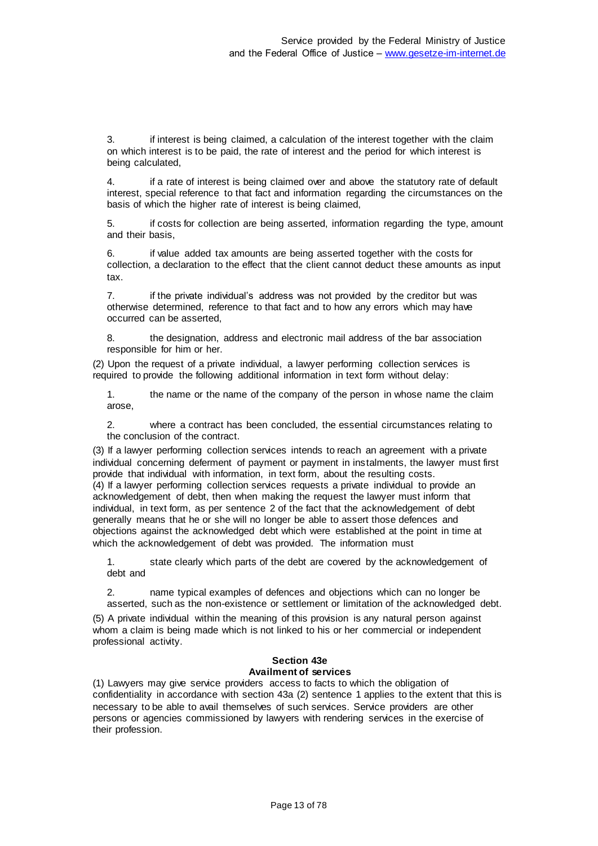3. if interest is being claimed, a calculation of the interest together with the claim on which interest is to be paid, the rate of interest and the period for which interest is being calculated,

4. if a rate of interest is being claimed over and above the statutory rate of default interest, special reference to that fact and information regarding the circumstances on the basis of which the higher rate of interest is being claimed,

5. if costs for collection are being asserted, information regarding the type, amount and their basis,

6. if value added tax amounts are being asserted together with the costs for collection, a declaration to the effect that the client cannot deduct these amounts as input tax.

7. if the private individual's address was not provided by the creditor but was otherwise determined, reference to that fact and to how any errors which may have occurred can be asserted,

8. the designation, address and electronic mail address of the bar association responsible for him or her.

(2) Upon the request of a private individual, a lawyer performing collection services is required to provide the following additional information in text form without delay:

1. the name or the name of the company of the person in whose name the claim arose,

2. where a contract has been concluded, the essential circumstances relating to the conclusion of the contract.

(3) If a lawyer performing collection services intends to reach an agreement with a private individual concerning deferment of payment or payment in instalments, the lawyer must first provide that individual with information, in text form, about the resulting costs. (4) If a lawyer performing collection services requests a private individual to provide an acknowledgement of debt, then when making the request the lawyer must inform that individual, in text form, as per sentence 2 of the fact that the acknowledgement of debt generally means that he or she will no longer be able to assert those defences and objections against the acknowledged debt which were established at the point in time at which the acknowledgement of debt was provided. The information must

1. state clearly which parts of the debt are covered by the acknowledgement of debt and

2. name typical examples of defences and objections which can no longer be asserted, such as the non-existence or settlement or limitation of the acknowledged debt.

(5) A private individual within the meaning of this provision is any natural person against whom a claim is being made which is not linked to his or her commercial or independent professional activity.

#### **Section 43e Availment of services**

(1) Lawyers may give service providers access to facts to which the obligation of confidentiality in accordance with section 43a (2) sentence 1 applies to the extent that this is necessary to be able to avail themselves of such services. Service providers are other persons or agencies commissioned by lawyers with rendering services in the exercise of their profession.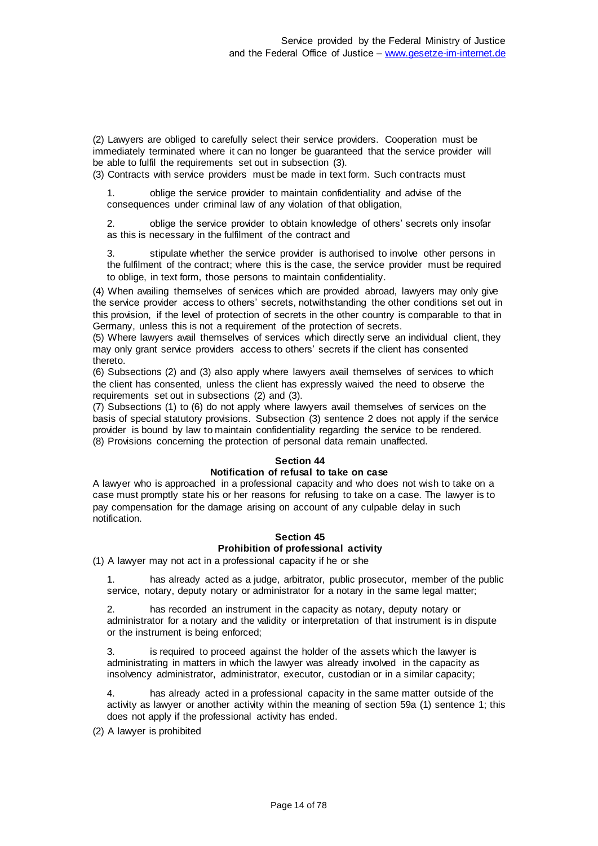(2) Lawyers are obliged to carefully select their service providers. Cooperation must be immediately terminated where it can no longer be guaranteed that the service provider will be able to fulfil the requirements set out in subsection (3).

(3) Contracts with service providers must be made in text form. Such contracts must

1. oblige the service provider to maintain confidentiality and advise of the consequences under criminal law of any violation of that obligation,

2. oblige the service provider to obtain knowledge of others' secrets only insofar as this is necessary in the fulfilment of the contract and

stipulate whether the service provider is authorised to involve other persons in the fulfilment of the contract; where this is the case, the service provider must be required to oblige, in text form, those persons to maintain confidentiality.

(4) When availing themselves of services which are provided abroad, lawyers may only give the service provider access to others' secrets, notwithstanding the other conditions set out in this provision, if the level of protection of secrets in the other country is comparable to that in Germany, unless this is not a requirement of the protection of secrets.

(5) Where lawyers avail themselves of services which directly serve an individual client, they may only grant service providers access to others' secrets if the client has consented thereto.

(6) Subsections (2) and (3) also apply where lawyers avail themselves of services to which the client has consented, unless the client has expressly waived the need to observe the requirements set out in subsections (2) and (3).

(7) Subsections (1) to (6) do not apply where lawyers avail themselves of services on the basis of special statutory provisions. Subsection (3) sentence 2 does not apply if the service provider is bound by law to maintain confidentiality regarding the service to be rendered. (8) Provisions concerning the protection of personal data remain unaffected.

#### **Section 44**

#### **Notification of refusal to take on case**

A lawyer who is approached in a professional capacity and who does not wish to take on a case must promptly state his or her reasons for refusing to take on a case. The lawyer is to pay compensation for the damage arising on account of any culpable delay in such notification.

## **Section 45**

## **Prohibition of professional activity**

(1) A lawyer may not act in a professional capacity if he or she

1. has already acted as a judge, arbitrator, public prosecutor, member of the public service, notary, deputy notary or administrator for a notary in the same legal matter;

2. has recorded an instrument in the capacity as notary, deputy notary or administrator for a notary and the validity or interpretation of that instrument is in dispute or the instrument is being enforced;

3. is required to proceed against the holder of the assets which the lawyer is administrating in matters in which the lawyer was already involved in the capacity as insolvency administrator, administrator, executor, custodian or in a similar capacity;

4. has already acted in a professional capacity in the same matter outside of the activity as lawyer or another activity within the meaning of section 59a (1) sentence 1; this does not apply if the professional activity has ended.

(2) A lawyer is prohibited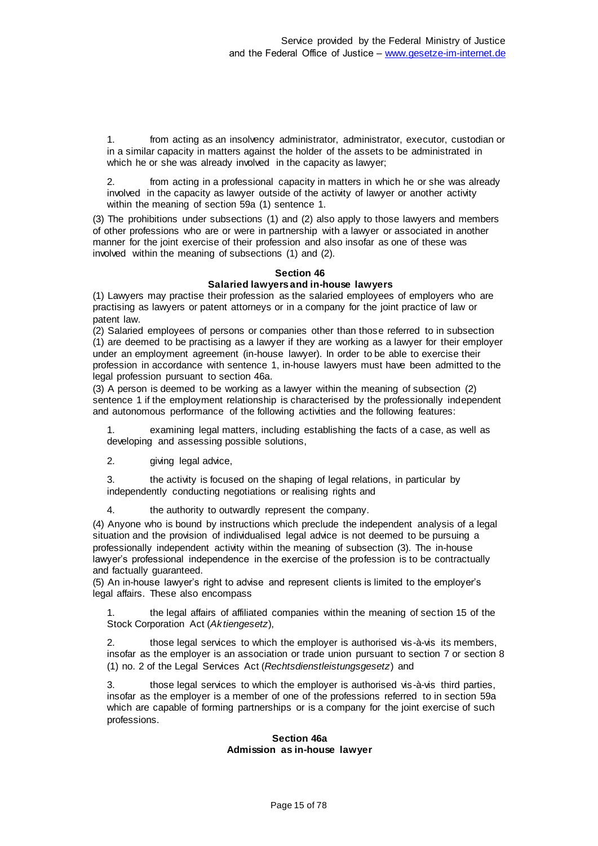1. from acting as an insolvency administrator, administrator, executor, custodian or in a similar capacity in matters against the holder of the assets to be administrated in which he or she was already involved in the capacity as lawyer;

2. from acting in a professional capacity in matters in which he or she was already involved in the capacity as lawyer outside of the activity of lawyer or another activity within the meaning of section 59a (1) sentence 1.

(3) The prohibitions under subsections (1) and (2) also apply to those lawyers and members of other professions who are or were in partnership with a lawyer or associated in another manner for the joint exercise of their profession and also insofar as one of these was involved within the meaning of subsections (1) and (2).

#### **Section 46**

### **Salaried lawyers and in-house lawyers**

(1) Lawyers may practise their profession as the salaried employees of employers who are practising as lawyers or patent attorneys or in a company for the joint practice of law or patent law.

(2) Salaried employees of persons or companies other than those referred to in subsection (1) are deemed to be practising as a lawyer if they are working as a lawyer for their employer under an employment agreement (in-house lawyer). In order to be able to exercise their profession in accordance with sentence 1, in-house lawyers must have been admitted to the legal profession pursuant to section 46a.

(3) A person is deemed to be working as a lawyer within the meaning of subsection (2) sentence 1 if the employment relationship is characterised by the professionally independent and autonomous performance of the following activities and the following features:

1. examining legal matters, including establishing the facts of a case, as well as developing and assessing possible solutions,

2. giving legal advice,

3. the activity is focused on the shaping of legal relations, in particular by independently conducting negotiations or realising rights and

the authority to outwardly represent the company.

(4) Anyone who is bound by instructions which preclude the independent analysis of a legal situation and the provision of individualised legal advice is not deemed to be pursuing a professionally independent activity within the meaning of subsection (3). The in-house lawyer's professional independence in the exercise of the profession is to be contractually and factually guaranteed.

(5) An in-house lawyer's right to advise and represent clients is limited to the employer's legal affairs. These also encompass

1. the legal affairs of affiliated companies within the meaning of section 15 of the Stock Corporation Act (*Aktiengesetz*),

those legal services to which the employer is authorised vis-à-vis its members, insofar as the employer is an association or trade union pursuant to section 7 or section 8 (1) no. 2 of the Legal Services Act (*Rechtsdienstleistungsgesetz*) and

3. those legal services to which the employer is authorised vis-à-vis third parties, insofar as the employer is a member of one of the professions referred to in section 59a which are capable of forming partnerships or is a company for the joint exercise of such professions.

#### **Section 46a Admission as in-house lawyer**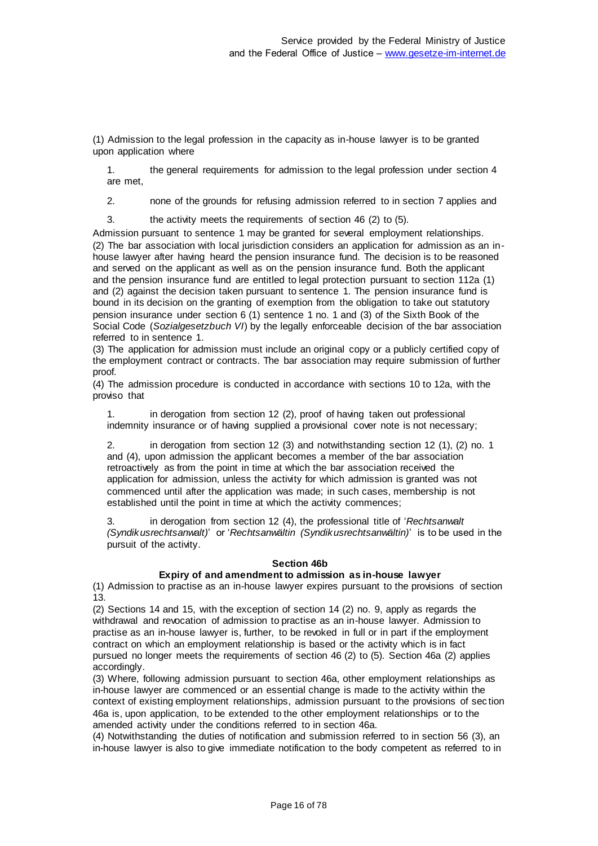(1) Admission to the legal profession in the capacity as in-house lawyer is to be granted upon application where

1. the general requirements for admission to the legal profession under section 4 are met,

2. none of the grounds for refusing admission referred to in section 7 applies and

3. the activity meets the requirements of section 46 (2) to (5).

Admission pursuant to sentence 1 may be granted for several employment relationships. (2) The bar association with local jurisdiction considers an application for admission as an inhouse lawyer after having heard the pension insurance fund. The decision is to be reasoned and served on the applicant as well as on the pension insurance fund. Both the applicant and the pension insurance fund are entitled to legal protection pursuant to section 112a (1) and (2) against the decision taken pursuant to sentence 1. The pension insurance fund is bound in its decision on the granting of exemption from the obligation to take out statutory pension insurance under section 6 (1) sentence 1 no. 1 and (3) of the Sixth Book of the Social Code (*Sozialgesetzbuch VI*) by the legally enforceable decision of the bar association referred to in sentence 1.

(3) The application for admission must include an original copy or a publicly certified copy of the employment contract or contracts. The bar association may require submission of further proof.

(4) The admission procedure is conducted in accordance with sections 10 to 12a, with the proviso that

1. in derogation from section 12 (2), proof of having taken out professional indemnity insurance or of having supplied a provisional cover note is not necessary;

2. in derogation from section 12 (3) and notwithstanding section 12 (1), (2) no. 1 and (4), upon admission the applicant becomes a member of the bar association retroactively as from the point in time at which the bar association received the application for admission, unless the activity for which admission is granted was not commenced until after the application was made; in such cases, membership is not established until the point in time at which the activity commences;

3. in derogation from section 12 (4), the professional title of '*Rechtsanwalt (Syndikusrechtsanwalt)*' or '*Rechtsanwältin (Syndikusrechtsanwältin)*' is to be used in the pursuit of the activity.

#### **Section 46b**

#### **Expiry of and amendment to admission as in-house lawyer**

(1) Admission to practise as an in-house lawyer expires pursuant to the provisions of section 13.

(2) Sections 14 and 15, with the exception of section 14 (2) no. 9, apply as regards the withdrawal and revocation of admission to practise as an in-house lawyer. Admission to practise as an in-house lawyer is, further, to be revoked in full or in part if the employment contract on which an employment relationship is based or the activity which is in fact pursued no longer meets the requirements of section 46 (2) to (5). Section 46a (2) applies accordingly.

(3) Where, following admission pursuant to section 46a, other employment relationships as in-house lawyer are commenced or an essential change is made to the activity within the context of existing employment relationships, admission pursuant to the provisions of sec tion 46a is, upon application, to be extended to the other employment relationships or to the amended activity under the conditions referred to in section 46a.

(4) Notwithstanding the duties of notification and submission referred to in section 56 (3), an in-house lawyer is also to give immediate notification to the body competent as referred to in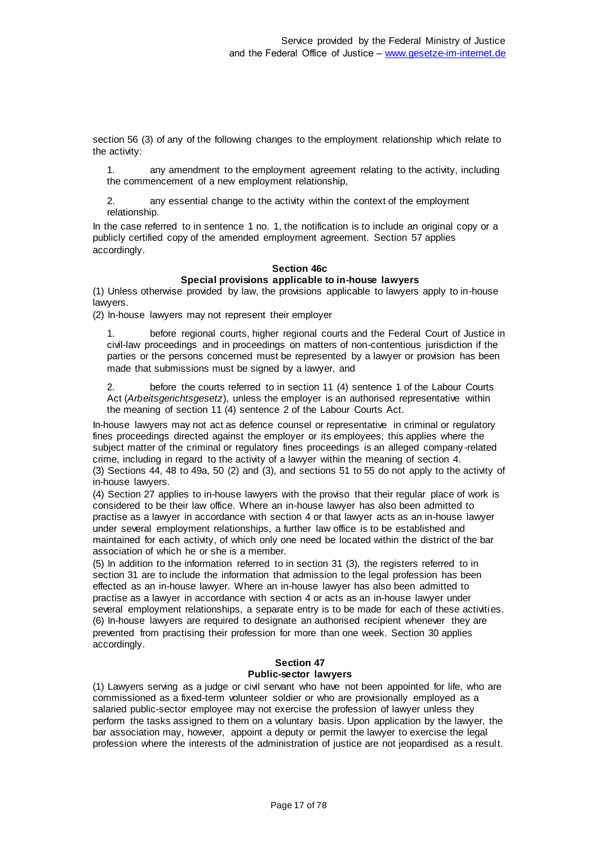section 56 (3) of any of the following changes to the employment relationship which relate to the activity:

1. any amendment to the employment agreement relating to the activity, including the commencement of a new employment relationship,

2. any essential change to the activity within the context of the employment relationship.

In the case referred to in sentence 1 no. 1, the notification is to include an original copy or a publicly certified copy of the amended employment agreement. Section 57 applies accordingly.

#### **Section 46c**

#### **Special provisions applicable to in-house lawyers**

(1) Unless otherwise provided by law, the provisions applicable to lawyers apply to in-house lawyers.

(2) In-house lawyers may not represent their employer

1. before regional courts, higher regional courts and the Federal Court of Justice in civil-law proceedings and in proceedings on matters of non-contentious jurisdiction if the parties or the persons concerned must be represented by a lawyer or provision has been made that submissions must be signed by a lawyer, and

2. before the courts referred to in section 11 (4) sentence 1 of the Labour Courts Act (*Arbeitsgerichtsgesetz*), unless the employer is an authorised representative within the meaning of section 11 (4) sentence 2 of the Labour Courts Act.

In-house lawyers may not act as defence counsel or representative in criminal or regulatory fines proceedings directed against the employer or its employees; this applies where the subject matter of the criminal or regulatory fines proceedings is an alleged company -related crime, including in regard to the activity of a lawyer within the meaning of section 4. (3) Sections 44, 48 to 49a, 50 (2) and (3), and sections 51 to 55 do not apply to the activity of in-house lawyers.

(4) Section 27 applies to in-house lawyers with the proviso that their regular place of work is considered to be their law office. Where an in-house lawyer has also been admitted to practise as a lawyer in accordance with section 4 or that lawyer acts as an in-house lawyer under several employment relationships, a further law office is to be established and maintained for each activity, of which only one need be located within the district of the bar association of which he or she is a member.

(5) In addition to the information referred to in section 31 (3), the registers referred to in section 31 are to include the information that admission to the legal profession has been effected as an in-house lawyer. Where an in-house lawyer has also been admitted to practise as a lawyer in accordance with section 4 or acts as an in-house lawyer under several employment relationships, a separate entry is to be made for each of these activities. (6) In-house lawyers are required to designate an authorised recipient whenever they are prevented from practising their profession for more than one week. Section 30 applies accordingly.

#### **Section 47 Public-sector lawyers**

(1) Lawyers serving as a judge or civil servant who have not been appointed for life, who are commissioned as a fixed-term volunteer soldier or who are provisionally employed as a salaried public-sector employee may not exercise the profession of lawyer unless they perform the tasks assigned to them on a voluntary basis. Upon application by the lawyer, the bar association may, however, appoint a deputy or permit the lawyer to exercise the legal profession where the interests of the administration of justice are not jeopardised as a result.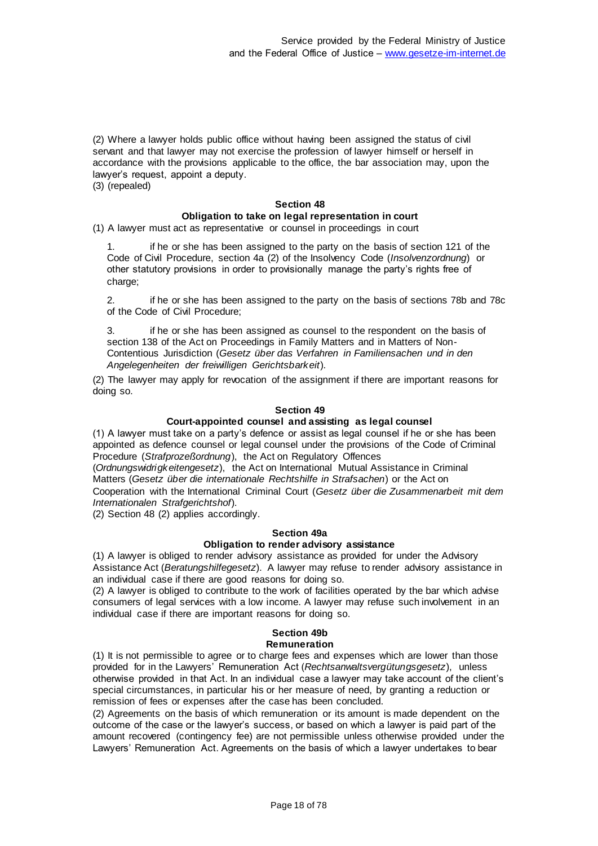(2) Where a lawyer holds public office without having been assigned the status of civil servant and that lawyer may not exercise the profession of lawyer himself or herself in accordance with the provisions applicable to the office, the bar association may, upon the lawyer's request, appoint a deputy.

(3) (repealed)

#### **Section 48 Obligation to take on legal representation in court**

(1) A lawyer must act as representative or counsel in proceedings in court

if he or she has been assigned to the party on the basis of section 121 of the Code of Civil Procedure, section 4a (2) of the Insolvency Code (*Insolvenzordnung*) or other statutory provisions in order to provisionally manage the party's rights free of charge;

2. if he or she has been assigned to the party on the basis of sections 78b and 78c of the Code of Civil Procedure;

if he or she has been assigned as counsel to the respondent on the basis of section 138 of the Act on Proceedings in Family Matters and in Matters of Non-Contentious Jurisdiction (*Gesetz über das Verfahren in Familiensachen und in den Angelegenheiten der freiwilligen Gerichtsbarkeit*).

(2) The lawyer may apply for revocation of the assignment if there are important reasons for doing so.

#### **Section 49**

### **Court-appointed counsel and assisting as legal counsel**

(1) A lawyer must take on a party's defence or assist as legal counsel if he or she has been appointed as defence counsel or legal counsel under the provisions of the Code of Criminal Procedure (*Strafprozeßordnung*), the Act on Regulatory Offences

(*Ordnungswidrigkeitengesetz*), the Act on International Mutual Assistance in Criminal Matters (*Gesetz über die internationale Rechtshilfe in Strafsachen*) or the Act on Cooperation with the International Criminal Court (*Gesetz über die Zusammenarbeit mit dem* 

*Internationalen Strafgerichtshof*). (2) Section 48 (2) applies accordingly.

## **Section 49a**

#### **Obligation to render advisory assistance**

(1) A lawyer is obliged to render advisory assistance as provided for under the Advisory Assistance Act (*Beratungshilfegesetz*). A lawyer may refuse to render advisory assistance in an individual case if there are good reasons for doing so.

(2) A lawyer is obliged to contribute to the work of facilities operated by the bar which advise consumers of legal services with a low income. A lawyer may refuse such involvement in an individual case if there are important reasons for doing so.

## **Section 49b**

**Remuneration**

(1) It is not permissible to agree or to charge fees and expenses which are lower than those provided for in the Lawyers' Remuneration Act (*Rechtsanwaltsvergütungsgesetz*), unless otherwise provided in that Act. In an individual case a lawyer may take account of the client's special circumstances, in particular his or her measure of need, by granting a reduction or remission of fees or expenses after the case has been concluded.

(2) Agreements on the basis of which remuneration or its amount is made dependent on the outcome of the case or the lawyer's success, or based on which a lawyer is paid part of the amount recovered (contingency fee) are not permissible unless otherwise provided under the Lawyers' Remuneration Act. Agreements on the basis of which a lawyer undertakes to bear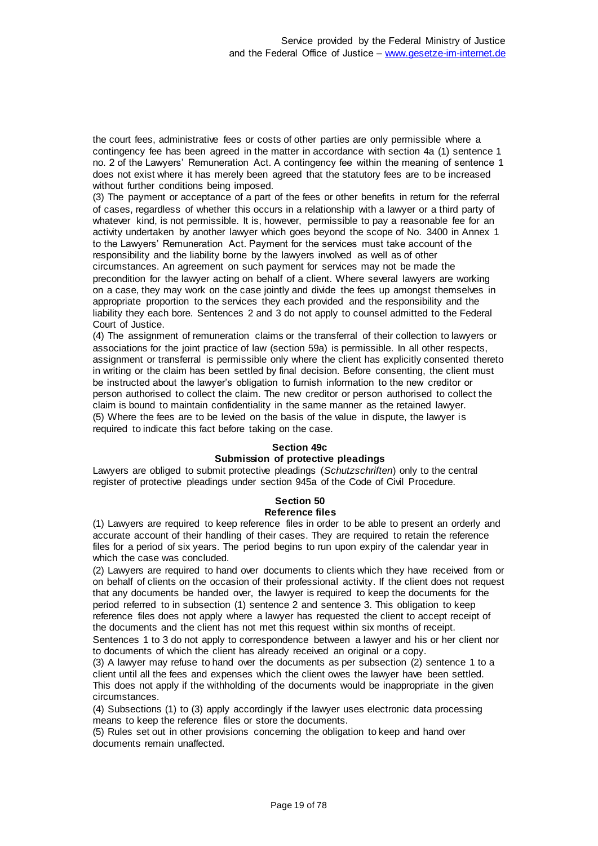the court fees, administrative fees or costs of other parties are only permissible where a contingency fee has been agreed in the matter in accordance with section 4a (1) sentence 1 no. 2 of the Lawyers' Remuneration Act. A contingency fee within the meaning of sentence 1 does not exist where it has merely been agreed that the statutory fees are to be increased without further conditions being imposed.

(3) The payment or acceptance of a part of the fees or other benefits in return for the referral of cases, regardless of whether this occurs in a relationship with a lawyer or a third party of whatever kind, is not permissible. It is, however, permissible to pay a reasonable fee for an activity undertaken by another lawyer which goes beyond the scope of No. 3400 in Annex 1 to the Lawyers' Remuneration Act. Payment for the services must take account of the responsibility and the liability borne by the lawyers involved as well as of other circumstances. An agreement on such payment for services may not be made the precondition for the lawyer acting on behalf of a client. Where several lawyers are working on a case, they may work on the case jointly and divide the fees up amongst themselves in appropriate proportion to the services they each provided and the responsibility and the liability they each bore. Sentences 2 and 3 do not apply to counsel admitted to the Federal Court of Justice.

(4) The assignment of remuneration claims or the transferral of their collection to lawyers or associations for the joint practice of law (section 59a) is permissible. In all other respects, assignment or transferral is permissible only where the client has explicitly consented thereto in writing or the claim has been settled by final decision. Before consenting, the client must be instructed about the lawyer's obligation to furnish information to the new creditor or person authorised to collect the claim. The new creditor or person authorised to collect the claim is bound to maintain confidentiality in the same manner as the retained lawyer. (5) Where the fees are to be levied on the basis of the value in dispute, the lawyer is required to indicate this fact before taking on the case.

#### **Section 49c**

#### **Submission of protective pleadings**

Lawyers are obliged to submit protective pleadings (*Schutzschriften*) only to the central register of protective pleadings under section 945a of the Code of Civil Procedure.

## **Section 50**

#### **Reference files**

(1) Lawyers are required to keep reference files in order to be able to present an orderly and accurate account of their handling of their cases. They are required to retain the reference files for a period of six years. The period begins to run upon expiry of the calendar year in which the case was concluded.

(2) Lawyers are required to hand over documents to clients which they have received from or on behalf of clients on the occasion of their professional activity. If the client does not request that any documents be handed over, the lawyer is required to keep the documents for the period referred to in subsection (1) sentence 2 and sentence 3. This obligation to keep reference files does not apply where a lawyer has requested the client to accept receipt of the documents and the client has not met this request within six months of receipt.

Sentences 1 to 3 do not apply to correspondence between a lawyer and his or her client nor to documents of which the client has already received an original or a copy.

(3) A lawyer may refuse to hand over the documents as per subsection (2) sentence 1 to a client until all the fees and expenses which the client owes the lawyer have been settled. This does not apply if the withholding of the documents would be inappropriate in the given circumstances.

(4) Subsections (1) to (3) apply accordingly if the lawyer uses electronic data processing means to keep the reference files or store the documents.

(5) Rules set out in other provisions concerning the obligation to keep and hand over documents remain unaffected.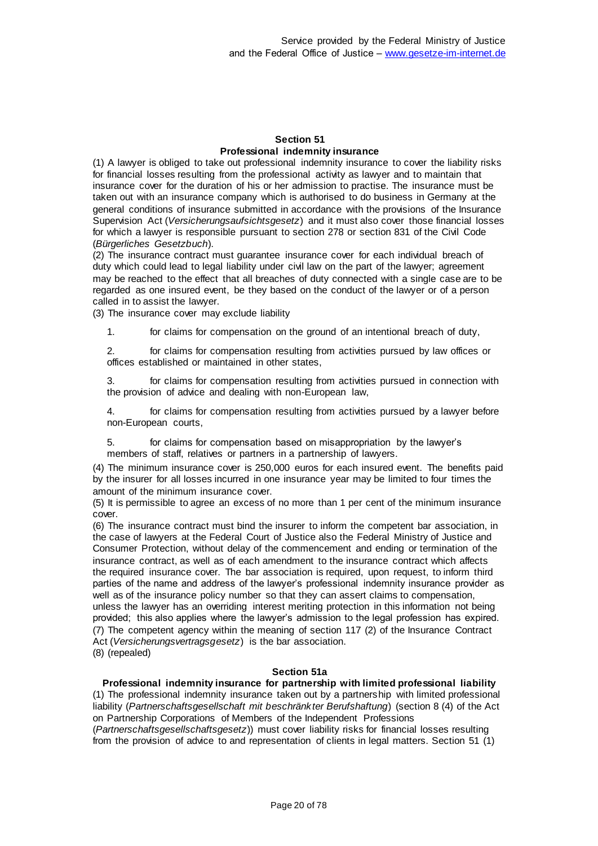#### **Section 51 Professional indemnity insurance**

(1) A lawyer is obliged to take out professional indemnity insurance to cover the liability risks for financial losses resulting from the professional activity as lawyer and to maintain that insurance cover for the duration of his or her admission to practise. The insurance must be taken out with an insurance company which is authorised to do business in Germany at the general conditions of insurance submitted in accordance with the provisions of the Insurance Supervision Act (*Versicherungsaufsichtsgesetz*) and it must also cover those financial losses for which a lawyer is responsible pursuant to section 278 or section 831 of the Civil Code (*Bürgerliches Gesetzbuch*).

(2) The insurance contract must guarantee insurance cover for each individual breach of duty which could lead to legal liability under civil law on the part of the lawyer; agreement may be reached to the effect that all breaches of duty connected with a single case are to be regarded as one insured event, be they based on the conduct of the lawyer or of a person called in to assist the lawyer.

(3) The insurance cover may exclude liability

1. for claims for compensation on the ground of an intentional breach of duty,

2. for claims for compensation resulting from activities pursued by law offices or offices established or maintained in other states,

3. for claims for compensation resulting from activities pursued in connection with the provision of advice and dealing with non-European law,

4. for claims for compensation resulting from activities pursued by a lawyer before non-European courts,

5. for claims for compensation based on misappropriation by the lawyer's members of staff, relatives or partners in a partnership of lawyers.

(4) The minimum insurance cover is 250,000 euros for each insured event. The benefits paid by the insurer for all losses incurred in one insurance year may be limited to four times the amount of the minimum insurance cover.

(5) It is permissible to agree an excess of no more than 1 per cent of the minimum insurance cover.

(6) The insurance contract must bind the insurer to inform the competent bar association, in the case of lawyers at the Federal Court of Justice also the Federal Ministry of Justice and Consumer Protection, without delay of the commencement and ending or termination of the insurance contract, as well as of each amendment to the insurance contract which affects the required insurance cover. The bar association is required, upon request, to inform third parties of the name and address of the lawyer's professional indemnity insurance provider as well as of the insurance policy number so that they can assert claims to compensation, unless the lawyer has an overriding interest meriting protection in this information not being provided; this also applies where the lawyer's admission to the legal profession has expired. (7) The competent agency within the meaning of section 117 (2) of the Insurance Contract Act (*Versicherungsvertragsgesetz*) is the bar association. (8) (repealed)

#### **Section 51a**

**Professional indemnity insurance for partnership with limited professional liability** (1) The professional indemnity insurance taken out by a partnership with limited professional liability (*Partnerschaftsgesellschaft mit beschränkter Berufshaftung*) (section 8 (4) of the Act on Partnership Corporations of Members of the Independent Professions

(*Partnerschaftsgesellschaftsgesetz*)) must cover liability risks for financial losses resulting from the provision of advice to and representation of clients in legal matters. Section 51 (1)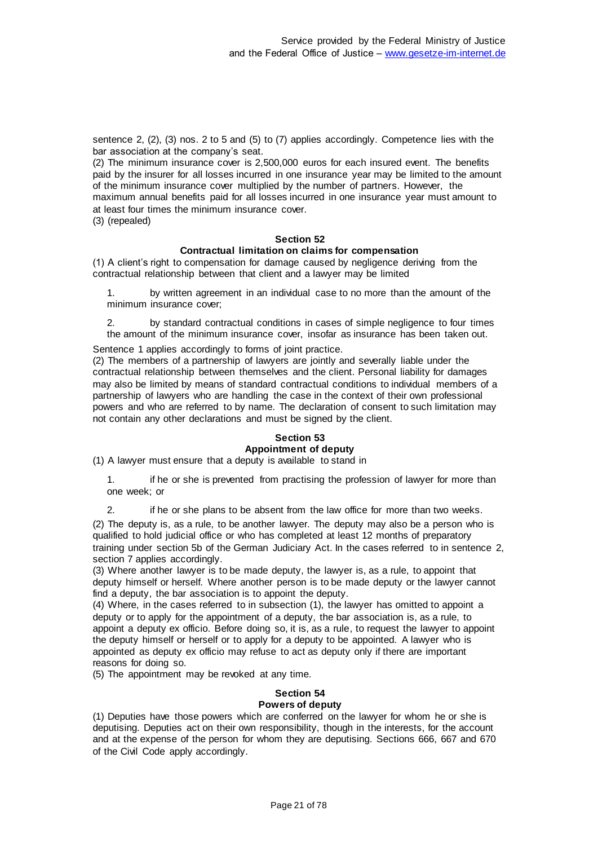sentence 2, (2), (3) nos. 2 to 5 and (5) to (7) applies accordingly. Competence lies with the bar association at the company's seat.

(2) The minimum insurance cover is 2,500,000 euros for each insured event. The benefits paid by the insurer for all losses incurred in one insurance year may be limited to the amount of the minimum insurance cover multiplied by the number of partners. However, the maximum annual benefits paid for all losses incurred in one insurance year must amount to at least four times the minimum insurance cover.

(3) (repealed)

#### **Section 52**

#### **Contractual limitation on claims for compensation**

(1) A client's right to compensation for damage caused by negligence deriving from the contractual relationship between that client and a lawyer may be limited

1. by written agreement in an individual case to no more than the amount of the minimum insurance cover;

2. by standard contractual conditions in cases of simple negligence to four times the amount of the minimum insurance cover, insofar as insurance has been taken out.

Sentence 1 applies accordingly to forms of joint practice.

(2) The members of a partnership of lawyers are jointly and severally liable under the contractual relationship between themselves and the client. Personal liability for damages may also be limited by means of standard contractual conditions to individual members of a partnership of lawyers who are handling the case in the context of their own professional powers and who are referred to by name. The declaration of consent to such limitation may not contain any other declarations and must be signed by the client.

### **Section 53 Appointment of deputy**

(1) A lawyer must ensure that a deputy is available to stand in

1. if he or she is prevented from practising the profession of lawyer for more than one week; or

2. if he or she plans to be absent from the law office for more than two weeks.

(2) The deputy is, as a rule, to be another lawyer. The deputy may also be a person who is qualified to hold judicial office or who has completed at least 12 months of preparatory training under section 5b of the German Judiciary Act. In the cases referred to in sentence 2, section 7 applies accordingly.

(3) Where another lawyer is to be made deputy, the lawyer is, as a rule, to appoint that deputy himself or herself. Where another person is to be made deputy or the lawyer cannot find a deputy, the bar association is to appoint the deputy.

(4) Where, in the cases referred to in subsection (1), the lawyer has omitted to appoint a deputy or to apply for the appointment of a deputy, the bar association is, as a rule, to appoint a deputy ex officio. Before doing so, it is, as a rule, to request the lawyer to appoint the deputy himself or herself or to apply for a deputy to be appointed. A lawyer who is appointed as deputy ex officio may refuse to act as deputy only if there are important reasons for doing so.

(5) The appointment may be revoked at any time.

#### **Section 54 Powers of deputy**

(1) Deputies have those powers which are conferred on the lawyer for whom he or she is deputising. Deputies act on their own responsibility, though in the interests, for the account and at the expense of the person for whom they are deputising. Sections 666, 667 and 670 of the Civil Code apply accordingly.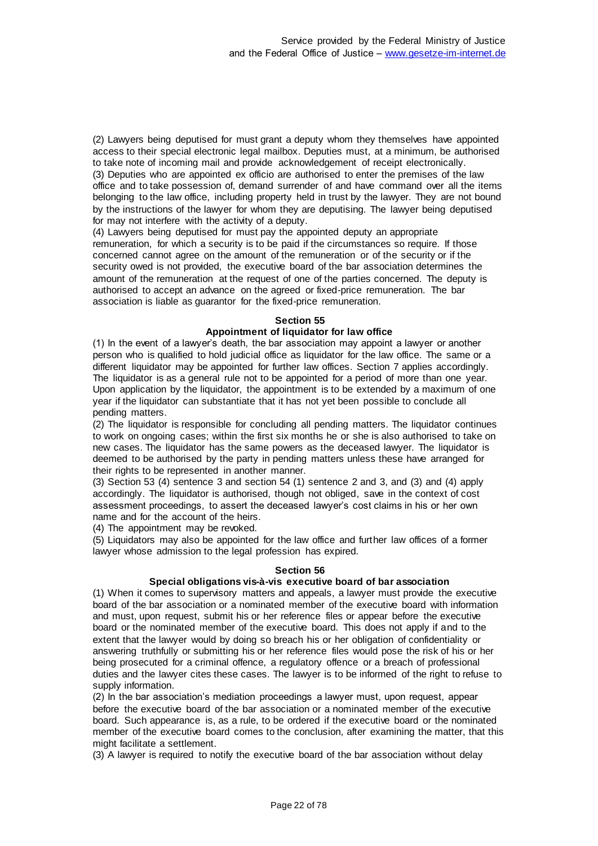(2) Lawyers being deputised for must grant a deputy whom they themselves have appointed access to their special electronic legal mailbox. Deputies must, at a minimum, be authorised to take note of incoming mail and provide acknowledgement of receipt electronically. (3) Deputies who are appointed ex officio are authorised to enter the premises of the law office and to take possession of, demand surrender of and have command over all the items belonging to the law office, including property held in trust by the lawyer. They are not bound by the instructions of the lawyer for whom they are deputising. The lawyer being deputised for may not interfere with the activity of a deputy.

(4) Lawyers being deputised for must pay the appointed deputy an appropriate remuneration, for which a security is to be paid if the circumstances so require. If those concerned cannot agree on the amount of the remuneration or of the security or if the security owed is not provided, the executive board of the bar association determines the amount of the remuneration at the request of one of the parties concerned. The deputy is authorised to accept an advance on the agreed or fixed-price remuneration. The bar association is liable as guarantor for the fixed-price remuneration.

#### **Section 55**

#### **Appointment of liquidator for law office**

(1) In the event of a lawyer's death, the bar association may appoint a lawyer or another person who is qualified to hold judicial office as liquidator for the law office. The same or a different liquidator may be appointed for further law offices. Section 7 applies accordingly. The liquidator is as a general rule not to be appointed for a period of more than one year. Upon application by the liquidator, the appointment is to be extended by a maximum of one year if the liquidator can substantiate that it has not yet been possible to conclude all pending matters.

(2) The liquidator is responsible for concluding all pending matters. The liquidator continues to work on ongoing cases; within the first six months he or she is also authorised to take on new cases. The liquidator has the same powers as the deceased lawyer. The liquidator is deemed to be authorised by the party in pending matters unless these have arranged for their rights to be represented in another manner.

(3) Section 53 (4) sentence 3 and section 54 (1) sentence 2 and 3, and (3) and (4) apply accordingly. The liquidator is authorised, though not obliged, save in the context of cost assessment proceedings, to assert the deceased lawyer's cost claims in his or her own name and for the account of the heirs.

(4) The appointment may be revoked.

(5) Liquidators may also be appointed for the law office and further law offices of a former lawyer whose admission to the legal profession has expired.

#### **Section 56**

#### **Special obligations vis-à-vis executive board of bar association**

(1) When it comes to supervisory matters and appeals, a lawyer must provide the executive board of the bar association or a nominated member of the executive board with information and must, upon request, submit his or her reference files or appear before the executive board or the nominated member of the executive board. This does not apply if and to the extent that the lawyer would by doing so breach his or her obligation of confidentiality or answering truthfully or submitting his or her reference files would pose the risk of his or her being prosecuted for a criminal offence, a regulatory offence or a breach of professional duties and the lawyer cites these cases. The lawyer is to be informed of the right to refuse to supply information.

(2) In the bar association's mediation proceedings a lawyer must, upon request, appear before the executive board of the bar association or a nominated member of the executive board. Such appearance is, as a rule, to be ordered if the executive board or the nominated member of the executive board comes to the conclusion, after examining the matter, that this might facilitate a settlement.

(3) A lawyer is required to notify the executive board of the bar association without delay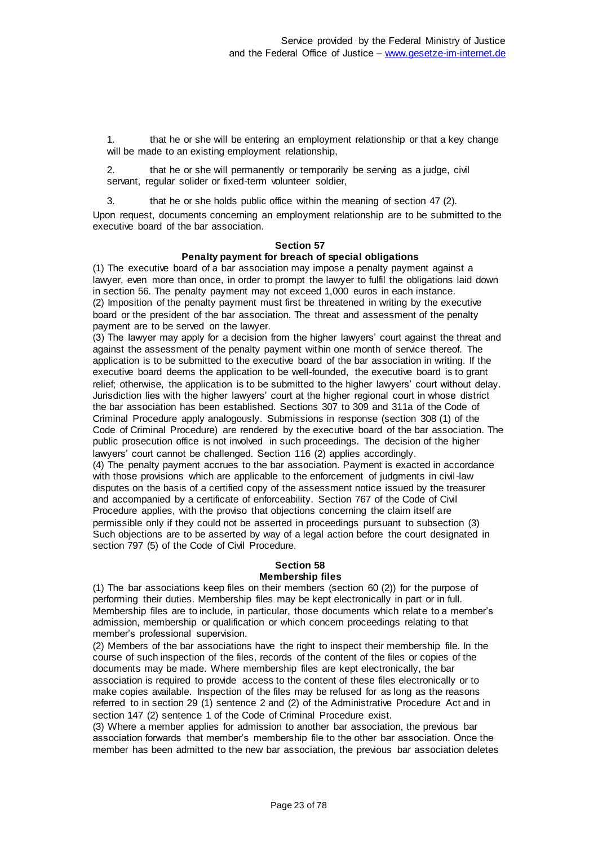1. that he or she will be entering an employment relationship or that a key change will be made to an existing employment relationship,

2. that he or she will permanently or temporarily be serving as a judge, civil servant, regular solider or fixed-term volunteer soldier,

3. that he or she holds public office within the meaning of section 47 (2).

Upon request, documents concerning an employment relationship are to be submitted to the executive board of the bar association.

#### **Section 57**

#### **Penalty payment for breach of special obligations**

(1) The executive board of a bar association may impose a penalty payment against a lawyer, even more than once, in order to prompt the lawyer to fulfil the obligations laid down in section 56. The penalty payment may not exceed 1,000 euros in each instance. (2) Imposition of the penalty payment must first be threatened in writing by the executive board or the president of the bar association. The threat and assessment of the penalty payment are to be served on the lawyer.

(3) The lawyer may apply for a decision from the higher lawyers' court against the threat and against the assessment of the penalty payment within one month of service thereof. The application is to be submitted to the executive board of the bar association in writing. If the executive board deems the application to be well-founded, the executive board is to grant relief; otherwise, the application is to be submitted to the higher lawyers' court without delay. Jurisdiction lies with the higher lawyers' court at the higher regional court in whose district the bar association has been established. Sections 307 to 309 and 311a of the Code of Criminal Procedure apply analogously. Submissions in response (section 308 (1) of the Code of Criminal Procedure) are rendered by the executive board of the bar association. The public prosecution office is not involved in such proceedings. The decision of the higher lawyers' court cannot be challenged. Section 116 (2) applies accordingly.

(4) The penalty payment accrues to the bar association. Payment is exacted in accordance with those provisions which are applicable to the enforcement of judgments in civil-law disputes on the basis of a certified copy of the assessment notice issued by the treasurer and accompanied by a certificate of enforceability. Section 767 of the Code of Civil Procedure applies, with the proviso that objections concerning the claim itself are permissible only if they could not be asserted in proceedings pursuant to subsection (3) Such objections are to be asserted by way of a legal action before the court designated in section 797 (5) of the Code of Civil Procedure.

#### **Section 58 Membership files**

(1) The bar associations keep files on their members (section 60 (2)) for the purpose of performing their duties. Membership files may be kept electronically in part or in full. Membership files are to include, in particular, those documents which relate to a member's admission, membership or qualification or which concern proceedings relating to that member's professional supervision.

(2) Members of the bar associations have the right to inspect their membership file. In the course of such inspection of the files, records of the content of the files or copies of the documents may be made. Where membership files are kept electronically, the bar association is required to provide access to the content of these files electronically or to make copies available. Inspection of the files may be refused for as long as the reasons referred to in section 29 (1) sentence 2 and (2) of the Administrative Procedure Act and in section 147 (2) sentence 1 of the Code of Criminal Procedure exist.

(3) Where a member applies for admission to another bar association, the previous bar association forwards that member's membership file to the other bar association. Once the member has been admitted to the new bar association, the previous bar association deletes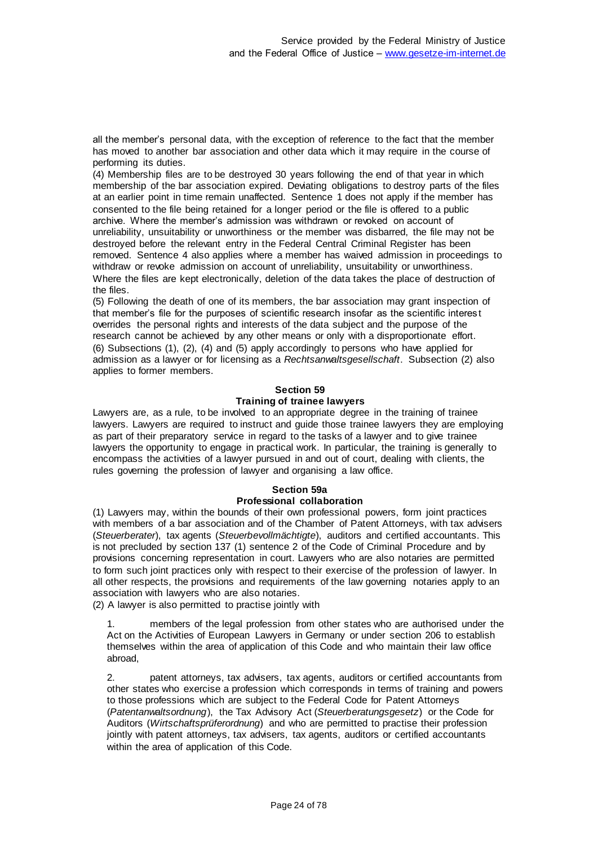all the member's personal data, with the exception of reference to the fact that the member has moved to another bar association and other data which it may require in the course of performing its duties.

(4) Membership files are to be destroyed 30 years following the end of that year in which membership of the bar association expired. Deviating obligations to destroy parts of the files at an earlier point in time remain unaffected. Sentence 1 does not apply if the member has consented to the file being retained for a longer period or the file is offered to a public archive. Where the member's admission was withdrawn or revoked on account of unreliability, unsuitability or unworthiness or the member was disbarred, the file may not be destroyed before the relevant entry in the Federal Central Criminal Register has been removed. Sentence 4 also applies where a member has waived admission in proceedings to withdraw or revoke admission on account of unreliability, unsuitability or unworthiness. Where the files are kept electronically, deletion of the data takes the place of destruction of the files.

(5) Following the death of one of its members, the bar association may grant inspection of that member's file for the purposes of scientific research insofar as the scientific interes t overrides the personal rights and interests of the data subject and the purpose of the research cannot be achieved by any other means or only with a disproportionate effort. (6) Subsections (1), (2), (4) and (5) apply accordingly to persons who have applied for admission as a lawyer or for licensing as a *Rechtsanwaltsgesellschaft*. Subsection (2) also applies to former members.

#### **Section 59 Training of trainee lawyers**

### Lawyers are, as a rule, to be involved to an appropriate degree in the training of trainee lawyers. Lawyers are required to instruct and guide those trainee lawyers they are employing as part of their preparatory service in regard to the tasks of a lawyer and to give trainee lawyers the opportunity to engage in practical work. In particular, the training is generally to encompass the activities of a lawyer pursued in and out of court, dealing with clients, the

## rules governing the profession of lawyer and organising a law office. **Section 59a**

## **Professional collaboration**

(1) Lawyers may, within the bounds of their own professional powers, form joint practices with members of a bar association and of the Chamber of Patent Attorneys, with tax advisers (*Steuerberater*), tax agents (*Steuerbevollmächtigte*), auditors and certified accountants. This is not precluded by section 137 (1) sentence 2 of the Code of Criminal Procedure and by provisions concerning representation in court. Lawyers who are also notaries are permitted to form such joint practices only with respect to their exercise of the profession of lawyer. In all other respects, the provisions and requirements of the law governing notaries apply to an association with lawyers who are also notaries.

(2) A lawyer is also permitted to practise jointly with

members of the legal profession from other states who are authorised under the Act on the Activities of European Lawyers in Germany or under section 206 to establish themselves within the area of application of this Code and who maintain their law office abroad,

2. patent attorneys, tax advisers, tax agents, auditors or certified accountants from other states who exercise a profession which corresponds in terms of training and powers to those professions which are subject to the Federal Code for Patent Attorneys (*Patentanwaltsordnung*), the Tax Advisory Act (*Steuerberatungsgesetz*) or the Code for Auditors (*Wirtschaftsprüferordnung*) and who are permitted to practise their profession jointly with patent attorneys, tax advisers, tax agents, auditors or certified accountants within the area of application of this Code.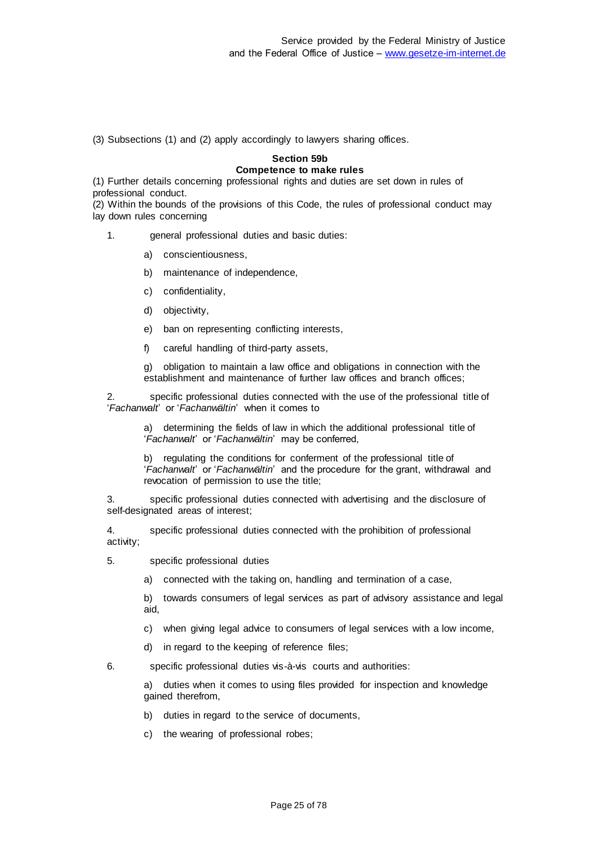(3) Subsections (1) and (2) apply accordingly to lawyers sharing offices.

#### **Section 59b Competence to make rules**

(1) Further details concerning professional rights and duties are set down in rules of professional conduct.

(2) Within the bounds of the provisions of this Code, the rules of professional conduct may lay down rules concerning

1. general professional duties and basic duties:

- a) conscientiousness,
- b) maintenance of independence,
- c) confidentiality,
- d) objectivity,
- e) ban on representing conflicting interests,
- f) careful handling of third-party assets,

g) obligation to maintain a law office and obligations in connection with the establishment and maintenance of further law offices and branch offices;

2. specific professional duties connected with the use of the professional title of '*Fachanwalt*' or '*Fachanwältin*' when it comes to

a) determining the fields of law in which the additional professional title of '*Fachanwalt*' or '*Fachanwältin*' may be conferred,

b) regulating the conditions for conferment of the professional title of '*Fachanwalt*' or '*Fachanwältin*' and the procedure for the grant, withdrawal and revocation of permission to use the title;

3. specific professional duties connected with advertising and the disclosure of self-designated areas of interest;

4. specific professional duties connected with the prohibition of professional activity;

- 5. specific professional duties
	- a) connected with the taking on, handling and termination of a case,

b) towards consumers of legal services as part of advisory assistance and legal aid,

- c) when giving legal advice to consumers of legal services with a low income,
- d) in regard to the keeping of reference files;
- 6. specific professional duties vis-à-vis courts and authorities:

a) duties when it comes to using files provided for inspection and knowledge gained therefrom,

- b) duties in regard to the service of documents,
- c) the wearing of professional robes;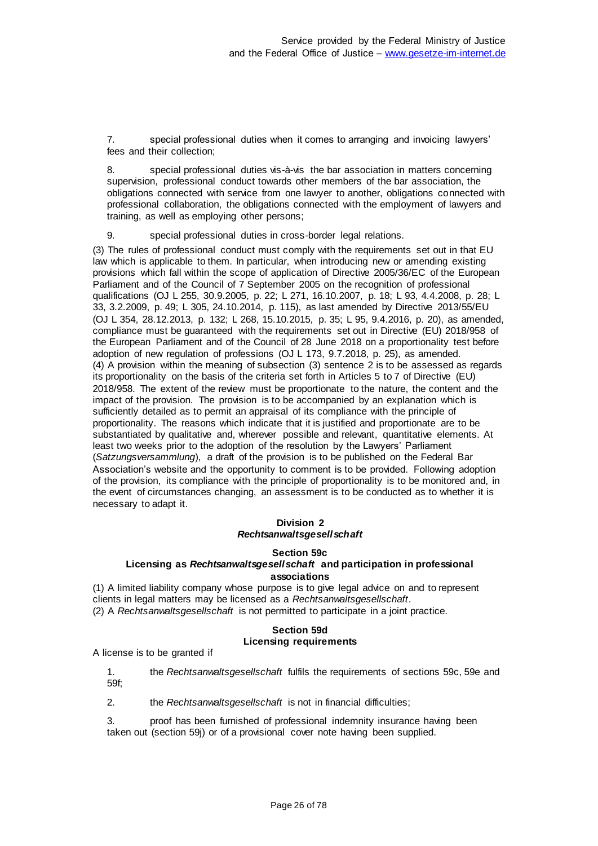7. special professional duties when it comes to arranging and invoicing lawyers' fees and their collection;

8. special professional duties vis-à-vis the bar association in matters concerning supervision, professional conduct towards other members of the bar association, the obligations connected with service from one lawyer to another, obligations connected with professional collaboration, the obligations connected with the employment of lawyers and training, as well as employing other persons;

9. special professional duties in cross-border legal relations.

(3) The rules of professional conduct must comply with the requirements set out in that EU law which is applicable to them. In particular, when introducing new or amending existing provisions which fall within the scope of application of Directive 2005/36/EC of the European Parliament and of the Council of 7 September 2005 on the recognition of professional qualifications (OJ L 255, 30.9.2005, p. 22; L 271, 16.10.2007, p. 18; L 93, 4.4.2008, p. 28; L 33, 3.2.2009, p. 49; L 305, 24.10.2014, p. 115), as last amended by Directive 2013/55/EU (OJ L 354, 28.12.2013, p. 132; L 268, 15.10.2015, p. 35; L 95, 9.4.2016, p. 20), as amended, compliance must be guaranteed with the requirements set out in Directive (EU) 2018/958 of the European Parliament and of the Council of 28 June 2018 on a proportionality test before adoption of new regulation of professions (OJ L 173, 9.7.2018, p. 25), as amended. (4) A provision within the meaning of subsection (3) sentence 2 is to be assessed as regards its proportionality on the basis of the criteria set forth in Articles 5 to 7 of Directive (EU) 2018/958. The extent of the review must be proportionate to the nature, the content and the impact of the provision. The provision is to be accompanied by an explanation which is sufficiently detailed as to permit an appraisal of its compliance with the principle of proportionality. The reasons which indicate that it is justified and proportionate are to be substantiated by qualitative and, wherever possible and relevant, quantitative elements. At least two weeks prior to the adoption of the resolution by the Lawyers' Parliament (*Satzungsversammlung*), a draft of the provision is to be published on the Federal Bar Association's website and the opportunity to comment is to be provided. Following adoption of the provision, its compliance with the principle of proportionality is to be monitored and, in the event of circumstances changing, an assessment is to be conducted as to whether it is necessary to adapt it.

#### **Division 2** *Rechtsanwaltsgesellschaft*

#### **Section 59c**

#### **Licensing as** *Rechtsanwaltsgesellschaft* **and participation in professional associations**

(1) A limited liability company whose purpose is to give legal advice on and to represent clients in legal matters may be licensed as a *Rechtsanwaltsgesellschaft*.

(2) A *Rechtsanwaltsgesellschaft* is not permitted to participate in a joint practice.

#### **Section 59d Licensing requirements**

A license is to be granted if

1. the *Rechtsanwaltsgesellschaft* fulfils the requirements of sections 59c, 59e and 59f;

2. the *Rechtsanwaltsgesellschaft* is not in financial difficulties;

proof has been furnished of professional indemnity insurance having been taken out (section 59j) or of a provisional cover note having been supplied.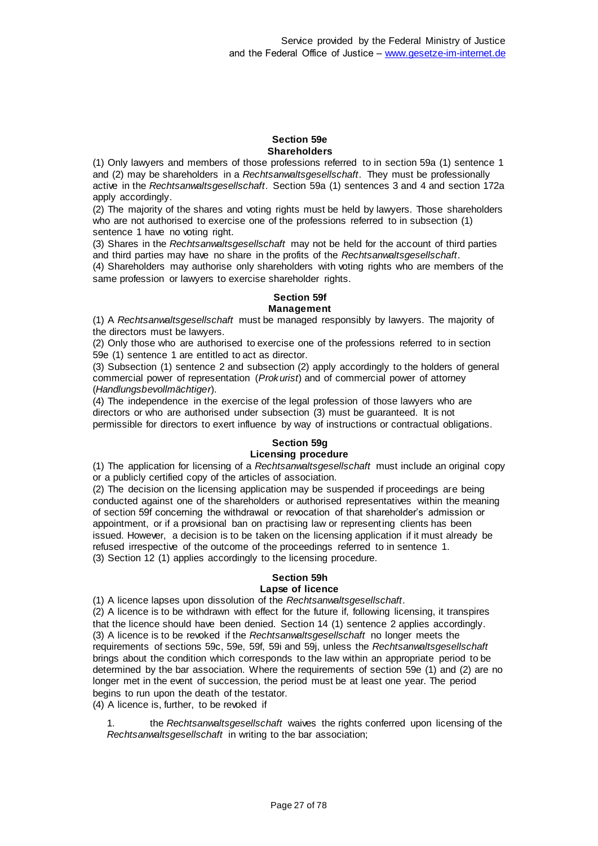#### **Section 59e Shareholders**

(1) Only lawyers and members of those professions referred to in section 59a (1) sentence 1 and (2) may be shareholders in a *Rechtsanwaltsgesellschaft*. They must be professionally active in the *Rechtsanwaltsgesellschaft*. Section 59a (1) sentences 3 and 4 and section 172a apply accordingly.

(2) The majority of the shares and voting rights must be held by lawyers. Those shareholders who are not authorised to exercise one of the professions referred to in subsection (1) sentence 1 have no voting right.

(3) Shares in the *Rechtsanwaltsgesellschaft* may not be held for the account of third parties and third parties may have no share in the profits of the *Rechtsanwaltsgesellschaft*.

(4) Shareholders may authorise only shareholders with voting rights who are members of the same profession or lawyers to exercise shareholder rights.

#### **Section 59f Management**

(1) A *Rechtsanwaltsgesellschaft* must be managed responsibly by lawyers. The majority of the directors must be lawyers.

(2) Only those who are authorised to exercise one of the professions referred to in section 59e (1) sentence 1 are entitled to act as director.

(3) Subsection (1) sentence 2 and subsection (2) apply accordingly to the holders of general commercial power of representation (*Prokurist*) and of commercial power of attorney (*Handlungsbevollmächtiger*).

(4) The independence in the exercise of the legal profession of those lawyers who are directors or who are authorised under subsection (3) must be guaranteed. It is not permissible for directors to exert influence by way of instructions or contractual obligations.

## **Section 59g**

### **Licensing procedure**

(1) The application for licensing of a *Rechtsanwaltsgesellschaft* must include an original copy or a publicly certified copy of the articles of association.

(2) The decision on the licensing application may be suspended if proceedings are being conducted against one of the shareholders or authorised representatives within the meaning of section 59f concerning the withdrawal or revocation of that shareholder's admission or appointment, or if a provisional ban on practising law or representing clients has been issued. However, a decision is to be taken on the licensing application if it must already be refused irrespective of the outcome of the proceedings referred to in sentence 1. (3) Section 12 (1) applies accordingly to the licensing procedure.

## **Section 59h**

## **Lapse of licence**

(1) A licence lapses upon dissolution of the *Rechtsanwaltsgesellschaft*.

(2) A licence is to be withdrawn with effect for the future if, following licensing, it transpires that the licence should have been denied. Section 14 (1) sentence 2 applies accordingly. (3) A licence is to be revoked if the *Rechtsanwaltsgesellschaft* no longer meets the requirements of sections 59c, 59e, 59f, 59i and 59j, unless the *Rechtsanwaltsgesellschaft* brings about the condition which corresponds to the law within an appropriate period to be determined by the bar association. Where the requirements of section 59e (1) and (2) are no longer met in the event of succession, the period must be at least one year. The period begins to run upon the death of the testator.

(4) A licence is, further, to be revoked if

1. the *Rechtsanwaltsgesellschaft* waives the rights conferred upon licensing of the *Rechtsanwaltsgesellschaft* in writing to the bar association;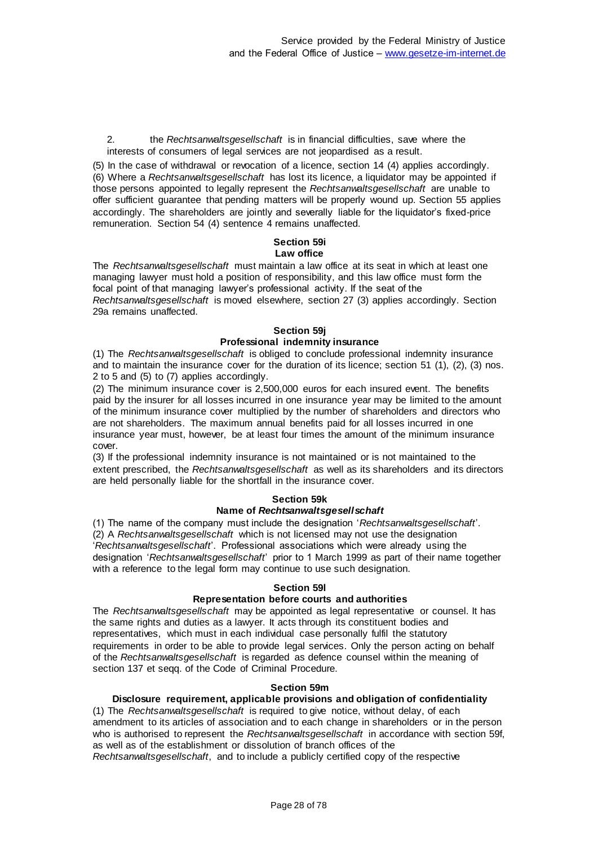2. the *Rechtsanwaltsgesellschaft* is in financial difficulties, save where the interests of consumers of legal services are not jeopardised as a result.

(5) In the case of withdrawal or revocation of a licence, section 14 (4) applies accordingly. (6) Where a *Rechtsanwaltsgesellschaft* has lost its licence, a liquidator may be appointed if those persons appointed to legally represent the *Rechtsanwaltsgesellschaft* are unable to offer sufficient guarantee that pending matters will be properly wound up. Section 55 applies accordingly. The shareholders are jointly and severally liable for the liquidator's fixed-price remuneration. Section 54 (4) sentence 4 remains unaffected.

#### **Section 59i Law office**

The *Rechtsanwaltsgesellschaft* must maintain a law office at its seat in which at least one managing lawyer must hold a position of responsibility, and this law office must form the focal point of that managing lawyer's professional activity. If the seat of the *Rechtsanwaltsgesellschaft* is moved elsewhere, section 27 (3) applies accordingly. Section 29a remains unaffected.

## **Section 59j Professional indemnity insurance**

(1) The *Rechtsanwaltsgesellschaft* is obliged to conclude professional indemnity insurance and to maintain the insurance cover for the duration of its licence; section 51 (1), (2), (3) nos. 2 to 5 and (5) to (7) applies accordingly.

(2) The minimum insurance cover is 2,500,000 euros for each insured event. The benefits paid by the insurer for all losses incurred in one insurance year may be limited to the amount of the minimum insurance cover multiplied by the number of shareholders and directors who are not shareholders. The maximum annual benefits paid for all losses incurred in one insurance year must, however, be at least four times the amount of the minimum insurance cover.

(3) If the professional indemnity insurance is not maintained or is not maintained to the extent prescribed, the *Rechtsanwaltsgesellschaft* as well as its shareholders and its directors are held personally liable for the shortfall in the insurance cover.

## **Section 59k**

## **Name of** *Rechtsanwaltsgesellschaft*

(1) The name of the company must include the designation '*Rechtsanwaltsgesellschaft*'. (2) A *Rechtsanwaltsgesellschaft* which is not licensed may not use the designation '*Rechtsanwaltsgesellschaft*'. Professional associations which were already using the designation '*Rechtsanwaltsgesellschaft*' prior to 1 March 1999 as part of their name together with a reference to the legal form may continue to use such designation.

## **Section 59l**

## **Representation before courts and authorities**

The *Rechtsanwaltsgesellschaft* may be appointed as legal representative or counsel. It has the same rights and duties as a lawyer. It acts through its constituent bodies and representatives, which must in each individual case personally fulfil the statutory requirements in order to be able to provide legal services. Only the person acting on behalf of the *Rechtsanwaltsgesellschaft* is regarded as defence counsel within the meaning of section 137 et seqq. of the Code of Criminal Procedure.

#### **Section 59m**

#### **Disclosure requirement, applicable provisions and obligation of confidentiality**

(1) The *Rechtsanwaltsgesellschaft* is required to give notice, without delay, of each amendment to its articles of association and to each change in shareholders or in the person who is authorised to represent the *Rechtsanwaltsgesellschaft* in accordance with section 59f, as well as of the establishment or dissolution of branch offices of the *Rechtsanwaltsgesellschaft*, and to include a publicly certified copy of the respective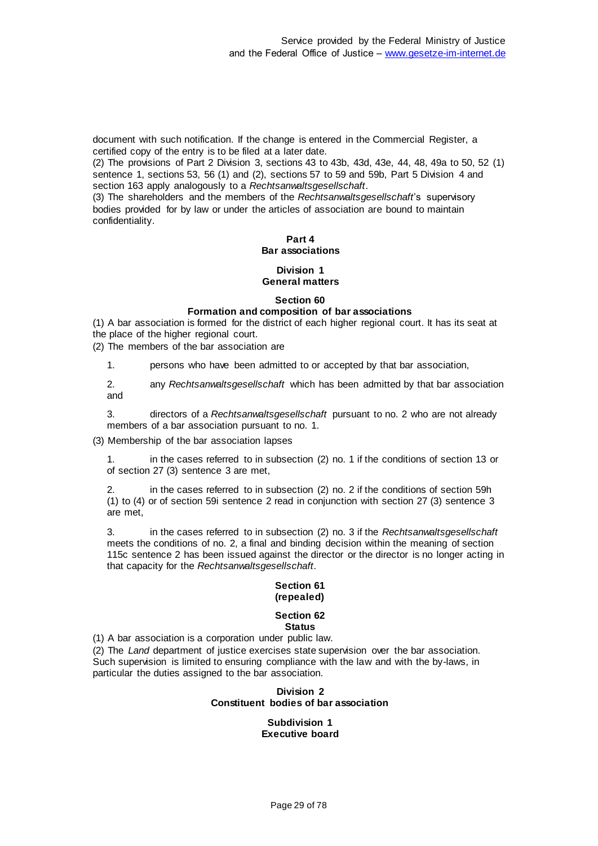document with such notification. If the change is entered in the Commercial Register, a certified copy of the entry is to be filed at a later date.

(2) The provisions of Part 2 Division 3, sections 43 to 43b, 43d, 43e, 44, 48, 49a to 50, 52 (1) sentence 1, sections 53, 56 (1) and (2), sections 57 to 59 and 59b, Part 5 Division 4 and section 163 apply analogously to a *Rechtsanwaltsgesellschaft*.

(3) The shareholders and the members of the *Rechtsanwaltsgesellschaft*'s supervisory bodies provided for by law or under the articles of association are bound to maintain confidentiality.

#### **Part 4 Bar associations**

#### **Division 1 General matters**

## **Section 60**

#### **Formation and composition of bar associations**

(1) A bar association is formed for the district of each higher regional court. It has its seat at the place of the higher regional court.

(2) The members of the bar association are

1. persons who have been admitted to or accepted by that bar association,

2. any *Rechtsanwaltsgesellschaft* which has been admitted by that bar association and

3. directors of a *Rechtsanwaltsgesellschaft* pursuant to no. 2 who are not already members of a bar association pursuant to no. 1.

(3) Membership of the bar association lapses

1. in the cases referred to in subsection (2) no. 1 if the conditions of section 13 or of section 27 (3) sentence 3 are met,

in the cases referred to in subsection (2) no. 2 if the conditions of section 59h (1) to (4) or of section 59i sentence 2 read in conjunction with section 27 (3) sentence 3 are met,

3. in the cases referred to in subsection (2) no. 3 if the *Rechtsanwaltsgesellschaft* meets the conditions of no. 2, a final and binding decision within the meaning of section 115c sentence 2 has been issued against the director or the director is no longer acting in that capacity for the *Rechtsanwaltsgesellschaft*.

#### **Section 61 (repealed)**

#### **Section 62 Status**

(1) A bar association is a corporation under public law.

(2) The *Land* department of justice exercises state supervision over the bar association. Such supervision is limited to ensuring compliance with the law and with the by-laws, in particular the duties assigned to the bar association.

#### **Division 2 Constituent bodies of bar association**

#### **Subdivision 1 Executive board**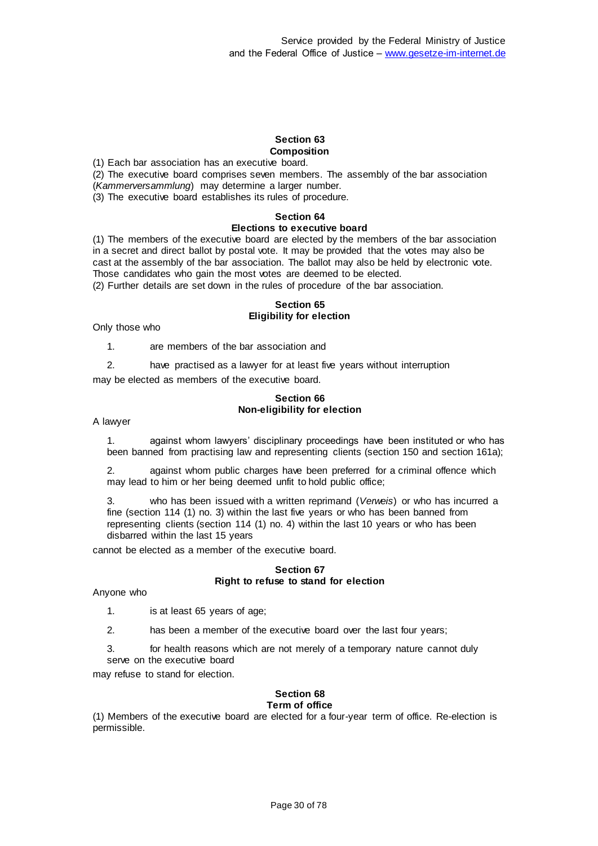#### **Section 63 Composition**

(1) Each bar association has an executive board.

(2) The executive board comprises seven members. The assembly of the bar association (*Kammerversammlung*) may determine a larger number.

(3) The executive board establishes its rules of procedure.

#### **Section 64**

#### **Elections to executive board**

(1) The members of the executive board are elected by the members of the bar association in a secret and direct ballot by postal vote. It may be provided that the votes may also be cast at the assembly of the bar association. The ballot may also be held by electronic vote. Those candidates who gain the most votes are deemed to be elected.

(2) Further details are set down in the rules of procedure of the bar association.

#### **Section 65 Eligibility for election**

Only those who

1. are members of the bar association and

2. have practised as a lawyer for at least five years without interruption

may be elected as members of the executive board.

#### **Section 66 Non-eligibility for election**

A lawyer

1. against whom lawyers' disciplinary proceedings have been instituted or who has been banned from practising law and representing clients (section 150 and section 161a);

2. against whom public charges have been preferred for a criminal offence which may lead to him or her being deemed unfit to hold public office;

3. who has been issued with a written reprimand (*Verweis*) or who has incurred a fine (section 114 (1) no. 3) within the last five years or who has been banned from representing clients (section 114 (1) no. 4) within the last 10 years or who has been disbarred within the last 15 years

cannot be elected as a member of the executive board.

### **Section 67 Right to refuse to stand for election**

Anyone who

1. is at least 65 years of age;

2. has been a member of the executive board over the last four years;

3. for health reasons which are not merely of a temporary nature cannot duly serve on the executive board

may refuse to stand for election.

## **Section 68**

### **Term of office**

(1) Members of the executive board are elected for a four-year term of office. Re-election is permissible.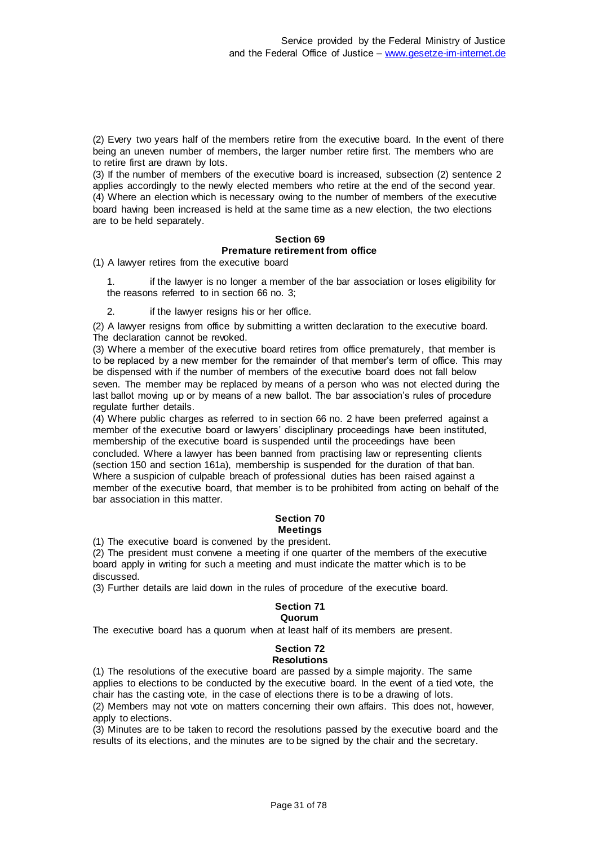(2) Every two years half of the members retire from the executive board. In the event of there being an uneven number of members, the larger number retire first. The members who are to retire first are drawn by lots.

(3) If the number of members of the executive board is increased, subsection (2) sentence 2 applies accordingly to the newly elected members who retire at the end of the second year. (4) Where an election which is necessary owing to the number of members of the executive board having been increased is held at the same time as a new election, the two elections are to be held separately.

#### **Section 69 Premature retirement from office**

(1) A lawyer retires from the executive board

1. if the lawyer is no longer a member of the bar association or loses eligibility for the reasons referred to in section 66 no. 3;

2. if the lawyer resigns his or her office.

(2) A lawyer resigns from office by submitting a written declaration to the executive board. The declaration cannot be revoked.

(3) Where a member of the executive board retires from office prematurely, that member is to be replaced by a new member for the remainder of that member's term of office. This may be dispensed with if the number of members of the executive board does not fall below seven. The member may be replaced by means of a person who was not elected during the last ballot moving up or by means of a new ballot. The bar association's rules of procedure regulate further details.

(4) Where public charges as referred to in section 66 no. 2 have been preferred against a member of the executive board or lawyers' disciplinary proceedings have been instituted, membership of the executive board is suspended until the proceedings have been concluded. Where a lawyer has been banned from practising law or representing clients (section 150 and section 161a), membership is suspended for the duration of that ban. Where a suspicion of culpable breach of professional duties has been raised against a member of the executive board, that member is to be prohibited from acting on behalf of the bar association in this matter.

#### **Section 70 Meetings**

(1) The executive board is convened by the president.

(2) The president must convene a meeting if one quarter of the members of the executive board apply in writing for such a meeting and must indicate the matter which is to be discussed.

(3) Further details are laid down in the rules of procedure of the executive board.

## **Section 71**

#### **Quorum**

The executive board has a quorum when at least half of its members are present.

# **Section 72**

**Resolutions**

(1) The resolutions of the executive board are passed by a simple majority. The same applies to elections to be conducted by the executive board. In the event of a tied vote, the chair has the casting vote, in the case of elections there is to be a drawing of lots.

(2) Members may not vote on matters concerning their own affairs. This does not, however, apply to elections.

(3) Minutes are to be taken to record the resolutions passed by the executive board and the results of its elections, and the minutes are to be signed by the chair and the secretary.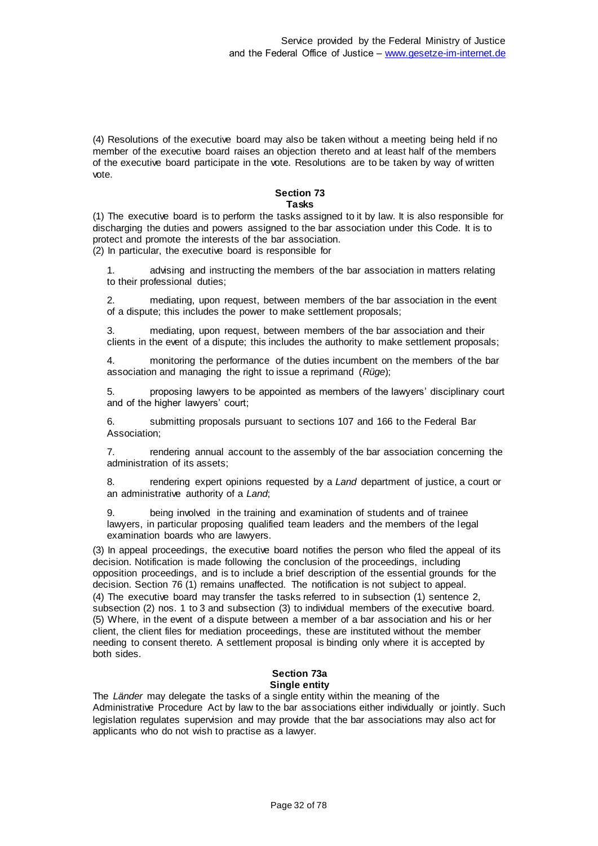(4) Resolutions of the executive board may also be taken without a meeting being held if no member of the executive board raises an objection thereto and at least half of the members of the executive board participate in the vote. Resolutions are to be taken by way of written vote.

#### **Section 73 Tasks**

(1) The executive board is to perform the tasks assigned to it by law. It is also responsible for discharging the duties and powers assigned to the bar association under this Code. It is to protect and promote the interests of the bar association. (2) In particular, the executive board is responsible for

1. advising and instructing the members of the bar association in matters relating to their professional duties;

2. mediating, upon request, between members of the bar association in the event of a dispute; this includes the power to make settlement proposals;

3. mediating, upon request, between members of the bar association and their clients in the event of a dispute; this includes the authority to make settlement proposals;

4. monitoring the performance of the duties incumbent on the members of the bar association and managing the right to issue a reprimand (*Rüge*);

5. proposing lawyers to be appointed as members of the lawyers' disciplinary court and of the higher lawyers' court;

6. submitting proposals pursuant to sections 107 and 166 to the Federal Bar Association;

7. rendering annual account to the assembly of the bar association concerning the administration of its assets;

8. rendering expert opinions requested by a *Land* department of justice, a court or an administrative authority of a *Land*;

9. being involved in the training and examination of students and of trainee lawyers, in particular proposing qualified team leaders and the members of the legal examination boards who are lawyers.

(3) In appeal proceedings, the executive board notifies the person who filed the appeal of its decision. Notification is made following the conclusion of the proceedings, including opposition proceedings, and is to include a brief description of the essential grounds for the decision. Section 76 (1) remains unaffected. The notification is not subject to appeal. (4) The executive board may transfer the tasks referred to in subsection (1) sentence 2, subsection (2) nos. 1 to 3 and subsection (3) to individual members of the executive board. (5) Where, in the event of a dispute between a member of a bar association and his or her client, the client files for mediation proceedings, these are instituted without the member needing to consent thereto. A settlement proposal is binding only where it is accepted by both sides.

#### **Section 73a Single entity**

The *Länder* may delegate the tasks of a single entity within the meaning of the Administrative Procedure Act by law to the bar associations either individually or jointly. Such legislation regulates supervision and may provide that the bar associations may also act for applicants who do not wish to practise as a lawyer.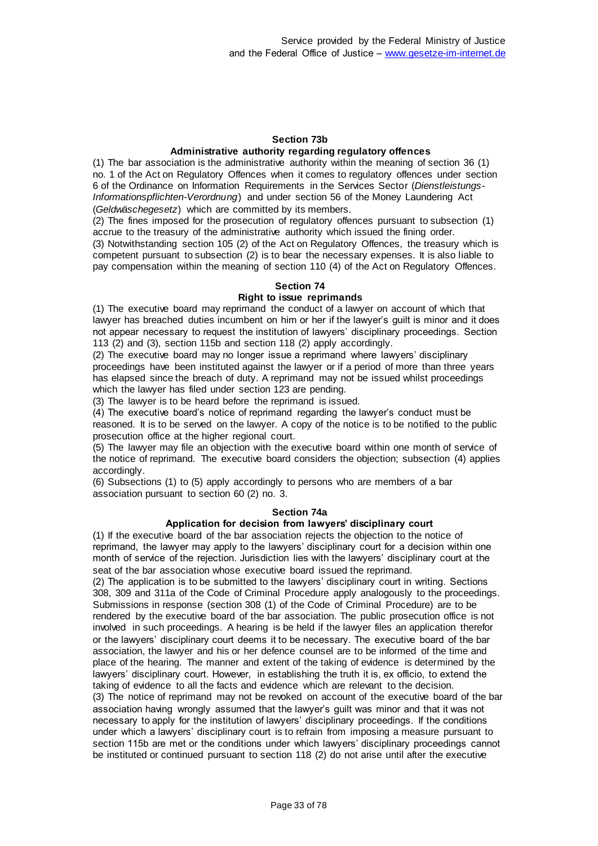#### **Section 73b**

#### **Administrative authority regarding regulatory offences**

(1) The bar association is the administrative authority within the meaning of section 36 (1) no. 1 of the Act on Regulatory Offences when it comes to regulatory offences under section 6 of the Ordinance on Information Requirements in the Services Sector (*Dienstleistungs-Informationspflichten-Verordnung*) and under section 56 of the Money Laundering Act (*Geldwäschegesetz*) which are committed by its members.

(2) The fines imposed for the prosecution of regulatory offences pursuant to subsection (1) accrue to the treasury of the administrative authority which issued the fining order.

(3) Notwithstanding section 105 (2) of the Act on Regulatory Offences, the treasury which is competent pursuant to subsection (2) is to bear the necessary expenses. It is also liable to pay compensation within the meaning of section 110 (4) of the Act on Regulatory Offences.

#### **Section 74**

#### **Right to issue reprimands**

(1) The executive board may reprimand the conduct of a lawyer on account of which that lawyer has breached duties incumbent on him or her if the lawyer's guilt is minor and it does not appear necessary to request the institution of lawyers' disciplinary proceedings. Section 113 (2) and (3), section 115b and section 118 (2) apply accordingly.

(2) The executive board may no longer issue a reprimand where lawyers' disciplinary proceedings have been instituted against the lawyer or if a period of more than three years has elapsed since the breach of duty. A reprimand may not be issued whilst proceedings which the lawyer has filed under section 123 are pending.

(3) The lawyer is to be heard before the reprimand is issued.

(4) The executive board's notice of reprimand regarding the lawyer's conduct must be reasoned. It is to be served on the lawyer. A copy of the notice is to be notified to the public prosecution office at the higher regional court.

(5) The lawyer may file an objection with the executive board within one month of service of the notice of reprimand. The executive board considers the objection; subsection (4) applies accordingly.

(6) Subsections (1) to (5) apply accordingly to persons who are members of a bar association pursuant to section 60 (2) no. 3.

#### **Section 74a**

#### **Application for decision from lawyers' disciplinary court**

(1) If the executive board of the bar association rejects the objection to the notice of reprimand, the lawyer may apply to the lawyers' disciplinary court for a decision within one month of service of the rejection. Jurisdiction lies with the lawyers' disciplinary court at the seat of the bar association whose executive board issued the reprimand.

(2) The application is to be submitted to the lawyers' disciplinary court in writing. Sections 308, 309 and 311a of the Code of Criminal Procedure apply analogously to the proceedings. Submissions in response (section 308 (1) of the Code of Criminal Procedure) are to be rendered by the executive board of the bar association. The public prosecution office is not involved in such proceedings. A hearing is be held if the lawyer files an application therefor or the lawyers' disciplinary court deems it to be necessary. The executive board of the bar association, the lawyer and his or her defence counsel are to be informed of the time and place of the hearing. The manner and extent of the taking of evidence is determined by the lawyers' disciplinary court. However, in establishing the truth it is, ex officio, to extend the taking of evidence to all the facts and evidence which are relevant to the decision. (3) The notice of reprimand may not be revoked on account of the executive board of the bar association having wrongly assumed that the lawyer's guilt was minor and that it was not necessary to apply for the institution of lawyers' disciplinary proceedings. If the conditions under which a lawyers' disciplinary court is to refrain from imposing a measure pursuant to section 115b are met or the conditions under which lawyers' disciplinary proceedings cannot be instituted or continued pursuant to section 118 (2) do not arise until after the executive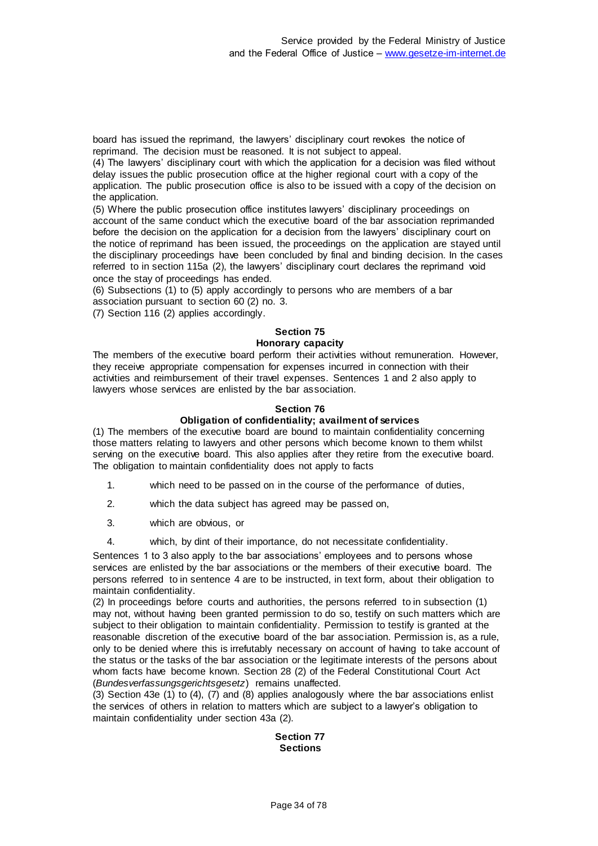board has issued the reprimand, the lawyers' disciplinary court revokes the notice of reprimand. The decision must be reasoned. It is not subject to appeal.

(4) The lawyers' disciplinary court with which the application for a decision was filed without delay issues the public prosecution office at the higher regional court with a copy of the application. The public prosecution office is also to be issued with a copy of the decision on the application.

(5) Where the public prosecution office institutes lawyers' disciplinary proceedings on account of the same conduct which the executive board of the bar association reprimanded before the decision on the application for a decision from the lawyers' disciplinary court on the notice of reprimand has been issued, the proceedings on the application are stayed until the disciplinary proceedings have been concluded by final and binding decision. In the cases referred to in section 115a (2), the lawyers' disciplinary court declares the reprimand void once the stay of proceedings has ended.

(6) Subsections (1) to (5) apply accordingly to persons who are members of a bar association pursuant to section 60 (2) no. 3.

(7) Section 116 (2) applies accordingly.

#### **Section 75 Honorary capacity**

The members of the executive board perform their activities without remuneration. However, they receive appropriate compensation for expenses incurred in connection with their activities and reimbursement of their travel expenses. Sentences 1 and 2 also apply to lawyers whose services are enlisted by the bar association.

#### **Section 76**

### **Obligation of confidentiality; availment of services**

(1) The members of the executive board are bound to maintain confidentiality concerning those matters relating to lawyers and other persons which become known to them whilst serving on the executive board. This also applies after they retire from the executive board. The obligation to maintain confidentiality does not apply to facts

- 1. which need to be passed on in the course of the performance of duties,
- 2. which the data subject has agreed may be passed on,
- 3. which are obvious, or
- 4. which, by dint of their importance, do not necessitate confidentiality.

Sentences 1 to 3 also apply to the bar associations' employees and to persons whose services are enlisted by the bar associations or the members of their executive board. The persons referred to in sentence 4 are to be instructed, in text form, about their obligation to maintain confidentiality.

(2) In proceedings before courts and authorities, the persons referred to in subsection (1) may not, without having been granted permission to do so, testify on such matters which are subject to their obligation to maintain confidentiality. Permission to testify is granted at the reasonable discretion of the executive board of the bar association. Permission is, as a rule, only to be denied where this is irrefutably necessary on account of having to take account of the status or the tasks of the bar association or the legitimate interests of the persons about whom facts have become known. Section 28 (2) of the Federal Constitutional Court Act (*Bundesverfassungsgerichtsgesetz*) remains unaffected.

(3) Section 43e (1) to (4), (7) and (8) applies analogously where the bar associations enlist the services of others in relation to matters which are subject to a lawyer's obligation to maintain confidentiality under section 43a (2).

> **Section 77 Sections**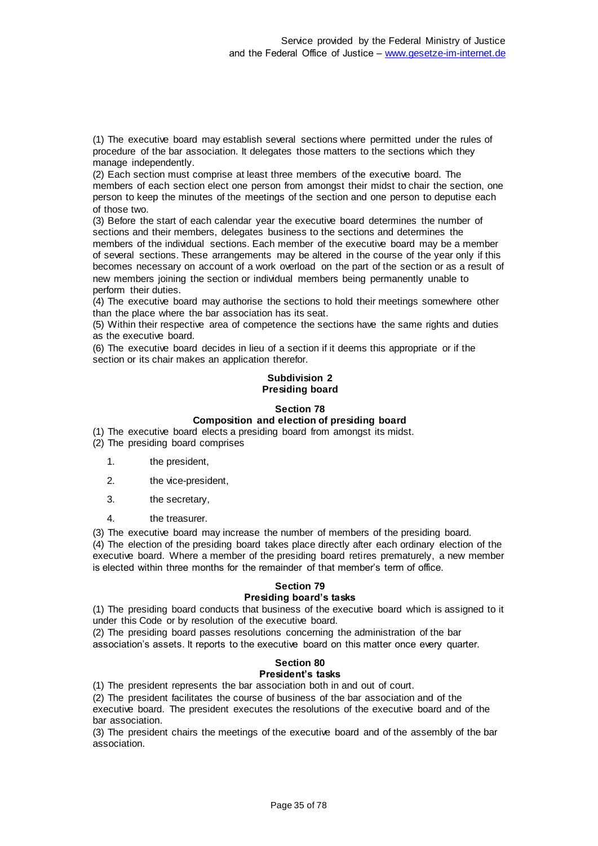(1) The executive board may establish several sections where permitted under the rules of procedure of the bar association. It delegates those matters to the sections which they manage independently.

(2) Each section must comprise at least three members of the executive board. The members of each section elect one person from amongst their midst to chair the section, one person to keep the minutes of the meetings of the section and one person to deputise each of those two.

(3) Before the start of each calendar year the executive board determines the number of sections and their members, delegates business to the sections and determines the members of the individual sections. Each member of the executive board may be a member of several sections. These arrangements may be altered in the course of the year only if this becomes necessary on account of a work overload on the part of the section or as a result of new members joining the section or individual members being permanently unable to perform their duties.

(4) The executive board may authorise the sections to hold their meetings somewhere other than the place where the bar association has its seat.

(5) Within their respective area of competence the sections have the same rights and duties as the executive board.

(6) The executive board decides in lieu of a section if it deems this appropriate or if the section or its chair makes an application therefor.

#### **Subdivision 2 Presiding board**

## **Section 78**

### **Composition and election of presiding board**

(1) The executive board elects a presiding board from amongst its midst.

- (2) The presiding board comprises
	- 1. the president,
	- 2. the vice-president,
	- 3. the secretary,
	- 4. the treasurer.

(3) The executive board may increase the number of members of the presiding board.

(4) The election of the presiding board takes place directly after each ordinary election of the executive board. Where a member of the presiding board retires prematurely, a new member is elected within three months for the remainder of that member's term of office.

## **Section 79**

#### **Presiding board's tasks**

(1) The presiding board conducts that business of the executive board which is assigned to it under this Code or by resolution of the executive board.

(2) The presiding board passes resolutions concerning the administration of the bar association's assets. It reports to the executive board on this matter once every quarter.

## **Section 80**

### **President's tasks**

(1) The president represents the bar association both in and out of court.

(2) The president facilitates the course of business of the bar association and of the executive board. The president executes the resolutions of the executive board and of the bar association.

(3) The president chairs the meetings of the executive board and of the assembly of the bar association.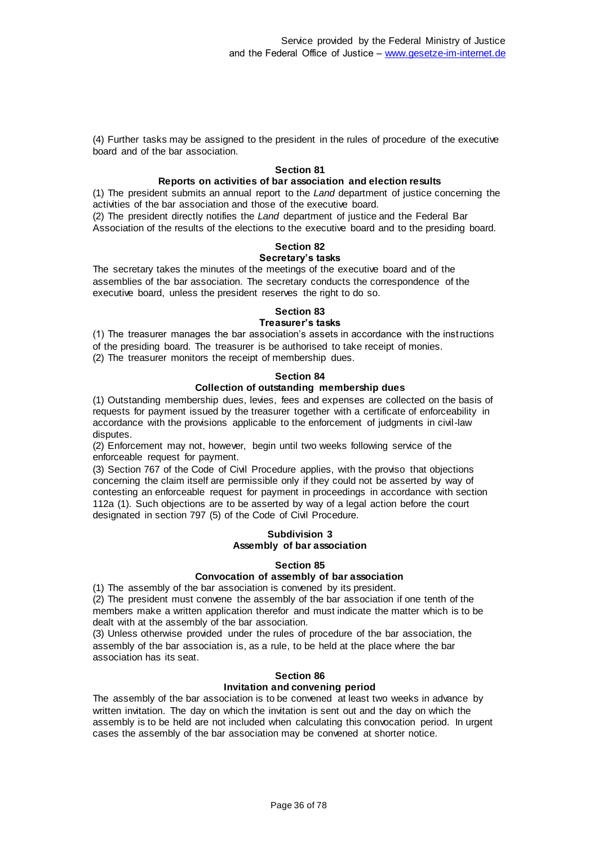(4) Further tasks may be assigned to the president in the rules of procedure of the executive board and of the bar association.

## **Section 81**

### **Reports on activities of bar association and election results**

(1) The president submits an annual report to the *Land* department of justice concerning the activities of the bar association and those of the executive board.

(2) The president directly notifies the *Land* department of justice and the Federal Bar Association of the results of the elections to the executive board and to the presiding board.

#### **Section 82 Secretary's tasks**

The secretary takes the minutes of the meetings of the executive board and of the assemblies of the bar association. The secretary conducts the correspondence of the executive board, unless the president reserves the right to do so.

### **Section 83**

#### **Treasurer's tasks**

(1) The treasurer manages the bar association's assets in accordance with the instructions of the presiding board. The treasurer is be authorised to take receipt of monies. (2) The treasurer monitors the receipt of membership dues.

#### **Section 84**

#### **Collection of outstanding membership dues**

(1) Outstanding membership dues, levies, fees and expenses are collected on the basis of requests for payment issued by the treasurer together with a certificate of enforceability in accordance with the provisions applicable to the enforcement of judgments in civil-law disputes.

(2) Enforcement may not, however, begin until two weeks following service of the enforceable request for payment.

(3) Section 767 of the Code of Civil Procedure applies, with the proviso that objections concerning the claim itself are permissible only if they could not be asserted by way of contesting an enforceable request for payment in proceedings in accordance with section 112a (1). Such objections are to be asserted by way of a legal action before the court designated in section 797 (5) of the Code of Civil Procedure.

#### **Subdivision 3 Assembly of bar association**

#### **Section 85**

## **Convocation of assembly of bar association**

(1) The assembly of the bar association is convened by its president. (2) The president must convene the assembly of the bar association if one tenth of the

members make a written application therefor and must indicate the matter which is to be dealt with at the assembly of the bar association.

(3) Unless otherwise provided under the rules of procedure of the bar association, the assembly of the bar association is, as a rule, to be held at the place where the bar association has its seat.

#### **Section 86**

#### **Invitation and convening period**

The assembly of the bar association is to be convened at least two weeks in advance by written invitation. The day on which the invitation is sent out and the day on which the assembly is to be held are not included when calculating this convocation period. In urgent cases the assembly of the bar association may be convened at shorter notice.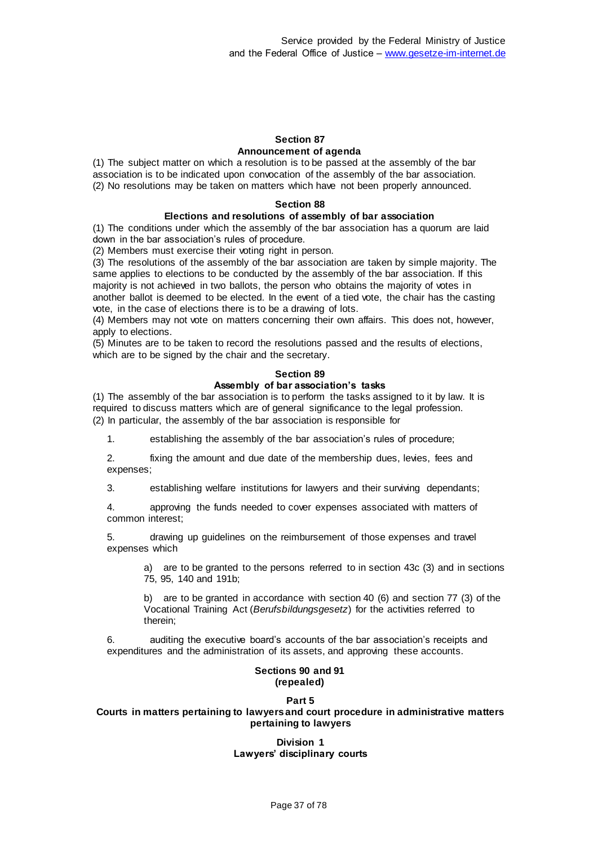#### **Section 87 Announcement of agenda**

(1) The subject matter on which a resolution is to be passed at the assembly of the bar association is to be indicated upon convocation of the assembly of the bar association. (2) No resolutions may be taken on matters which have not been properly announced.

### **Section 88**

### **Elections and resolutions of assembly of bar association**

(1) The conditions under which the assembly of the bar association has a quorum are laid down in the bar association's rules of procedure.

(2) Members must exercise their voting right in person.

(3) The resolutions of the assembly of the bar association are taken by simple majority. The same applies to elections to be conducted by the assembly of the bar association. If this majority is not achieved in two ballots, the person who obtains the majority of votes in another ballot is deemed to be elected. In the event of a tied vote, the chair has the casting vote, in the case of elections there is to be a drawing of lots.

(4) Members may not vote on matters concerning their own affairs. This does not, however, apply to elections.

(5) Minutes are to be taken to record the resolutions passed and the results of elections, which are to be signed by the chair and the secretary.

### **Section 89**

### **Assembly of bar association's tasks**

(1) The assembly of the bar association is to perform the tasks assigned to it by law. It is required to discuss matters which are of general significance to the legal profession. (2) In particular, the assembly of the bar association is responsible for

1. establishing the assembly of the bar association's rules of procedure;

2. fixing the amount and due date of the membership dues, levies, fees and expenses;

3. establishing welfare institutions for lawyers and their surviving dependants;

4. approving the funds needed to cover expenses associated with matters of common interest;

5. drawing up guidelines on the reimbursement of those expenses and travel expenses which

a) are to be granted to the persons referred to in section 43c (3) and in sections 75, 95, 140 and 191b;

b) are to be granted in accordance with section 40 (6) and section 77 (3) of the Vocational Training Act (*Berufsbildungsgesetz*) for the activities referred to therein;

6. auditing the executive board's accounts of the bar association's receipts and expenditures and the administration of its assets, and approving these accounts.

### **Sections 90 and 91 (repealed)**

#### **Part 5**

#### **Courts in matters pertaining to lawyers and court procedure in administrative matters pertaining to lawyers**

**Division 1 Lawyers' disciplinary courts**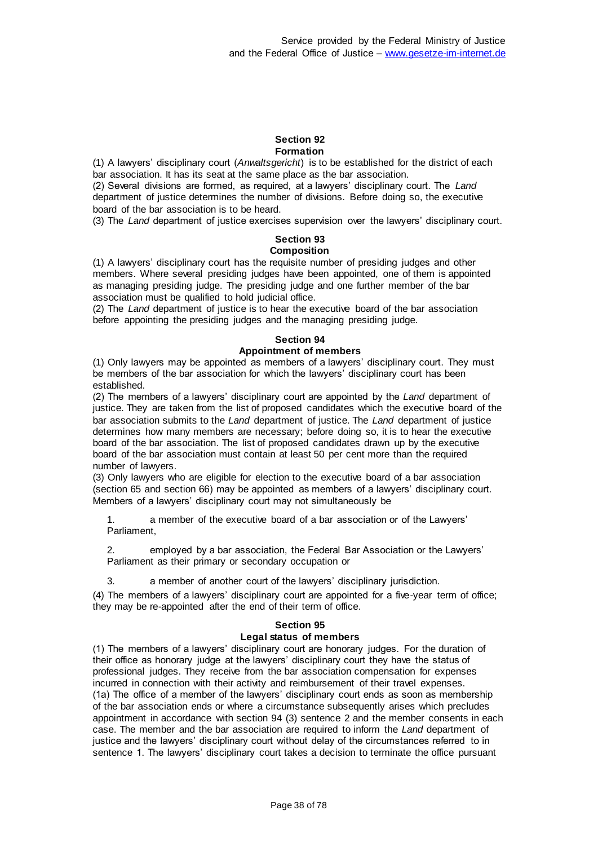#### **Section 92 Formation**

(1) A lawyers' disciplinary court (*Anwaltsgericht*) is to be established for the district of each bar association. It has its seat at the same place as the bar association.

(2) Several divisions are formed, as required, at a lawyers' disciplinary court. The *Land* department of justice determines the number of divisions. Before doing so, the executive board of the bar association is to be heard.

(3) The *Land* department of justice exercises supervision over the lawyers' disciplinary court.

#### **Section 93 Composition**

(1) A lawyers' disciplinary court has the requisite number of presiding judges and other members. Where several presiding judges have been appointed, one of them is appointed as managing presiding judge. The presiding judge and one further member of the bar association must be qualified to hold judicial office.

(2) The *Land* department of justice is to hear the executive board of the bar association before appointing the presiding judges and the managing presiding judge.

### **Section 94**

### **Appointment of members**

(1) Only lawyers may be appointed as members of a lawyers' disciplinary court. They must be members of the bar association for which the lawyers' disciplinary court has been established.

(2) The members of a lawyers' disciplinary court are appointed by the *Land* department of justice. They are taken from the list of proposed candidates which the executive board of the bar association submits to the *Land* department of justice. The *Land* department of justice determines how many members are necessary; before doing so, it is to hear the executive board of the bar association. The list of proposed candidates drawn up by the executive board of the bar association must contain at least 50 per cent more than the required number of lawyers.

(3) Only lawyers who are eligible for election to the executive board of a bar association (section 65 and section 66) may be appointed as members of a lawyers' disciplinary court. Members of a lawyers' disciplinary court may not simultaneously be

1. a member of the executive board of a bar association or of the Lawyers' Parliament,

2. employed by a bar association, the Federal Bar Association or the Lawyers' Parliament as their primary or secondary occupation or

3. a member of another court of the lawyers' disciplinary jurisdiction.

(4) The members of a lawyers' disciplinary court are appointed for a five-year term of office; they may be re-appointed after the end of their term of office.

### **Section 95**

### **Legal status of members**

(1) The members of a lawyers' disciplinary court are honorary judges. For the duration of their office as honorary judge at the lawyers' disciplinary court they have the status of professional judges. They receive from the bar association compensation for expenses incurred in connection with their activity and reimbursement of their travel expenses. (1a) The office of a member of the lawyers' disciplinary court ends as soon as membership of the bar association ends or where a circumstance subsequently arises which precludes appointment in accordance with section 94 (3) sentence 2 and the member consents in each case. The member and the bar association are required to inform the *Land* department of justice and the lawyers' disciplinary court without delay of the circumstances referred to in sentence 1. The lawyers' disciplinary court takes a decision to terminate the office pursuant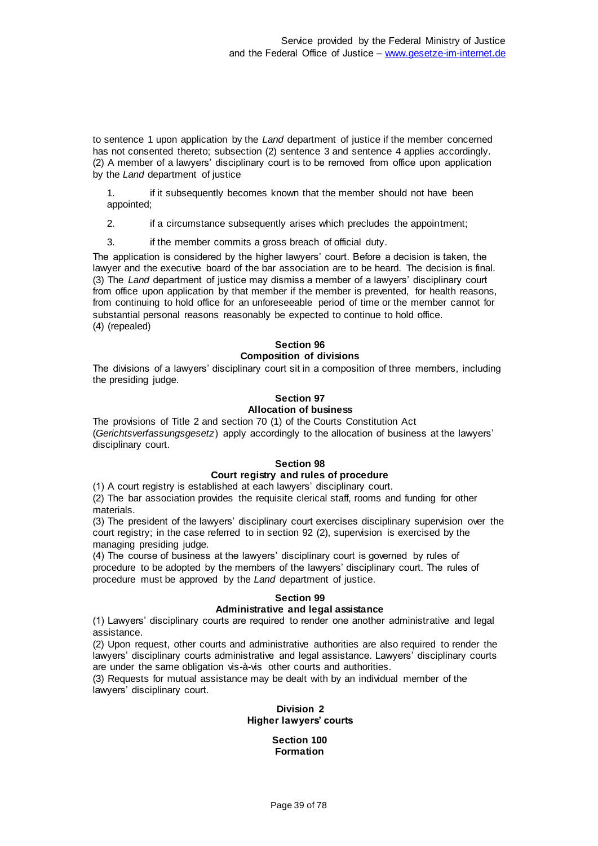to sentence 1 upon application by the *Land* department of justice if the member concerned has not consented thereto; subsection (2) sentence 3 and sentence 4 applies accordingly. (2) A member of a lawyers' disciplinary court is to be removed from office upon application by the *Land* department of justice

1. if it subsequently becomes known that the member should not have been appointed;

2. if a circumstance subsequently arises which precludes the appointment;

3. if the member commits a gross breach of official duty.

The application is considered by the higher lawyers' court. Before a decision is taken, the lawyer and the executive board of the bar association are to be heard. The decision is final. (3) The *Land* department of justice may dismiss a member of a lawyers' disciplinary court from office upon application by that member if the member is prevented, for health reasons, from continuing to hold office for an unforeseeable period of time or the member cannot for substantial personal reasons reasonably be expected to continue to hold office. (4) (repealed)

#### **Section 96 Composition of divisions**

The divisions of a lawyers' disciplinary court sit in a composition of three members, including the presiding judge.

## **Section 97**

## **Allocation of business**

The provisions of Title 2 and section 70 (1) of the Courts Constitution Act (*Gerichtsverfassungsgesetz*) apply accordingly to the allocation of business at the lawyers' disciplinary court.

### **Section 98**

## **Court registry and rules of procedure**

(1) A court registry is established at each lawyers' disciplinary court. (2) The bar association provides the requisite clerical staff, rooms and funding for other

materials. (3) The president of the lawyers' disciplinary court exercises disciplinary supervision over the court registry; in the case referred to in section 92 (2), supervision is exercised by the

managing presiding judge. (4) The course of business at the lawyers' disciplinary court is governed by rules of procedure to be adopted by the members of the lawyers' disciplinary court. The rules of procedure must be approved by the *Land* department of justice.

### **Section 99 Administrative and legal assistance**

(1) Lawyers' disciplinary courts are required to render one another administrative and legal assistance.

(2) Upon request, other courts and administrative authorities are also required to render the lawyers' disciplinary courts administrative and legal assistance. Lawyers' disciplinary courts are under the same obligation vis-à-vis other courts and authorities.

(3) Requests for mutual assistance may be dealt with by an individual member of the lawyers' disciplinary court.

### **Division 2 Higher lawyers' courts**

**Section 100 Formation**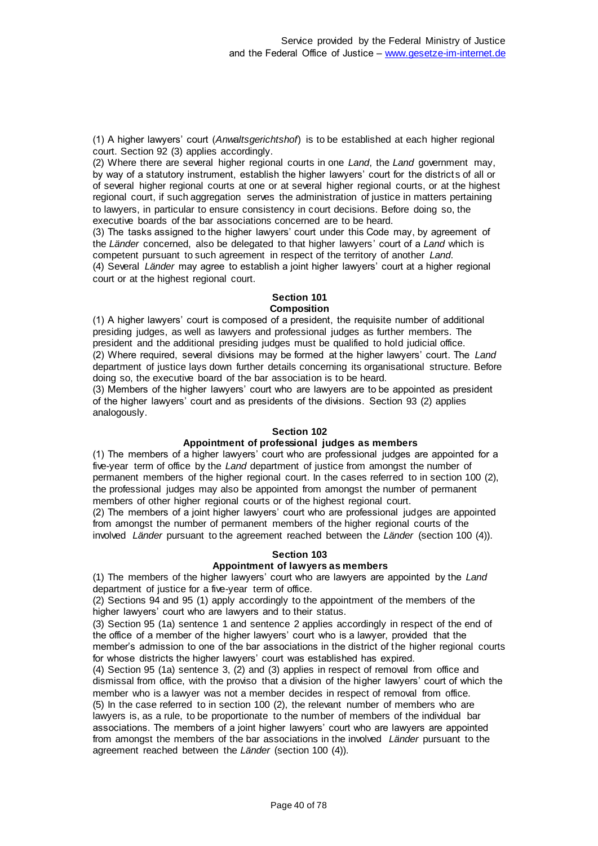(1) A higher lawyers' court (*Anwaltsgerichtshof*) is to be established at each higher regional court. Section 92 (3) applies accordingly.

(2) Where there are several higher regional courts in one *Land*, the *Land* government may, by way of a statutory instrument, establish the higher lawyers' court for the district s of all or of several higher regional courts at one or at several higher regional courts, or at the highest regional court, if such aggregation serves the administration of justice in matters pertaining to lawyers, in particular to ensure consistency in court decisions. Before doing so, the executive boards of the bar associations concerned are to be heard.

(3) The tasks assigned to the higher lawyers' court under this Code may, by agreement of the *Länder* concerned, also be delegated to that higher lawyers' court of a *Land* which is competent pursuant to such agreement in respect of the territory of another *Land*. (4) Several *Länder* may agree to establish a joint higher lawyers' court at a higher regional court or at the highest regional court.

### **Section 101 Composition**

(1) A higher lawyers' court is composed of a president, the requisite number of additional presiding judges, as well as lawyers and professional judges as further members. The president and the additional presiding judges must be qualified to hold judicial office. (2) Where required, several divisions may be formed at the higher lawyers' court. The *Land* department of justice lays down further details concerning its organisational structure. Before doing so, the executive board of the bar association is to be heard.

(3) Members of the higher lawyers' court who are lawyers are to be appointed as president of the higher lawyers' court and as presidents of the divisions. Section 93 (2) applies analogously.

### **Section 102**

### **Appointment of professional judges as members**

(1) The members of a higher lawyers' court who are professional judges are appointed for a five-year term of office by the *Land* department of justice from amongst the number of permanent members of the higher regional court. In the cases referred to in section 100 (2), the professional judges may also be appointed from amongst the number of permanent members of other higher regional courts or of the highest regional court.

(2) The members of a joint higher lawyers' court who are professional judges are appointed from amongst the number of permanent members of the higher regional courts of the involved *Länder* pursuant to the agreement reached between the *Länder* (section 100 (4)).

### **Section 103**

### **Appointment of lawyers as members**

(1) The members of the higher lawyers' court who are lawyers are appointed by the *Land* department of justice for a five-year term of office.

(2) Sections 94 and 95 (1) apply accordingly to the appointment of the members of the higher lawyers' court who are lawyers and to their status.

(3) Section 95 (1a) sentence 1 and sentence 2 applies accordingly in respect of the end of the office of a member of the higher lawyers' court who is a lawyer, provided that the member's admission to one of the bar associations in the district of the higher regional courts for whose districts the higher lawyers' court was established has expired.

(4) Section 95 (1a) sentence 3, (2) and (3) applies in respect of removal from office and dismissal from office, with the proviso that a division of the higher lawyers' court of which the member who is a lawyer was not a member decides in respect of removal from office. (5) In the case referred to in section 100 (2), the relevant number of members who are lawyers is, as a rule, to be proportionate to the number of members of the individual bar associations. The members of a joint higher lawyers' court who are lawyers are appointed from amongst the members of the bar associations in the involved *Länder* pursuant to the agreement reached between the *Länder* (section 100 (4)).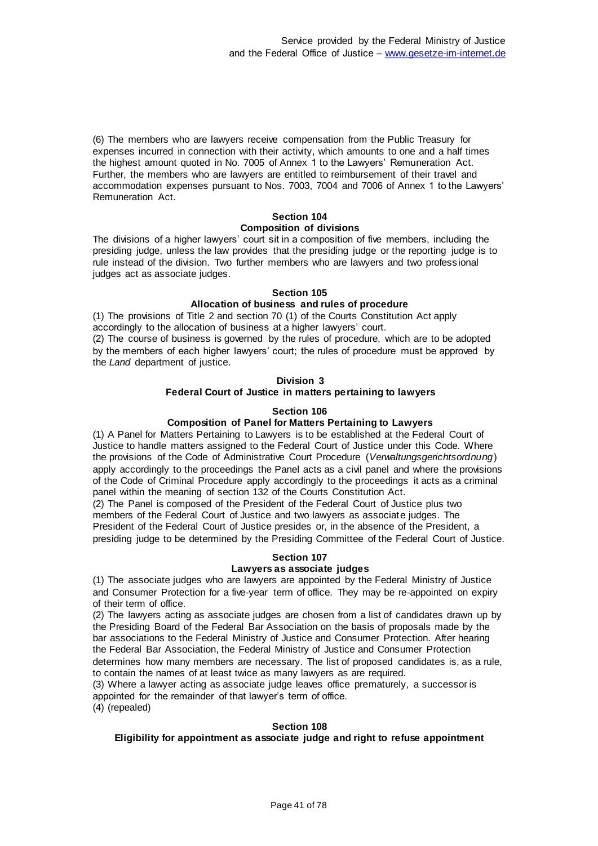(6) The members who are lawyers receive compensation from the Public Treasury for expenses incurred in connection with their activity, which amounts to one and a half times the highest amount quoted in No. 7005 of Annex 1 to the Lawyers' Remuneration Act. Further, the members who are lawyers are entitled to reimbursement of their travel and accommodation expenses pursuant to Nos. 7003, 7004 and 7006 of Annex 1 to the Lawyers' Remuneration Act.

### **Section 104 Composition of divisions**

The divisions of a higher lawyers' court sit in a composition of five members, including the presiding judge, unless the law provides that the presiding judge or the reporting judge is to rule instead of the division. Two further members who are lawyers and two profess ional judges act as associate judges.

### **Section 105**

## **Allocation of business and rules of procedure**

(1) The provisions of Title 2 and section 70 (1) of the Courts Constitution Act apply accordingly to the allocation of business at a higher lawyers' court. (2) The course of business is governed by the rules of procedure, which are to be adopted by the members of each higher lawyers' court; the rules of procedure must be approved by the *Land* department of justice.

### **Division 3**

### **Federal Court of Justice in matters pertaining to lawyers**

### **Section 106**

### **Composition of Panel for Matters Pertaining to Lawyers**

(1) A Panel for Matters Pertaining to Lawyers is to be established at the Federal Court of Justice to handle matters assigned to the Federal Court of Justice under this Code. Where the provisions of the Code of Administrative Court Procedure (*Verwaltungsgerichtsordnung*) apply accordingly to the proceedings the Panel acts as a civil panel and where the provisions of the Code of Criminal Procedure apply accordingly to the proceedings it acts as a criminal panel within the meaning of section 132 of the Courts Constitution Act.

(2) The Panel is composed of the President of the Federal Court of Justice plus two members of the Federal Court of Justice and two lawyers as associate judges. The President of the Federal Court of Justice presides or, in the absence of the President, a presiding judge to be determined by the Presiding Committee of the Federal Court of Justice.

### **Section 107**

### **Lawyers as associate judges**

(1) The associate judges who are lawyers are appointed by the Federal Ministry of Justice and Consumer Protection for a five-year term of office. They may be re-appointed on expiry of their term of office.

(2) The lawyers acting as associate judges are chosen from a list of candidates drawn up by the Presiding Board of the Federal Bar Association on the basis of proposals made by the bar associations to the Federal Ministry of Justice and Consumer Protection. After hearing the Federal Bar Association, the Federal Ministry of Justice and Consumer Protection determines how many members are necessary. The list of proposed candidates is, as a rule, to contain the names of at least twice as many lawyers as are required.

(3) Where a lawyer acting as associate judge leaves office prematurely, a successor is appointed for the remainder of that lawyer's term of office.

(4) (repealed)

#### **Section 108**

### **Eligibility for appointment as associate judge and right to refuse appointment**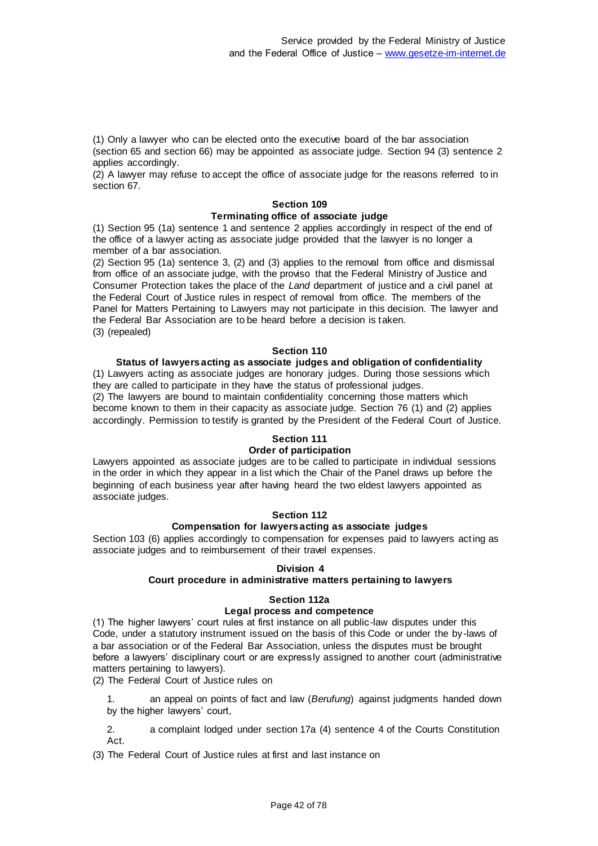(1) Only a lawyer who can be elected onto the executive board of the bar association (section 65 and section 66) may be appointed as associate judge. Section 94 (3) sentence 2 applies accordingly.

(2) A lawyer may refuse to accept the office of associate judge for the reasons referred to in section 67.

### **Section 109 Terminating office of associate judge**

(1) Section 95 (1a) sentence 1 and sentence 2 applies accordingly in respect of the end of the office of a lawyer acting as associate judge provided that the lawyer is no longer a member of a bar association.

(2) Section 95 (1a) sentence 3, (2) and (3) applies to the removal from office and dismissal from office of an associate judge, with the proviso that the Federal Ministry of Justice and Consumer Protection takes the place of the *Land* department of justice and a civil panel at the Federal Court of Justice rules in respect of removal from office. The members of the Panel for Matters Pertaining to Lawyers may not participate in this decision. The lawyer and the Federal Bar Association are to be heard before a decision is taken. (3) (repealed)

#### **Section 110**

### **Status of lawyers acting as associate judges and obligation of confidentiality**

(1) Lawyers acting as associate judges are honorary judges. During those sessions which they are called to participate in they have the status of professional judges. (2) The lawyers are bound to maintain confidentiality concerning those matters which become known to them in their capacity as associate judge. Section 76 (1) and (2) applies accordingly. Permission to testify is granted by the President of the Federal Court of Justice.

### **Section 111**

### **Order of participation**

Lawyers appointed as associate judges are to be called to participate in individual sessions in the order in which they appear in a list which the Chair of the Panel draws up before the beginning of each business year after having heard the two eldest lawyers appointed as associate judges.

#### **Section 112**

#### **Compensation for lawyers acting as associate judges**

Section 103 (6) applies accordingly to compensation for expenses paid to lawyers acting as associate judges and to reimbursement of their travel expenses.

#### **Division 4**

### **Court procedure in administrative matters pertaining to lawyers**

#### **Section 112a Legal process and competence**

(1) The higher lawyers' court rules at first instance on all public-law disputes under this Code, under a statutory instrument issued on the basis of this Code or under the by -laws of a bar association or of the Federal Bar Association, unless the disputes must be brought before a lawyers' disciplinary court or are expressly assigned to another court (administrative matters pertaining to lawyers).

(2) The Federal Court of Justice rules on

1. an appeal on points of fact and law (*Berufung*) against judgments handed down by the higher lawyers' court,

2. a complaint lodged under section 17a (4) sentence 4 of the Courts Constitution Act.

(3) The Federal Court of Justice rules at first and last instance on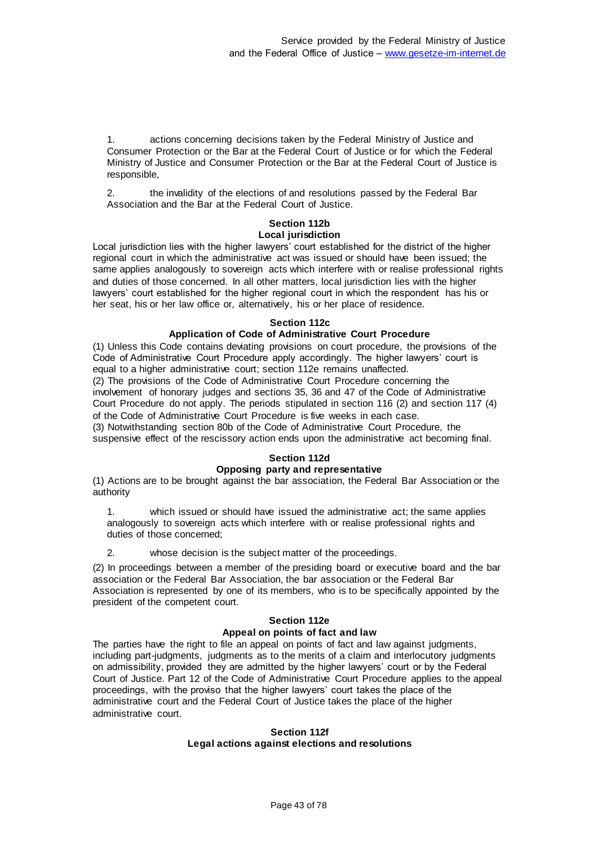1. actions concerning decisions taken by the Federal Ministry of Justice and Consumer Protection or the Bar at the Federal Court of Justice or for which the Federal Ministry of Justice and Consumer Protection or the Bar at the Federal Court of Justice is responsible,

2. the invalidity of the elections of and resolutions passed by the Federal Bar Association and the Bar at the Federal Court of Justice.

### **Section 112b Local jurisdiction**

Local jurisdiction lies with the higher lawyers' court established for the district of the higher regional court in which the administrative act was issued or should have been issued; the same applies analogously to sovereign acts which interfere with or realise professional rights and duties of those concerned. In all other matters, local jurisdiction lies with the higher lawyers' court established for the higher regional court in which the respondent has his or her seat, his or her law office or, alternatively, his or her place of residence.

### **Section 112c**

### **Application of Code of Administrative Court Procedure**

(1) Unless this Code contains deviating provisions on court procedure, the provisions of the Code of Administrative Court Procedure apply accordingly. The higher lawyers' court is equal to a higher administrative court; section 112e remains unaffected. (2) The provisions of the Code of Administrative Court Procedure concerning the involvement of honorary judges and sections 35, 36 and 47 of the Code of Administrative Court Procedure do not apply. The periods stipulated in section 116 (2) and section 117 (4) of the Code of Administrative Court Procedure is five weeks in each case. (3) Notwithstanding section 80b of the Code of Administrative Court Procedure, the suspensive effect of the rescissory action ends upon the administrative act becoming final.

#### **Section 112d Opposing party and representative**

(1) Actions are to be brought against the bar association, the Federal Bar Association or the authority

1. which issued or should have issued the administrative act; the same applies analogously to sovereign acts which interfere with or realise professional rights and duties of those concerned;

2. whose decision is the subject matter of the proceedings.

(2) In proceedings between a member of the presiding board or executive board and the bar association or the Federal Bar Association, the bar association or the Federal Bar Association is represented by one of its members, who is to be specifically appointed by the president of the competent court.

### **Section 112e**

### **Appeal on points of fact and law**

The parties have the right to file an appeal on points of fact and law against judgments, including part-judgments, judgments as to the merits of a claim and interlocutory judgments on admissibility, provided they are admitted by the higher lawyers' court or by the Federal Court of Justice. Part 12 of the Code of Administrative Court Procedure applies to the appeal proceedings, with the proviso that the higher lawyers' court takes the place of the administrative court and the Federal Court of Justice takes the place of the higher administrative court.

#### **Section 112f Legal actions against elections and resolutions**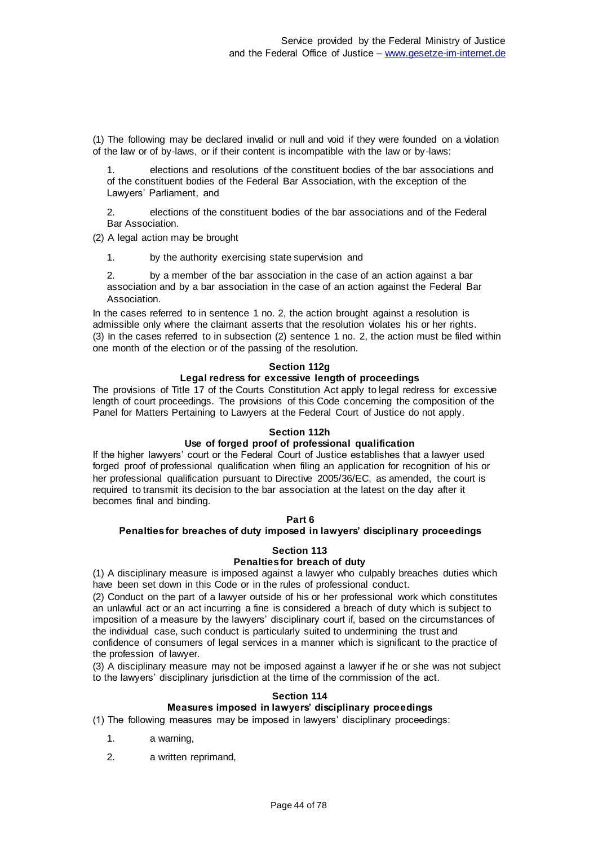(1) The following may be declared invalid or null and void if they were founded on a violation of the law or of by-laws, or if their content is incompatible with the law or by-laws:

1. elections and resolutions of the constituent bodies of the bar associations and of the constituent bodies of the Federal Bar Association, with the exception of the Lawyers' Parliament, and

2. elections of the constituent bodies of the bar associations and of the Federal Bar Association.

(2) A legal action may be brought

1. by the authority exercising state supervision and

2. by a member of the bar association in the case of an action against a bar association and by a bar association in the case of an action against the Federal Bar Association.

In the cases referred to in sentence 1 no. 2, the action brought against a resolution is admissible only where the claimant asserts that the resolution violates his or her rights. (3) In the cases referred to in subsection (2) sentence 1 no. 2, the action must be filed within one month of the election or of the passing of the resolution.

#### **Section 112g**

### **Legal redress for excessive length of proceedings**

The provisions of Title 17 of the Courts Constitution Act apply to legal redress for excessive length of court proceedings. The provisions of this Code concerning the composition of the Panel for Matters Pertaining to Lawyers at the Federal Court of Justice do not apply.

### **Section 112h**

### **Use of forged proof of professional qualification**

If the higher lawyers' court or the Federal Court of Justice establishes that a lawyer used forged proof of professional qualification when filing an application for recognition of his or her professional qualification pursuant to Directive 2005/36/EC, as amended, the court is required to transmit its decision to the bar association at the latest on the day after it becomes final and binding.

#### **Part 6**

#### **Penalties for breaches of duty imposed in lawyers' disciplinary proceedings**

### **Section 113**

### **Penalties for breach of duty**

(1) A disciplinary measure is imposed against a lawyer who culpably breaches duties which have been set down in this Code or in the rules of professional conduct.

(2) Conduct on the part of a lawyer outside of his or her professional work which constitutes an unlawful act or an act incurring a fine is considered a breach of duty which is subject to imposition of a measure by the lawyers' disciplinary court if, based on the circumstances of the individual case, such conduct is particularly suited to undermining the trust and confidence of consumers of legal services in a manner which is significant to the practice of the profession of lawyer.

(3) A disciplinary measure may not be imposed against a lawyer if he or she was not subject to the lawyers' disciplinary jurisdiction at the time of the commission of the act.

#### **Section 114**

### **Measures imposed in lawyers' disciplinary proceedings**

(1) The following measures may be imposed in lawyers' disciplinary proceedings:

- 1. a warning,
- 2. a written reprimand,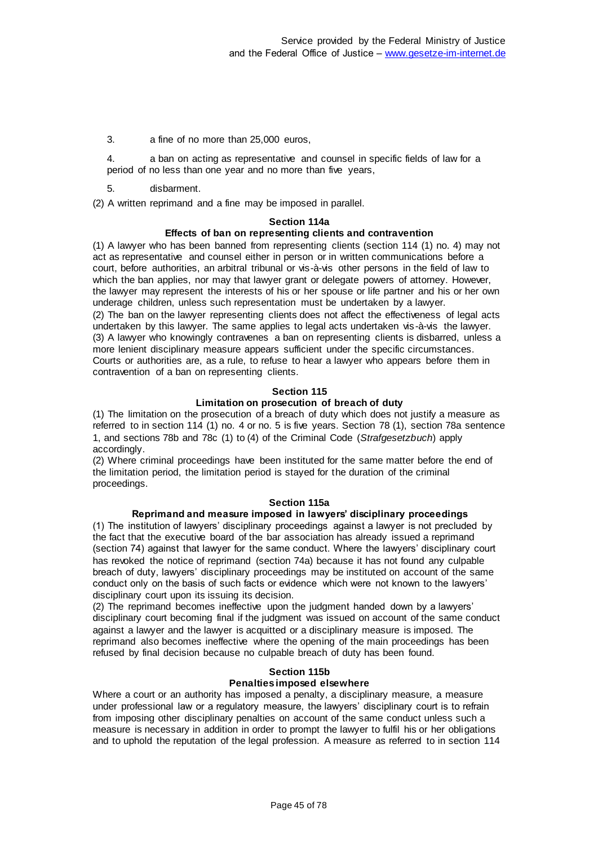3. a fine of no more than 25,000 euros,

4. a ban on acting as representative and counsel in specific fields of law for a period of no less than one year and no more than five years,

5. disbarment.

(2) A written reprimand and a fine may be imposed in parallel.

#### **Section 114a**

#### **Effects of ban on representing clients and contravention**

(1) A lawyer who has been banned from representing clients (section 114 (1) no. 4) may not act as representative and counsel either in person or in written communications before a court, before authorities, an arbitral tribunal or vis-à-vis other persons in the field of law to which the ban applies, nor may that lawyer grant or delegate powers of attorney. However, the lawyer may represent the interests of his or her spouse or life partner and his or her own underage children, unless such representation must be undertaken by a lawyer. (2) The ban on the lawyer representing clients does not affect the effectiveness of legal acts undertaken by this lawyer. The same applies to legal acts undertaken vis-à-vis the lawyer. (3) A lawyer who knowingly contravenes a ban on representing clients is disbarred, unless a more lenient disciplinary measure appears sufficient under the specific circumstances. Courts or authorities are, as a rule, to refuse to hear a lawyer who appears before them in contravention of a ban on representing clients.

### **Section 115**

### **Limitation on prosecution of breach of duty**

(1) The limitation on the prosecution of a breach of duty which does not justify a measure as referred to in section 114 (1) no. 4 or no. 5 is five years. Section 78 (1), section 78a sentence 1, and sections 78b and 78c (1) to (4) of the Criminal Code (*Strafgesetzbuch*) apply accordingly.

(2) Where criminal proceedings have been instituted for the same matter before the end of the limitation period, the limitation period is stayed for the duration of the criminal proceedings.

### **Section 115a**

#### **Reprimand and measure imposed in lawyers' disciplinary proceedings**

(1) The institution of lawyers' disciplinary proceedings against a lawyer is not precluded by the fact that the executive board of the bar association has already issued a reprimand (section 74) against that lawyer for the same conduct. Where the lawyers' disciplinary court has revoked the notice of reprimand (section 74a) because it has not found any culpable breach of duty, lawyers' disciplinary proceedings may be instituted on account of the same conduct only on the basis of such facts or evidence which were not known to the lawyers' disciplinary court upon its issuing its decision.

(2) The reprimand becomes ineffective upon the judgment handed down by a lawyers' disciplinary court becoming final if the judgment was issued on account of the same conduct against a lawyer and the lawyer is acquitted or a disciplinary measure is imposed. The reprimand also becomes ineffective where the opening of the main proceedings has been refused by final decision because no culpable breach of duty has been found.

### **Section 115b**

### **Penalties imposed elsewhere**

Where a court or an authority has imposed a penalty, a disciplinary measure, a measure under professional law or a regulatory measure, the lawyers' disciplinary court is to refrain from imposing other disciplinary penalties on account of the same conduct unless such a measure is necessary in addition in order to prompt the lawyer to fulfil his or her obligations and to uphold the reputation of the legal profession. A measure as referred to in section 114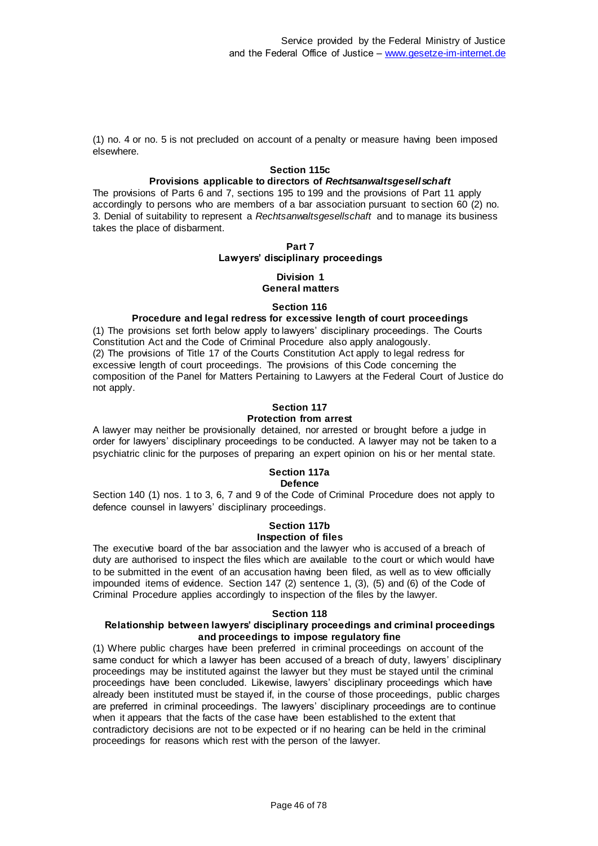(1) no. 4 or no. 5 is not precluded on account of a penalty or measure having been imposed elsewhere.

### **Section 115c**

### **Provisions applicable to directors of** *Rechtsanwaltsgesellschaft*

The provisions of Parts 6 and 7, sections 195 to 199 and the provisions of Part 11 apply accordingly to persons who are members of a bar association pursuant to section 60 (2) no. 3. Denial of suitability to represent a *Rechtsanwaltsgesellschaft* and to manage its business takes the place of disbarment.

### **Part 7 Lawyers' disciplinary proceedings**

### **Division 1 General matters**

### **Section 116**

### **Procedure and legal redress for excessive length of court proceedings**

(1) The provisions set forth below apply to lawyers' disciplinary proceedings. The Courts Constitution Act and the Code of Criminal Procedure also apply analogously. (2) The provisions of Title 17 of the Courts Constitution Act apply to legal redress for excessive length of court proceedings. The provisions of this Code concerning the composition of the Panel for Matters Pertaining to Lawyers at the Federal Court of Justice do not apply.

#### **Section 117 Protection from arrest**

A lawyer may neither be provisionally detained, nor arrested or brought before a judge in order for lawyers' disciplinary proceedings to be conducted. A lawyer may not be taken to a psychiatric clinic for the purposes of preparing an expert opinion on his or her mental state.

#### **Section 117a Defence**

Section 140 (1) nos. 1 to 3, 6, 7 and 9 of the Code of Criminal Procedure does not apply to defence counsel in lawyers' disciplinary proceedings.

#### **Section 117b Inspection of files**

The executive board of the bar association and the lawyer who is accused of a breach of duty are authorised to inspect the files which are available to the court or which would have to be submitted in the event of an accusation having been filed, as well as to view officially impounded items of evidence. Section 147 (2) sentence 1, (3), (5) and (6) of the Code of Criminal Procedure applies accordingly to inspection of the files by the lawyer.

#### **Section 118**

#### **Relationship between lawyers' disciplinary proceedings and criminal proceedings and proceedings to impose regulatory fine**

(1) Where public charges have been preferred in criminal proceedings on account of the same conduct for which a lawyer has been accused of a breach of duty, lawyers' disciplinary proceedings may be instituted against the lawyer but they must be stayed until the criminal proceedings have been concluded. Likewise, lawyers' disciplinary proceedings which have already been instituted must be stayed if, in the course of those proceedings, public charges are preferred in criminal proceedings. The lawyers' disciplinary proceedings are to continue when it appears that the facts of the case have been established to the extent that contradictory decisions are not to be expected or if no hearing can be held in the criminal proceedings for reasons which rest with the person of the lawyer.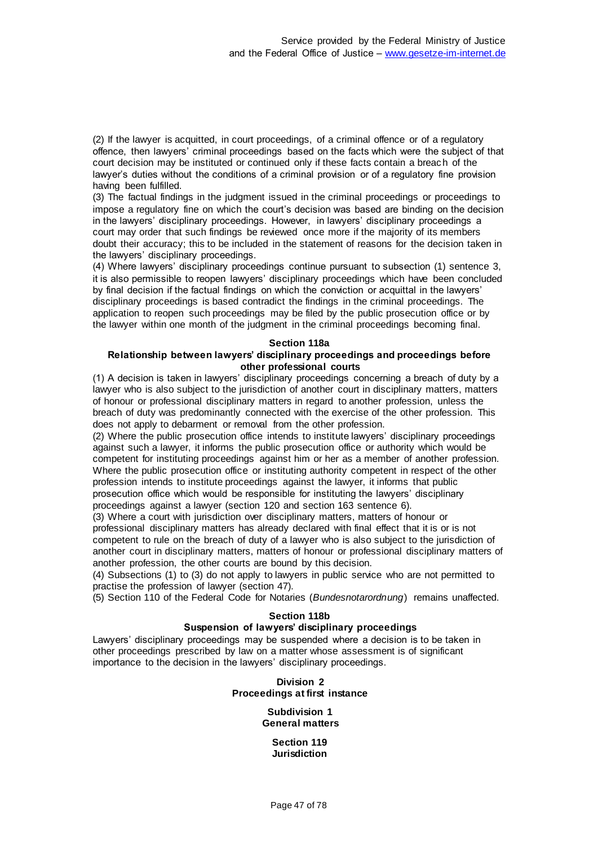(2) If the lawyer is acquitted, in court proceedings, of a criminal offence or of a regulatory offence, then lawyers' criminal proceedings based on the facts which were the subject of that court decision may be instituted or continued only if these facts contain a breach of the lawyer's duties without the conditions of a criminal provision or of a regulatory fine provision having been fulfilled.

(3) The factual findings in the judgment issued in the criminal proceedings or proceedings to impose a regulatory fine on which the court's decision was based are binding on the decision in the lawyers' disciplinary proceedings. However, in lawyers' disciplinary proceedings a court may order that such findings be reviewed once more if the majority of its members doubt their accuracy; this to be included in the statement of reasons for the decision taken in the lawyers' disciplinary proceedings.

(4) Where lawyers' disciplinary proceedings continue pursuant to subsection (1) sentence 3, it is also permissible to reopen lawyers' disciplinary proceedings which have been concluded by final decision if the factual findings on which the conviction or acquittal in the lawyers' disciplinary proceedings is based contradict the findings in the criminal proceedings. The application to reopen such proceedings may be filed by the public prosecution office or by the lawyer within one month of the judgment in the criminal proceedings becoming final.

#### **Section 118a**

### **Relationship between lawyers' disciplinary proceedings and proceedings before other professional courts**

(1) A decision is taken in lawyers' disciplinary proceedings concerning a breach of duty by a lawyer who is also subject to the jurisdiction of another court in disciplinary matters, matters of honour or professional disciplinary matters in regard to another profession, unless the breach of duty was predominantly connected with the exercise of the other profession. This does not apply to debarment or removal from the other profession.

(2) Where the public prosecution office intends to institute lawyers' disciplinary proceedings against such a lawyer, it informs the public prosecution office or authority which would be competent for instituting proceedings against him or her as a member of another profession. Where the public prosecution office or instituting authority competent in respect of the other profession intends to institute proceedings against the lawyer, it informs that public prosecution office which would be responsible for instituting the lawyers' disciplinary proceedings against a lawyer (section 120 and section 163 sentence 6).

(3) Where a court with jurisdiction over disciplinary matters, matters of honour or professional disciplinary matters has already declared with final effect that it is or is not competent to rule on the breach of duty of a lawyer who is also subject to the jurisdiction of another court in disciplinary matters, matters of honour or professional disciplinary matters of another profession, the other courts are bound by this decision.

(4) Subsections (1) to (3) do not apply to lawyers in public service who are not permitted to practise the profession of lawyer (section 47).

(5) Section 110 of the Federal Code for Notaries (*Bundesnotarordnung*) remains unaffected.

#### **Section 118b**

### **Suspension of lawyers' disciplinary proceedings**

Lawyers' disciplinary proceedings may be suspended where a decision is to be taken in other proceedings prescribed by law on a matter whose assessment is of significant importance to the decision in the lawyers' disciplinary proceedings.

### **Division 2 Proceedings at first instance**

#### **Subdivision 1 General matters**

**Section 119 Jurisdiction**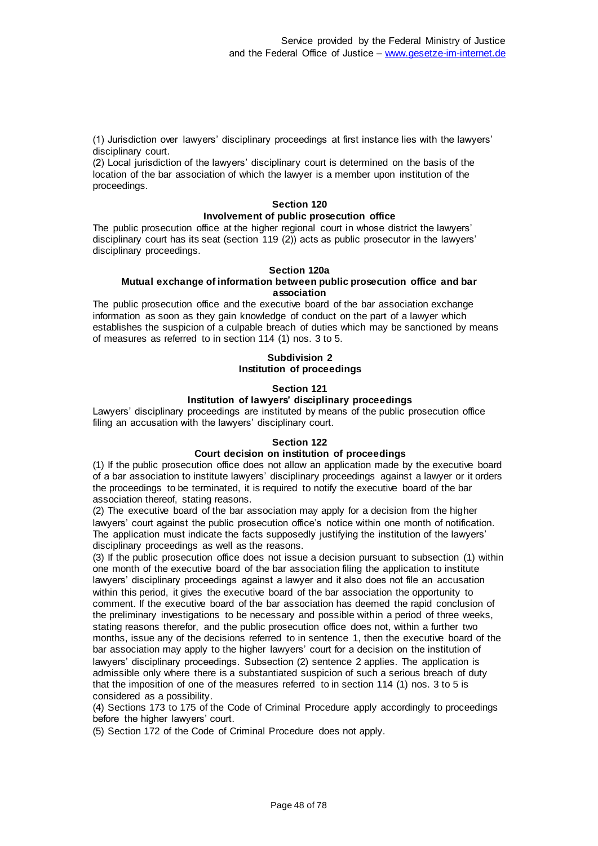(1) Jurisdiction over lawyers' disciplinary proceedings at first instance lies with the lawyers' disciplinary court.

(2) Local jurisdiction of the lawyers' disciplinary court is determined on the basis of the location of the bar association of which the lawyer is a member upon institution of the proceedings.

# **Section 120**

## **Involvement of public prosecution office**

The public prosecution office at the higher regional court in whose district the lawyers' disciplinary court has its seat (section 119 (2)) acts as public prosecutor in the lawyers' disciplinary proceedings.

### **Section 120a**

### **Mutual exchange of information between public prosecution office and bar association**

The public prosecution office and the executive board of the bar association exchange information as soon as they gain knowledge of conduct on the part of a lawyer which establishes the suspicion of a culpable breach of duties which may be sanctioned by means of measures as referred to in section 114 (1) nos. 3 to 5.

### **Subdivision 2 Institution of proceedings**

## **Section 121**

## **Institution of lawyers' disciplinary proceedings**

Lawyers' disciplinary proceedings are instituted by means of the public prosecution office filing an accusation with the lawyers' disciplinary court.

### **Section 122**

### **Court decision on institution of proceedings**

(1) If the public prosecution office does not allow an application made by the executive board of a bar association to institute lawyers' disciplinary proceedings against a lawyer or it orders the proceedings to be terminated, it is required to notify the executive board of the bar association thereof, stating reasons.

(2) The executive board of the bar association may apply for a decision from the higher lawyers' court against the public prosecution office's notice within one month of notification. The application must indicate the facts supposedly justifying the institution of the lawyers' disciplinary proceedings as well as the reasons.

(3) If the public prosecution office does not issue a decision pursuant to subsection (1) within one month of the executive board of the bar association filing the application to institute lawyers' disciplinary proceedings against a lawyer and it also does not file an accusation within this period, it gives the executive board of the bar association the opportunity to comment. If the executive board of the bar association has deemed the rapid conclusion of the preliminary investigations to be necessary and possible within a period of three weeks, stating reasons therefor, and the public prosecution office does not, within a further two months, issue any of the decisions referred to in sentence 1, then the executive board of the bar association may apply to the higher lawyers' court for a decision on the institution of lawyers' disciplinary proceedings. Subsection (2) sentence 2 applies. The application is admissible only where there is a substantiated suspicion of such a serious breach of duty that the imposition of one of the measures referred to in section 114 (1) nos. 3 to 5 is considered as a possibility.

(4) Sections 173 to 175 of the Code of Criminal Procedure apply accordingly to proceedings before the higher lawyers' court.

(5) Section 172 of the Code of Criminal Procedure does not apply.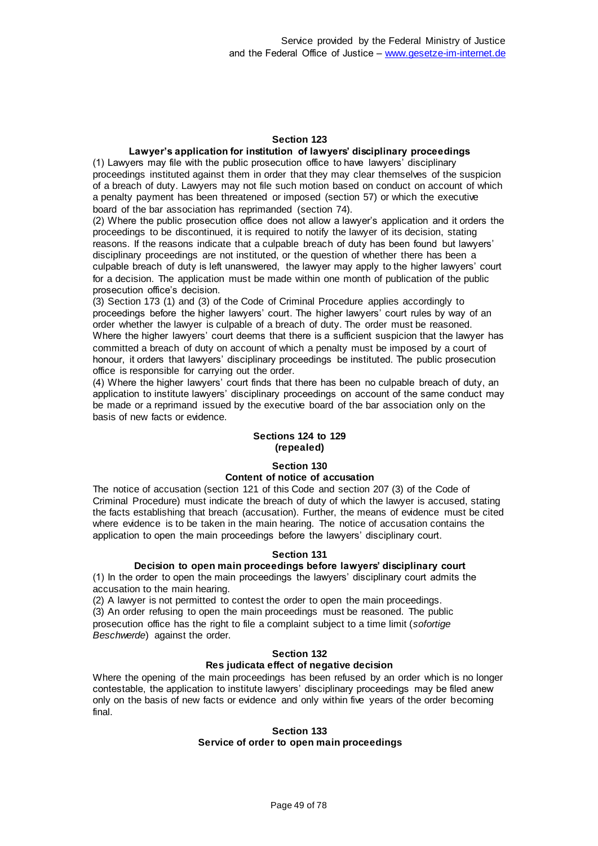#### **Section 123**

### **Lawyer's application for institution of lawyers' disciplinary proceedings**

(1) Lawyers may file with the public prosecution office to have lawyers' disciplinary proceedings instituted against them in order that they may clear themselves of the suspicion of a breach of duty. Lawyers may not file such motion based on conduct on account of which a penalty payment has been threatened or imposed (section 57) or which the executive board of the bar association has reprimanded (section 74).

(2) Where the public prosecution office does not allow a lawyer's application and it orders the proceedings to be discontinued, it is required to notify the lawyer of its decision, stating reasons. If the reasons indicate that a culpable breach of duty has been found but lawyers' disciplinary proceedings are not instituted, or the question of whether there has been a culpable breach of duty is left unanswered, the lawyer may apply to the higher lawyers' court for a decision. The application must be made within one month of publication of the public prosecution office's decision.

(3) Section 173 (1) and (3) of the Code of Criminal Procedure applies accordingly to proceedings before the higher lawyers' court. The higher lawyers' court rules by way of an order whether the lawyer is culpable of a breach of duty. The order must be reasoned. Where the higher lawyers' court deems that there is a sufficient suspicion that the lawyer has committed a breach of duty on account of which a penalty must be imposed by a court of honour, it orders that lawyers' disciplinary proceedings be instituted. The public prosecution office is responsible for carrying out the order.

(4) Where the higher lawyers' court finds that there has been no culpable breach of duty, an application to institute lawyers' disciplinary proceedings on account of the same conduct may be made or a reprimand issued by the executive board of the bar association only on the basis of new facts or evidence.

### **Sections 124 to 129 (repealed)**

#### **Section 130 Content of notice of accusation**

The notice of accusation (section 121 of this Code and section 207 (3) of the Code of Criminal Procedure) must indicate the breach of duty of which the lawyer is accused, stating the facts establishing that breach (accusation). Further, the means of evidence must be cited where evidence is to be taken in the main hearing. The notice of accusation contains the application to open the main proceedings before the lawyers' disciplinary court.

### **Section 131**

### **Decision to open main proceedings before lawyers' disciplinary court**

(1) In the order to open the main proceedings the lawyers' disciplinary court admits the accusation to the main hearing.

(2) A lawyer is not permitted to contest the order to open the main proceedings. (3) An order refusing to open the main proceedings must be reasoned. The public prosecution office has the right to file a complaint subject to a time limit (*sofortige Beschwerde*) against the order.

### **Section 132**

### **Res judicata effect of negative decision**

Where the opening of the main proceedings has been refused by an order which is no longer contestable, the application to institute lawyers' disciplinary proceedings may be filed anew only on the basis of new facts or evidence and only within five years of the order becoming final.

### **Section 133**

### **Service of order to open main proceedings**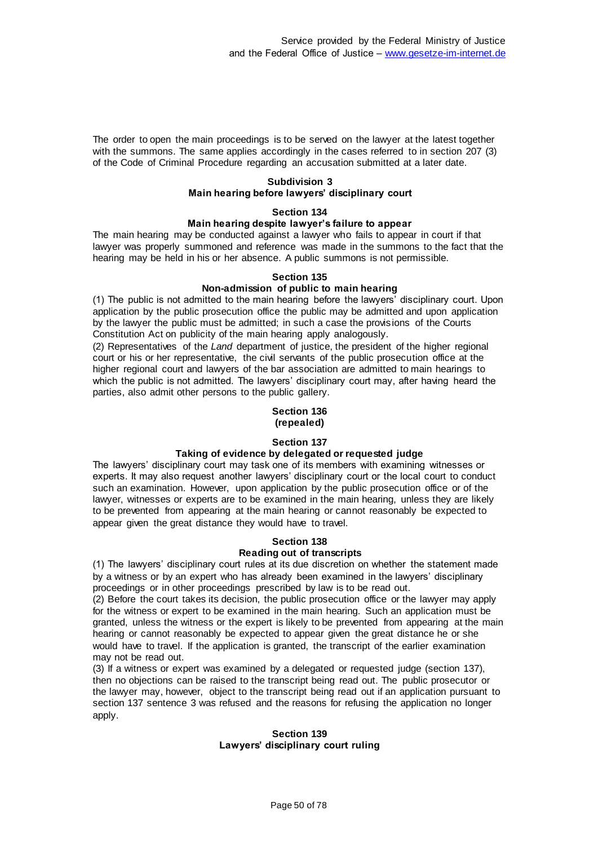The order to open the main proceedings is to be served on the lawyer at the latest together with the summons. The same applies accordingly in the cases referred to in section 207 (3) of the Code of Criminal Procedure regarding an accusation submitted at a later date.

### **Subdivision 3**

### **Main hearing before lawyers' disciplinary court**

**Section 134**

#### **Main hearing despite lawyer's failure to appear**

The main hearing may be conducted against a lawyer who fails to appear in court if that lawyer was properly summoned and reference was made in the summons to the fact that the hearing may be held in his or her absence. A public summons is not permissible.

#### **Section 135**

### **Non-admission of public to main hearing**

(1) The public is not admitted to the main hearing before the lawyers' disciplinary court. Upon application by the public prosecution office the public may be admitted and upon application by the lawyer the public must be admitted; in such a case the provisions of the Courts Constitution Act on publicity of the main hearing apply analogously.

(2) Representatives of the *Land* department of justice, the president of the higher regional court or his or her representative, the civil servants of the public prosecution office at the higher regional court and lawyers of the bar association are admitted to main hearings to which the public is not admitted. The lawyers' disciplinary court may, after having heard the parties, also admit other persons to the public gallery.

#### **Section 136 (repealed)**

# **Section 137**

### **Taking of evidence by delegated or requested judge**

The lawyers' disciplinary court may task one of its members with examining witnesses or experts. It may also request another lawyers' disciplinary court or the local court to conduct such an examination. However, upon application by the public prosecution office or of the lawyer, witnesses or experts are to be examined in the main hearing, unless they are likely to be prevented from appearing at the main hearing or cannot reasonably be expected to appear given the great distance they would have to travel.

#### **Section 138 Reading out of transcripts**

(1) The lawyers' disciplinary court rules at its due discretion on whether the statement made by a witness or by an expert who has already been examined in the lawyers' disciplinary proceedings or in other proceedings prescribed by law is to be read out.

(2) Before the court takes its decision, the public prosecution office or the lawyer may apply for the witness or expert to be examined in the main hearing. Such an application must be granted, unless the witness or the expert is likely to be prevented from appearing at the main hearing or cannot reasonably be expected to appear given the great distance he or she would have to travel. If the application is granted, the transcript of the earlier examination may not be read out.

(3) If a witness or expert was examined by a delegated or requested judge (section 137), then no objections can be raised to the transcript being read out. The public prosecutor or the lawyer may, however, object to the transcript being read out if an application pursuant to section 137 sentence 3 was refused and the reasons for refusing the application no longer apply.

### **Section 139 Lawyers' disciplinary court ruling**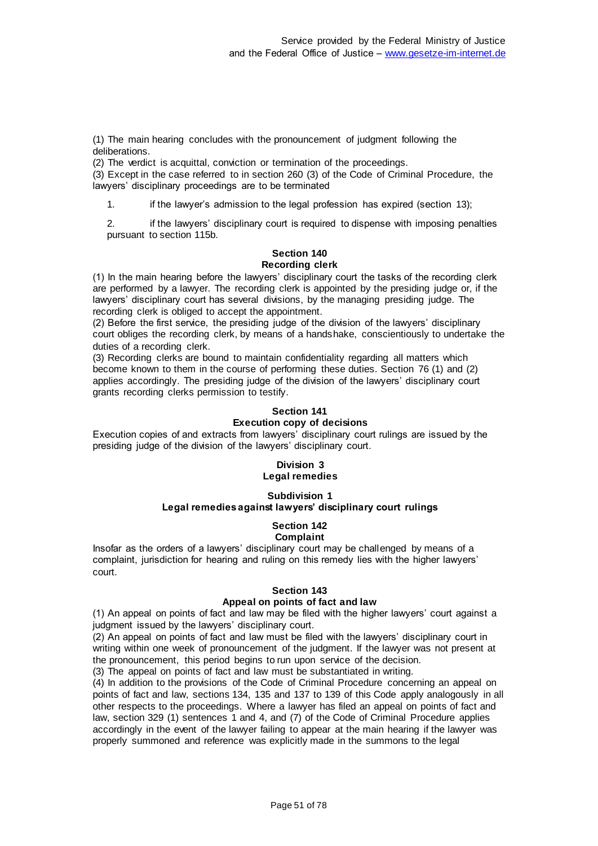(1) The main hearing concludes with the pronouncement of judgment following the deliberations.

(2) The verdict is acquittal, conviction or termination of the proceedings.

(3) Except in the case referred to in section 260 (3) of the Code of Criminal Procedure, the lawyers' disciplinary proceedings are to be terminated

1. if the lawyer's admission to the legal profession has expired (section 13);

2. if the lawyers' disciplinary court is required to dispense with imposing penalties pursuant to section 115b.

#### **Section 140 Recording clerk**

(1) In the main hearing before the lawyers' disciplinary court the tasks of the recording clerk are performed by a lawyer. The recording clerk is appointed by the presiding judge or, if the lawyers' disciplinary court has several divisions, by the managing presiding judge. The recording clerk is obliged to accept the appointment.

(2) Before the first service, the presiding judge of the division of the lawyers' disciplinary court obliges the recording clerk, by means of a handshake, conscientiously to undertake the duties of a recording clerk.

(3) Recording clerks are bound to maintain confidentiality regarding all matters which become known to them in the course of performing these duties. Section 76 (1) and (2) applies accordingly. The presiding judge of the division of the lawyers' disciplinary court grants recording clerks permission to testify.

## **Section 141**

### **Execution copy of decisions**

Execution copies of and extracts from lawyers' disciplinary court rulings are issued by the presiding judge of the division of the lawyers' disciplinary court.

#### **Division 3 Legal remedies**

### **Subdivision 1 Legal remedies against lawyers' disciplinary court rulings**

#### **Section 142 Complaint**

Insofar as the orders of a lawyers' disciplinary court may be challenged by means of a complaint, jurisdiction for hearing and ruling on this remedy lies with the higher lawyers' court.

### **Section 143 Appeal on points of fact and law**

(1) An appeal on points of fact and law may be filed with the higher lawyers' court against a judgment issued by the lawyers' disciplinary court.

(2) An appeal on points of fact and law must be filed with the lawyers' disciplinary court in writing within one week of pronouncement of the judgment. If the lawyer was not present at the pronouncement, this period begins to run upon service of the decision.

(3) The appeal on points of fact and law must be substantiated in writing.

(4) In addition to the provisions of the Code of Criminal Procedure concerning an appeal on points of fact and law, sections 134, 135 and 137 to 139 of this Code apply analogously in all other respects to the proceedings. Where a lawyer has filed an appeal on points of fact and law, section 329 (1) sentences 1 and 4, and (7) of the Code of Criminal Procedure applies accordingly in the event of the lawyer failing to appear at the main hearing if the lawyer was properly summoned and reference was explicitly made in the summons to the legal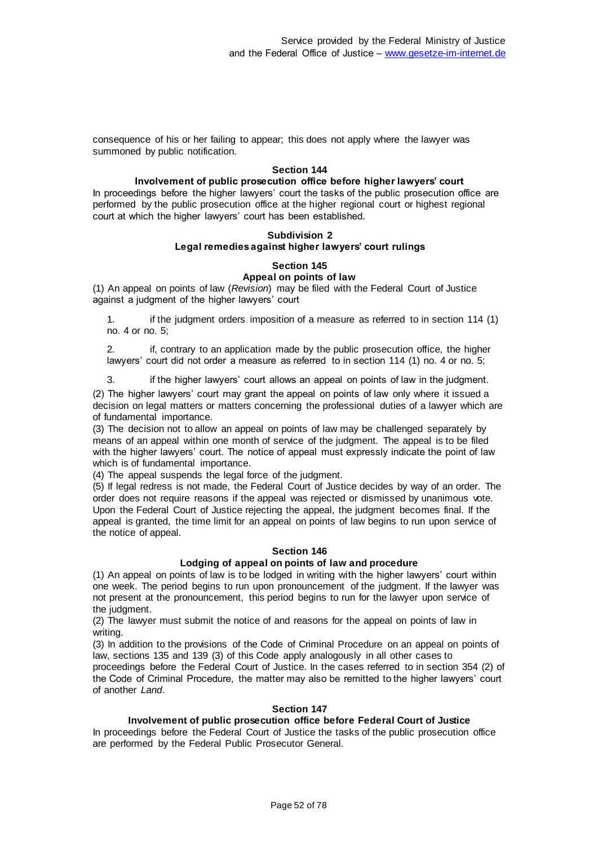consequence of his or her failing to appear; this does not apply where the lawyer was summoned by public notification.

### **Section 144**

### **Involvement of public prosecution office before higher lawyers' court**

In proceedings before the higher lawyers' court the tasks of the public prosecution office are performed by the public prosecution office at the higher regional court or highest regional court at which the higher lawyers' court has been established.

### **Subdivision 2 Legal remedies against higher lawyers' court rulings**

### **Section 145 Appeal on points of law**

(1) An appeal on points of law (*Revision*) may be filed with the Federal Court of Justice against a judgment of the higher lawyers' court

1. if the judgment orders imposition of a measure as referred to in section 114 (1) no. 4 or no. 5;

2. if, contrary to an application made by the public prosecution office, the higher lawyers' court did not order a measure as referred to in section 114 (1) no. 4 or no. 5;

3. if the higher lawyers' court allows an appeal on points of law in the judgment.

(2) The higher lawyers' court may grant the appeal on points of law only where it issued a decision on legal matters or matters concerning the professional duties of a lawyer which are of fundamental importance.

(3) The decision not to allow an appeal on points of law may be challenged separately by means of an appeal within one month of service of the judgment. The appeal is to be filed with the higher lawyers' court. The notice of appeal must expressly indicate the point of law which is of fundamental importance.

(4) The appeal suspends the legal force of the judgment.

(5) If legal redress is not made, the Federal Court of Justice decides by way of an order. The order does not require reasons if the appeal was rejected or dismissed by unanimous vote. Upon the Federal Court of Justice rejecting the appeal, the judgment becomes final. If the appeal is granted, the time limit for an appeal on points of law begins to run upon service of the notice of appeal.

### **Section 146**

### **Lodging of appeal on points of law and procedure**

(1) An appeal on points of law is to be lodged in writing with the higher lawyers' court within one week. The period begins to run upon pronouncement of the judgment. If the lawyer was not present at the pronouncement, this period begins to run for the lawyer upon service of the judgment.

(2) The lawyer must submit the notice of and reasons for the appeal on points of law in writing.

(3) In addition to the provisions of the Code of Criminal Procedure on an appeal on points of law, sections 135 and 139 (3) of this Code apply analogously in all other cases to proceedings before the Federal Court of Justice. In the cases referred to in section 354 (2) of the Code of Criminal Procedure, the matter may also be remitted to the higher lawyers' court of another *Land*.

## **Section 147**

### **Involvement of public prosecution office before Federal Court of Justice**

In proceedings before the Federal Court of Justice the tasks of the public prosecution office are performed by the Federal Public Prosecutor General.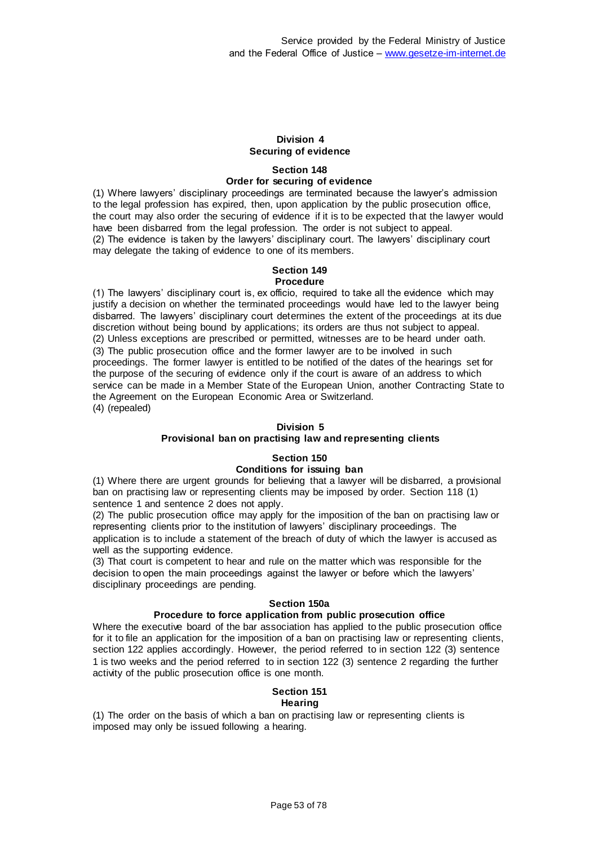### **Division 4 Securing of evidence**

#### **Section 148 Order for securing of evidence**

(1) Where lawyers' disciplinary proceedings are terminated because the lawyer's admission to the legal profession has expired, then, upon application by the public prosecution office, the court may also order the securing of evidence if it is to be expected that the lawyer would have been disbarred from the legal profession. The order is not subject to appeal. (2) The evidence is taken by the lawyers' disciplinary court. The lawyers' disciplinary court may delegate the taking of evidence to one of its members.

## **Section 149**

### **Procedure**

(1) The lawyers' disciplinary court is, ex officio, required to take all the evidence which may justify a decision on whether the terminated proceedings would have led to the lawyer being disbarred. The lawyers' disciplinary court determines the extent of the proceedings at its due discretion without being bound by applications; its orders are thus not subject to appeal. (2) Unless exceptions are prescribed or permitted, witnesses are to be heard under oath. (3) The public prosecution office and the former lawyer are to be involved in such proceedings. The former lawyer is entitled to be notified of the dates of the hearings set for the purpose of the securing of evidence only if the court is aware of an address to which service can be made in a Member State of the European Union, another Contracting State to the Agreement on the European Economic Area or Switzerland. (4) (repealed)

### **Division 5**

### **Provisional ban on practising law and representing clients**

# **Section 150**

## **Conditions for issuing ban**

(1) Where there are urgent grounds for believing that a lawyer will be disbarred, a provisional ban on practising law or representing clients may be imposed by order. Section 118 (1) sentence 1 and sentence 2 does not apply.

(2) The public prosecution office may apply for the imposition of the ban on practising law or representing clients prior to the institution of lawyers' disciplinary proceedings. The application is to include a statement of the breach of duty of which the lawyer is accused as well as the supporting evidence.

(3) That court is competent to hear and rule on the matter which was responsible for the decision to open the main proceedings against the lawyer or before which the lawyers' disciplinary proceedings are pending.

### **Section 150a**

### **Procedure to force application from public prosecution office**

Where the executive board of the bar association has applied to the public prosecution office for it to file an application for the imposition of a ban on practising law or representing clients, section 122 applies accordingly. However, the period referred to in section 122 (3) sentence 1 is two weeks and the period referred to in section 122 (3) sentence 2 regarding the further activity of the public prosecution office is one month.

## **Section 151**

### **Hearing**

(1) The order on the basis of which a ban on practising law or representing clients is imposed may only be issued following a hearing.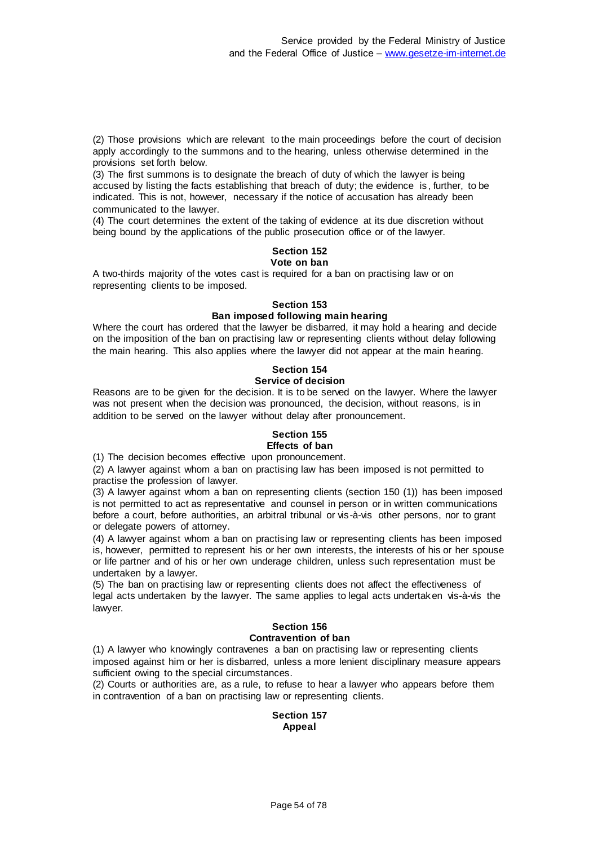(2) Those provisions which are relevant to the main proceedings before the court of decision apply accordingly to the summons and to the hearing, unless otherwise determined in the provisions set forth below.

(3) The first summons is to designate the breach of duty of which the lawyer is being accused by listing the facts establishing that breach of duty; the evidence is , further, to be indicated. This is not, however, necessary if the notice of accusation has already been communicated to the lawyer.

(4) The court determines the extent of the taking of evidence at its due discretion without being bound by the applications of the public prosecution office or of the lawyer.

#### **Section 152 Vote on ban**

A two-thirds majority of the votes cast is required for a ban on practising law or on representing clients to be imposed.

### **Section 153**

### **Ban imposed following main hearing**

Where the court has ordered that the lawyer be disbarred, it may hold a hearing and decide on the imposition of the ban on practising law or representing clients without delay following the main hearing. This also applies where the lawyer did not appear at the main hearing.

#### **Section 154 Service of decision**

Reasons are to be given for the decision. It is to be served on the lawyer. Where the lawyer was not present when the decision was pronounced, the decision, without reasons, is in addition to be served on the lawyer without delay after pronouncement.

#### **Section 155 Effects of ban**

(1) The decision becomes effective upon pronouncement.

(2) A lawyer against whom a ban on practising law has been imposed is not permitted to practise the profession of lawyer.

(3) A lawyer against whom a ban on representing clients (section 150 (1)) has been imposed is not permitted to act as representative and counsel in person or in written communications before a court, before authorities, an arbitral tribunal or vis-à-vis other persons, nor to grant or delegate powers of attorney.

(4) A lawyer against whom a ban on practising law or representing clients has been imposed is, however, permitted to represent his or her own interests, the interests of his or her spouse or life partner and of his or her own underage children, unless such representation must be undertaken by a lawyer.

(5) The ban on practising law or representing clients does not affect the effectiveness of legal acts undertaken by the lawyer. The same applies to legal acts undertaken vis-à-vis the lawyer.

### **Section 156**

## **Contravention of ban**

(1) A lawyer who knowingly contravenes a ban on practising law or representing clients imposed against him or her is disbarred, unless a more lenient disciplinary measure appears sufficient owing to the special circumstances.

(2) Courts or authorities are, as a rule, to refuse to hear a lawyer who appears before them in contravention of a ban on practising law or representing clients.

### **Section 157 Appeal**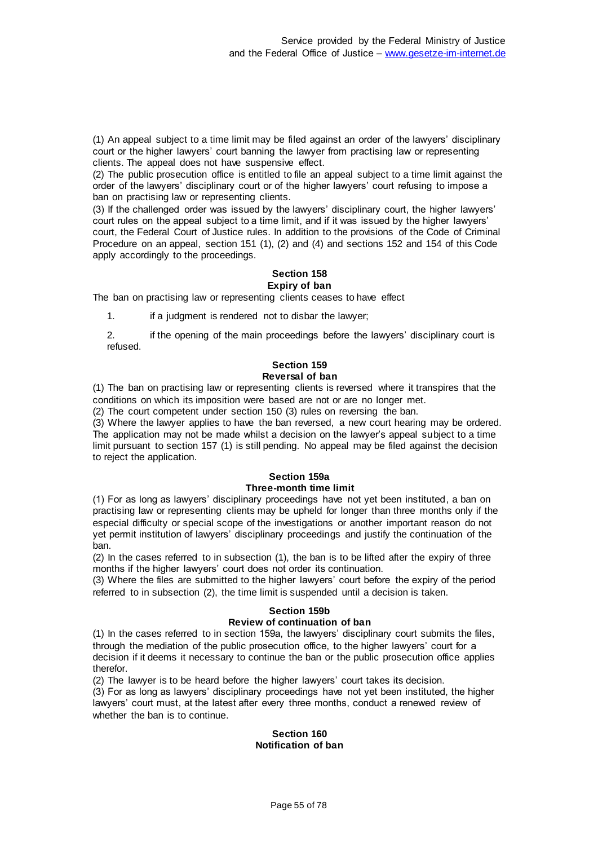(1) An appeal subject to a time limit may be filed against an order of the lawyers' disciplinary court or the higher lawyers' court banning the lawyer from practising law or representing clients. The appeal does not have suspensive effect.

(2) The public prosecution office is entitled to file an appeal subject to a time limit against the order of the lawyers' disciplinary court or of the higher lawyers' court refusing to impose a ban on practising law or representing clients.

(3) If the challenged order was issued by the lawyers' disciplinary court, the higher lawyers' court rules on the appeal subject to a time limit, and if it was issued by the higher lawyers' court, the Federal Court of Justice rules. In addition to the provisions of the Code of Criminal Procedure on an appeal, section 151 (1), (2) and (4) and sections 152 and 154 of this Code apply accordingly to the proceedings.

#### **Section 158 Expiry of ban**

The ban on practising law or representing clients ceases to have effect

1. if a judgment is rendered not to disbar the lawyer;

2. if the opening of the main proceedings before the lawyers' disciplinary court is refused.

### **Section 159 Reversal of ban**

(1) The ban on practising law or representing clients is reversed where it transpires that the conditions on which its imposition were based are not or are no longer met.

(2) The court competent under section 150 (3) rules on reversing the ban.

(3) Where the lawyer applies to have the ban reversed, a new court hearing may be ordered. The application may not be made whilst a decision on the lawyer's appeal subject to a time limit pursuant to section 157 (1) is still pending. No appeal may be filed against the decision to reject the application.

### **Section 159a Three-month time limit**

(1) For as long as lawyers' disciplinary proceedings have not yet been instituted, a ban on practising law or representing clients may be upheld for longer than three months only if the especial difficulty or special scope of the investigations or another important reason do not yet permit institution of lawyers' disciplinary proceedings and justify the continuation of the ban.

(2) In the cases referred to in subsection (1), the ban is to be lifted after the expiry of three months if the higher lawyers' court does not order its continuation.

(3) Where the files are submitted to the higher lawyers' court before the expiry of the period referred to in subsection (2), the time limit is suspended until a decision is taken.

### **Section 159b**

### **Review of continuation of ban**

(1) In the cases referred to in section 159a, the lawyers' disciplinary court submits the files, through the mediation of the public prosecution office, to the higher lawyers' court for a decision if it deems it necessary to continue the ban or the public prosecution office applies therefor.

(2) The lawyer is to be heard before the higher lawyers' court takes its decision.

(3) For as long as lawyers' disciplinary proceedings have not yet been instituted, the higher lawyers' court must, at the latest after every three months, conduct a renewed review of whether the ban is to continue.

#### **Section 160 Notification of ban**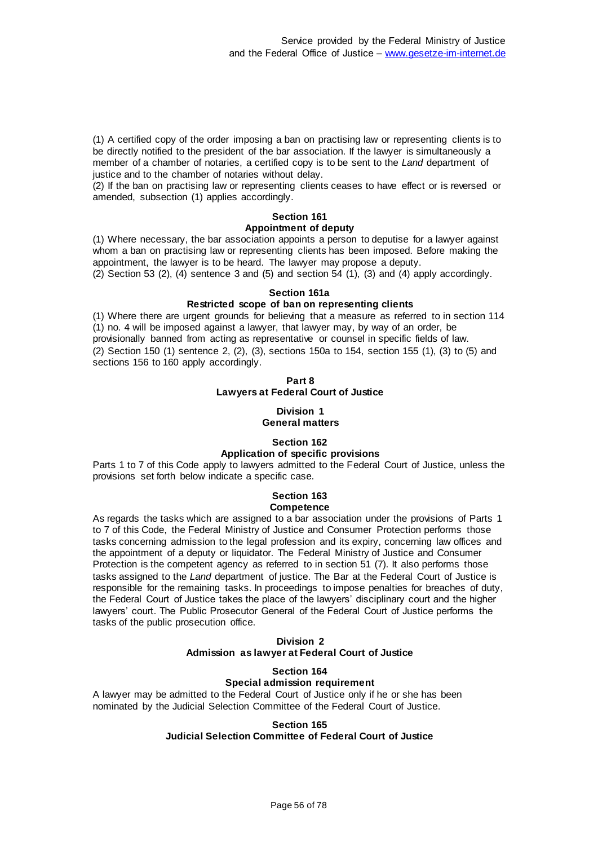(1) A certified copy of the order imposing a ban on practising law or representing clients is to be directly notified to the president of the bar association. If the lawyer is simultaneously a member of a chamber of notaries, a certified copy is to be sent to the *Land* department of justice and to the chamber of notaries without delay.

(2) If the ban on practising law or representing clients ceases to have effect or is reversed or amended, subsection (1) applies accordingly.

### **Section 161**

#### **Appointment of deputy**

(1) Where necessary, the bar association appoints a person to deputise for a lawyer against whom a ban on practising law or representing clients has been imposed. Before making the appointment, the lawyer is to be heard. The lawyer may propose a deputy.

 $(2)$  Section 53  $(2)$ ,  $(4)$  sentence 3 and  $(5)$  and section 54  $(1)$ ,  $(3)$  and  $(4)$  apply accordingly.

#### **Section 161a**

### **Restricted scope of ban on representing clients**

(1) Where there are urgent grounds for believing that a measure as referred to in section 114 (1) no. 4 will be imposed against a lawyer, that lawyer may, by way of an order, be provisionally banned from acting as representative or counsel in specific fields of law. (2) Section 150 (1) sentence 2, (2), (3), sections 150a to 154, section 155 (1), (3) to (5) and sections 156 to 160 apply accordingly.

### **Part 8 Lawyers at Federal Court of Justice**

**Division 1 General matters**

### **Section 162 Application of specific provisions**

Parts 1 to 7 of this Code apply to lawyers admitted to the Federal Court of Justice, unless the provisions set forth below indicate a specific case.

# **Section 163**

# **Competence**

As regards the tasks which are assigned to a bar association under the provisions of Parts 1 to 7 of this Code, the Federal Ministry of Justice and Consumer Protection performs those tasks concerning admission to the legal profession and its expiry, concerning law offices and the appointment of a deputy or liquidator. The Federal Ministry of Justice and Consumer Protection is the competent agency as referred to in section 51 (7). It also performs those tasks assigned to the *Land* department of justice. The Bar at the Federal Court of Justice is responsible for the remaining tasks. In proceedings to impose penalties for breaches of duty, the Federal Court of Justice takes the place of the lawyers' disciplinary court and the higher lawyers' court. The Public Prosecutor General of the Federal Court of Justice performs the tasks of the public prosecution office.

### **Division 2 Admission as lawyer at Federal Court of Justice**

### **Section 164 Special admission requirement**

A lawyer may be admitted to the Federal Court of Justice only if he or she has been nominated by the Judicial Selection Committee of the Federal Court of Justice.

### **Section 165 Judicial Selection Committee of Federal Court of Justice**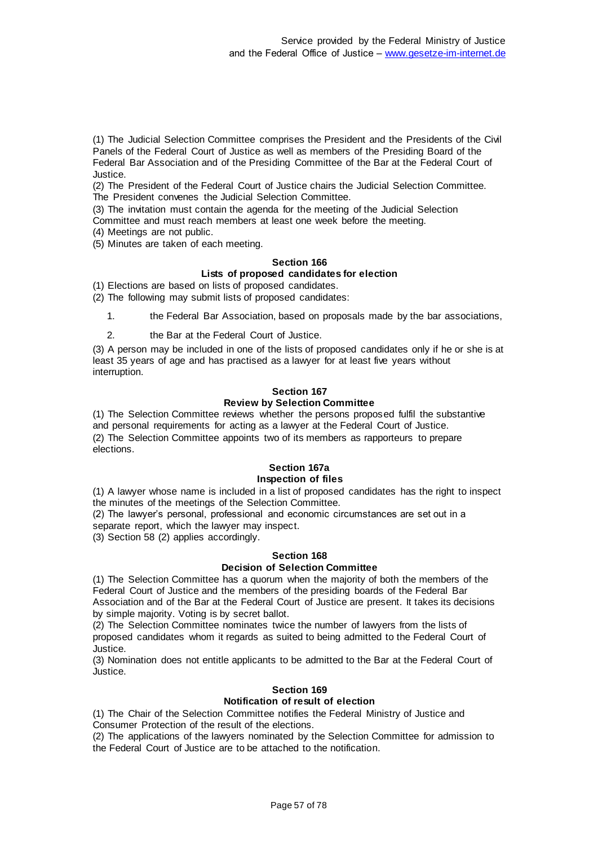(1) The Judicial Selection Committee comprises the President and the Presidents of the Civil Panels of the Federal Court of Justice as well as members of the Presiding Board of the Federal Bar Association and of the Presiding Committee of the Bar at the Federal Court of Justice.

(2) The President of the Federal Court of Justice chairs the Judicial Selection Committee. The President convenes the Judicial Selection Committee.

(3) The invitation must contain the agenda for the meeting of the Judicial Selection

Committee and must reach members at least one week before the meeting.

(4) Meetings are not public.

(5) Minutes are taken of each meeting.

### **Section 166 Lists of proposed candidates for election**

(1) Elections are based on lists of proposed candidates.

(2) The following may submit lists of proposed candidates:

1. the Federal Bar Association, based on proposals made by the bar associations,

2. the Bar at the Federal Court of Justice.

(3) A person may be included in one of the lists of proposed candidates only if he or she is at least 35 years of age and has practised as a lawyer for at least five years without interruption.

## **Section 167**

## **Review by Selection Committee**

(1) The Selection Committee reviews whether the persons proposed fulfil the substantive and personal requirements for acting as a lawyer at the Federal Court of Justice. (2) The Selection Committee appoints two of its members as rapporteurs to prepare elections.

### **Section 167a Inspection of files**

(1) A lawyer whose name is included in a list of proposed candidates has the right to inspect the minutes of the meetings of the Selection Committee.

(2) The lawyer's personal, professional and economic circumstances are set out in a separate report, which the lawyer may inspect.

(3) Section 58 (2) applies accordingly.

### **Section 168**

### **Decision of Selection Committee**

(1) The Selection Committee has a quorum when the majority of both the members of the Federal Court of Justice and the members of the presiding boards of the Federal Bar Association and of the Bar at the Federal Court of Justice are present. It takes its decisions by simple majority. Voting is by secret ballot.

(2) The Selection Committee nominates twice the number of lawyers from the lists of proposed candidates whom it regards as suited to being admitted to the Federal Court of Justice.

(3) Nomination does not entitle applicants to be admitted to the Bar at the Federal Court of Justice.

### **Section 169**

### **Notification of result of election**

(1) The Chair of the Selection Committee notifies the Federal Ministry of Justice and Consumer Protection of the result of the elections.

(2) The applications of the lawyers nominated by the Selection Committee for admission to the Federal Court of Justice are to be attached to the notification.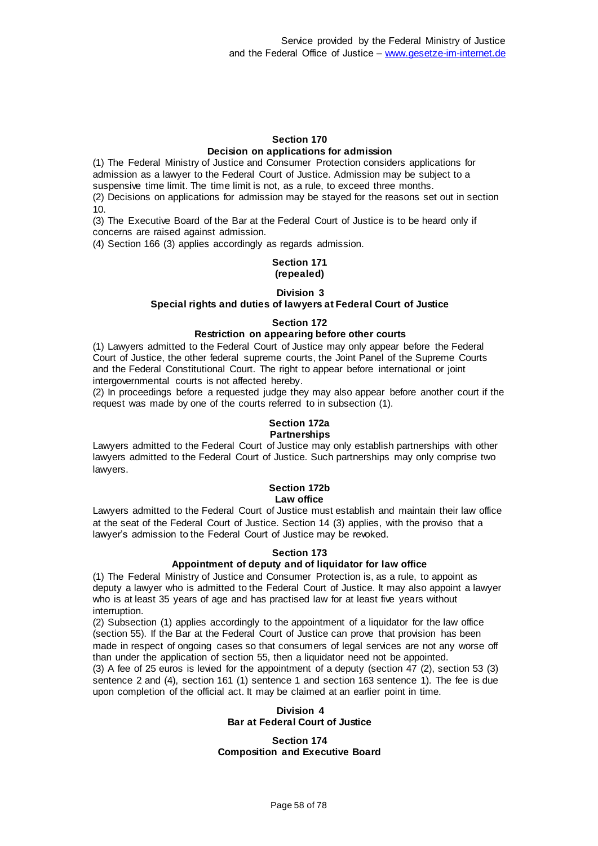### **Section 170 Decision on applications for admission**

(1) The Federal Ministry of Justice and Consumer Protection considers applications for admission as a lawyer to the Federal Court of Justice. Admission may be subject to a suspensive time limit. The time limit is not, as a rule, to exceed three months.

(2) Decisions on applications for admission may be stayed for the reasons set out in section 10.

(3) The Executive Board of the Bar at the Federal Court of Justice is to be heard only if concerns are raised against admission.

(4) Section 166 (3) applies accordingly as regards admission.

### **Section 171 (repealed)**

### **Division 3**

### **Special rights and duties of lawyers at Federal Court of Justice**

### **Section 172**

### **Restriction on appearing before other courts**

(1) Lawyers admitted to the Federal Court of Justice may only appear before the Federal Court of Justice, the other federal supreme courts, the Joint Panel of the Supreme Courts and the Federal Constitutional Court. The right to appear before international or joint intergovernmental courts is not affected hereby.

(2) In proceedings before a requested judge they may also appear before another court if the request was made by one of the courts referred to in subsection (1).

#### **Section 172a Partnerships**

Lawyers admitted to the Federal Court of Justice may only establish partnerships with other lawyers admitted to the Federal Court of Justice. Such partnerships may only comprise two lawyers.

#### **Section 172b Law office**

Lawyers admitted to the Federal Court of Justice must establish and maintain their law office at the seat of the Federal Court of Justice. Section 14 (3) applies, with the proviso that a lawyer's admission to the Federal Court of Justice may be revoked.

### **Section 173**

### **Appointment of deputy and of liquidator for law office**

(1) The Federal Ministry of Justice and Consumer Protection is, as a rule, to appoint as deputy a lawyer who is admitted to the Federal Court of Justice. It may also appoint a lawyer who is at least 35 years of age and has practised law for at least five years without interruption.

(2) Subsection (1) applies accordingly to the appointment of a liquidator for the law office (section 55). If the Bar at the Federal Court of Justice can prove that provision has been made in respect of ongoing cases so that consumers of legal services are not any worse off than under the application of section 55, then a liquidator need not be appointed.

(3) A fee of 25 euros is levied for the appointment of a deputy (section 47 (2), section 53 (3) sentence 2 and (4), section 161 (1) sentence 1 and section 163 sentence 1). The fee is due upon completion of the official act. It may be claimed at an earlier point in time.

### **Division 4 Bar at Federal Court of Justice**

### **Section 174 Composition and Executive Board**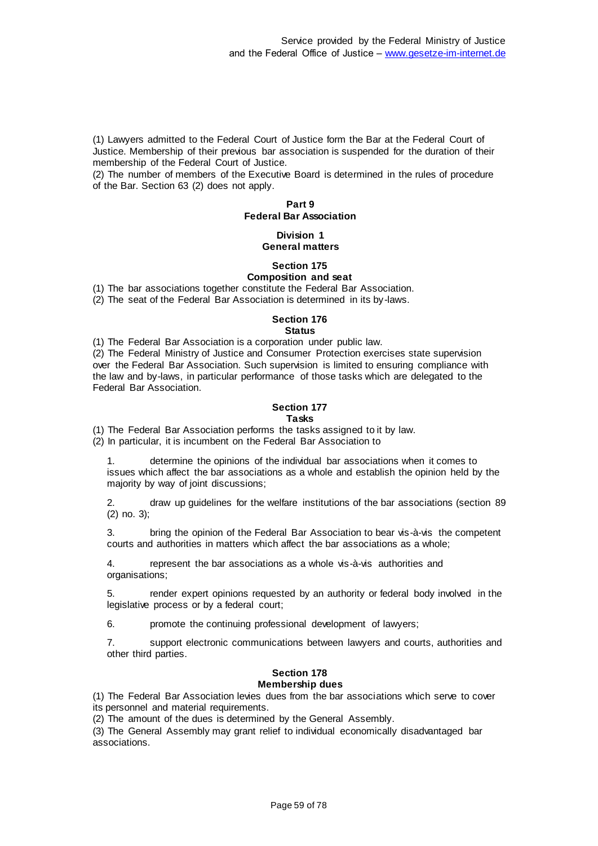(1) Lawyers admitted to the Federal Court of Justice form the Bar at the Federal Court of Justice. Membership of their previous bar association is suspended for the duration of their membership of the Federal Court of Justice.

(2) The number of members of the Executive Board is determined in the rules of procedure of the Bar. Section 63 (2) does not apply.

### **Part 9 Federal Bar Association**

### **Division 1 General matters**

## **Section 175**

## **Composition and seat**

(1) The bar associations together constitute the Federal Bar Association.

(2) The seat of the Federal Bar Association is determined in its by-laws.

#### **Section 176 Status**

(1) The Federal Bar Association is a corporation under public law.

(2) The Federal Ministry of Justice and Consumer Protection exercises state supervision over the Federal Bar Association. Such supervision is limited to ensuring compliance with the law and by-laws, in particular performance of those tasks which are delegated to the Federal Bar Association.

#### **Section 177 Tasks**

(1) The Federal Bar Association performs the tasks assigned to it by law.

(2) In particular, it is incumbent on the Federal Bar Association to

1. determine the opinions of the individual bar associations when it comes to issues which affect the bar associations as a whole and establish the opinion held by the majority by way of joint discussions;

2. draw up guidelines for the welfare institutions of the bar associations (section 89 (2) no. 3);

3. bring the opinion of the Federal Bar Association to bear vis-à-vis the competent courts and authorities in matters which affect the bar associations as a whole;

4. represent the bar associations as a whole vis-à-vis authorities and organisations;

5. render expert opinions requested by an authority or federal body involved in the legislative process or by a federal court;

6. promote the continuing professional development of lawyers;

7. support electronic communications between lawyers and courts, authorities and other third parties.

#### **Section 178 Membership dues**

(1) The Federal Bar Association levies dues from the bar associations which serve to cover its personnel and material requirements.

(2) The amount of the dues is determined by the General Assembly.

(3) The General Assembly may grant relief to individual economically disadvantaged bar associations.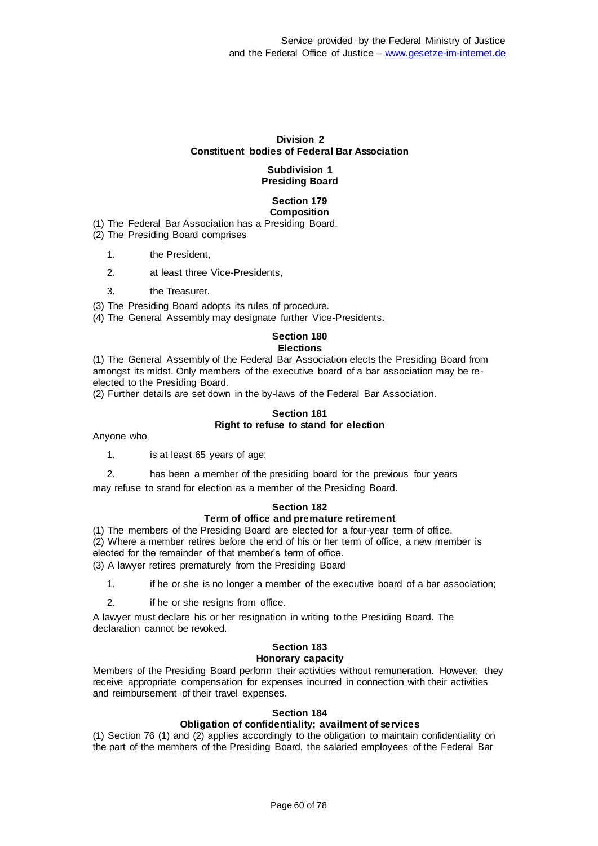## **Division 2 Constituent bodies of Federal Bar Association**

### **Subdivision 1 Presiding Board**

## **Section 179**

**Composition** (1) The Federal Bar Association has a Presiding Board.

(2) The Presiding Board comprises

- 1. the President,
- 2. at least three Vice-Presidents,
- 3. the Treasurer.

(3) The Presiding Board adopts its rules of procedure.

(4) The General Assembly may designate further Vice-Presidents.

#### **Section 180 Elections**

(1) The General Assembly of the Federal Bar Association elects the Presiding Board from amongst its midst. Only members of the executive board of a bar association may be reelected to the Presiding Board.

(2) Further details are set down in the by-laws of the Federal Bar Association.

### **Section 181 Right to refuse to stand for election**

Anyone who

1. is at least 65 years of age;

2. has been a member of the presiding board for the previous four years

may refuse to stand for election as a member of the Presiding Board.

### **Section 182 Term of office and premature retirement**

(1) The members of the Presiding Board are elected for a four-year term of office. (2) Where a member retires before the end of his or her term of office, a new member is elected for the remainder of that member's term of office.

(3) A lawyer retires prematurely from the Presiding Board

1. if he or she is no longer a member of the executive board of a bar association;

2. if he or she resigns from office.

A lawyer must declare his or her resignation in writing to the Presiding Board. The declaration cannot be revoked.

### **Section 183 Honorary capacity**

Members of the Presiding Board perform their activities without remuneration. However, they receive appropriate compensation for expenses incurred in connection with their activities and reimbursement of their travel expenses.

### **Section 184**

### **Obligation of confidentiality; availment of services**

(1) Section 76 (1) and (2) applies accordingly to the obligation to maintain confidentiality on the part of the members of the Presiding Board, the salaried employees of the Federal Bar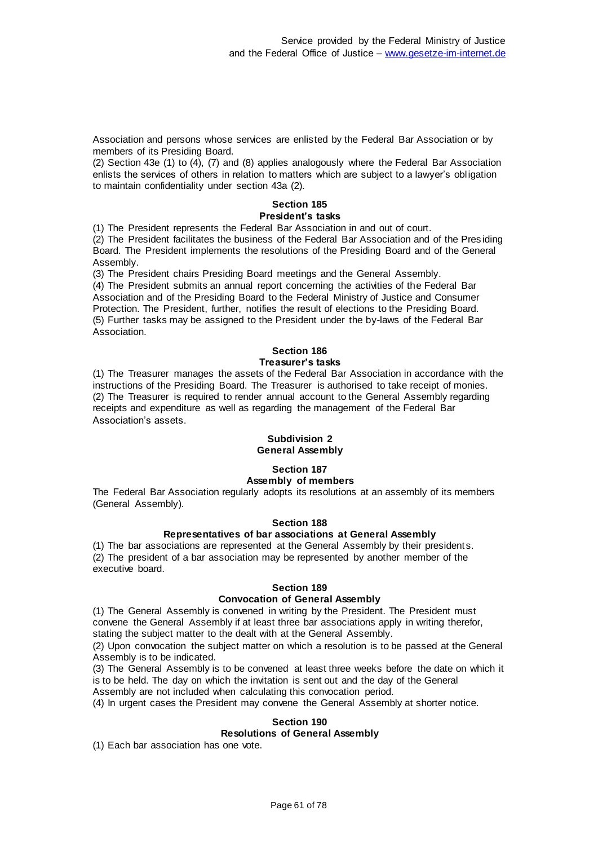Association and persons whose services are enlisted by the Federal Bar Association or by members of its Presiding Board.

(2) Section 43e (1) to (4), (7) and (8) applies analogously where the Federal Bar Association enlists the services of others in relation to matters which are subject to a lawyer's obligation to maintain confidentiality under section 43a (2).

### **Section 185 President's tasks**

(1) The President represents the Federal Bar Association in and out of court.

(2) The President facilitates the business of the Federal Bar Association and of the Pres iding Board. The President implements the resolutions of the Presiding Board and of the General Assembly.

(3) The President chairs Presiding Board meetings and the General Assembly.

(4) The President submits an annual report concerning the activities of the Federal Bar Association and of the Presiding Board to the Federal Ministry of Justice and Consumer Protection. The President, further, notifies the result of elections to the Presiding Board. (5) Further tasks may be assigned to the President under the by-laws of the Federal Bar Association.

### **Section 186 Treasurer's tasks**

(1) The Treasurer manages the assets of the Federal Bar Association in accordance with the instructions of the Presiding Board. The Treasurer is authorised to take receipt of monies. (2) The Treasurer is required to render annual account to the General Assembly regarding receipts and expenditure as well as regarding the management of the Federal Bar Association's assets.

### **Subdivision 2 General Assembly**

## **Section 187**

### **Assembly of members**

The Federal Bar Association regularly adopts its resolutions at an assembly of its members (General Assembly).

### **Section 188**

### **Representatives of bar associations at General Assembly**

(1) The bar associations are represented at the General Assembly by their presidents. (2) The president of a bar association may be represented by another member of the executive board.

### **Section 189**

### **Convocation of General Assembly**

(1) The General Assembly is convened in writing by the President. The President must convene the General Assembly if at least three bar associations apply in writing therefor, stating the subject matter to the dealt with at the General Assembly.

(2) Upon convocation the subject matter on which a resolution is to be passed at the General Assembly is to be indicated.

(3) The General Assembly is to be convened at least three weeks before the date on which it is to be held. The day on which the invitation is sent out and the day of the General

Assembly are not included when calculating this convocation period.

(4) In urgent cases the President may convene the General Assembly at shorter notice.

### **Section 190**

### **Resolutions of General Assembly**

(1) Each bar association has one vote.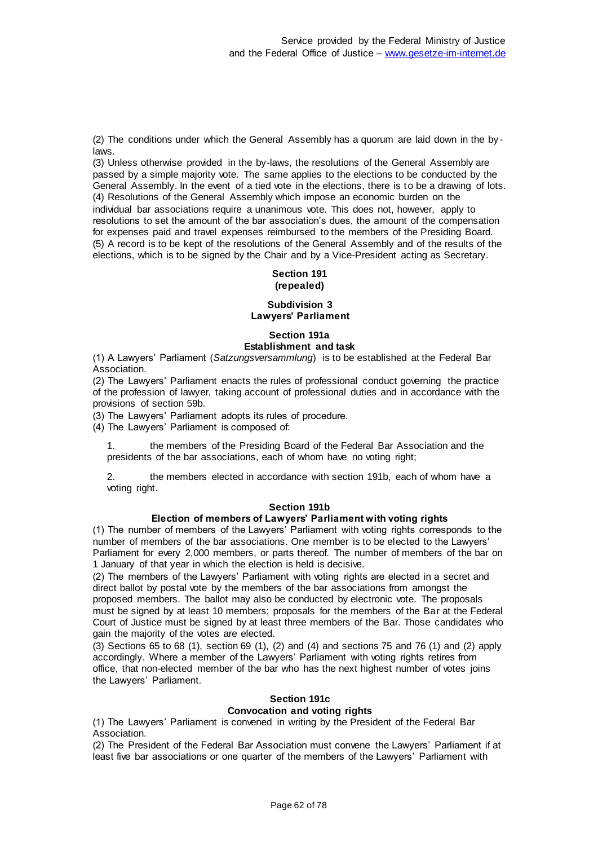(2) The conditions under which the General Assembly has a quorum are laid down in the by laws.

(3) Unless otherwise provided in the by-laws, the resolutions of the General Assembly are passed by a simple majority vote. The same applies to the elections to be conducted by the General Assembly. In the event of a tied vote in the elections, there is to be a drawing of lots. (4) Resolutions of the General Assembly which impose an economic burden on the individual bar associations require a unanimous vote. This does not, however, apply to resolutions to set the amount of the bar association's dues, the amount of the compensation for expenses paid and travel expenses reimbursed to the members of the Presiding Board. (5) A record is to be kept of the resolutions of the General Assembly and of the results of the elections, which is to be signed by the Chair and by a Vice-President acting as Secretary.

### **Section 191 (repealed)**

### **Subdivision 3 Lawyers' Parliament**

## **Section 191a Establishment and task**

(1) A Lawyers' Parliament (*Satzungsversammlung*) is to be established at the Federal Bar Association.

(2) The Lawyers' Parliament enacts the rules of professional conduct governing the practice of the profession of lawyer, taking account of professional duties and in accordance with the provisions of section 59b.

(3) The Lawyers' Parliament adopts its rules of procedure.

(4) The Lawyers' Parliament is composed of:

1. the members of the Presiding Board of the Federal Bar Association and the presidents of the bar associations, each of whom have no voting right;

2. the members elected in accordance with section 191b, each of whom have a voting right.

### **Section 191b**

### **Election of members of Lawyers' Parliament with voting rights**

(1) The number of members of the Lawyers' Parliament with voting rights corresponds to the number of members of the bar associations. One member is to be elected to the Lawyers' Parliament for every 2,000 members, or parts thereof. The number of members of the bar on 1 January of that year in which the election is held is decisive.

(2) The members of the Lawyers' Parliament with voting rights are elected in a secret and direct ballot by postal vote by the members of the bar associations from amongst the proposed members. The ballot may also be conducted by electronic vote. The proposals must be signed by at least 10 members; proposals for the members of the Bar at the Federal Court of Justice must be signed by at least three members of the Bar. Those candidates who gain the majority of the votes are elected.

(3) Sections 65 to 68 (1), section 69 (1), (2) and (4) and sections 75 and 76 (1) and (2) apply accordingly. Where a member of the Lawyers' Parliament with voting rights retires from office, that non-elected member of the bar who has the next highest number of votes joins the Lawyers' Parliament.

#### **Section 191c Convocation and voting rights**

(1) The Lawyers' Parliament is convened in writing by the President of the Federal Bar Association.

(2) The President of the Federal Bar Association must convene the Lawyers' Parliament if at least five bar associations or one quarter of the members of the Lawyers' Parliament with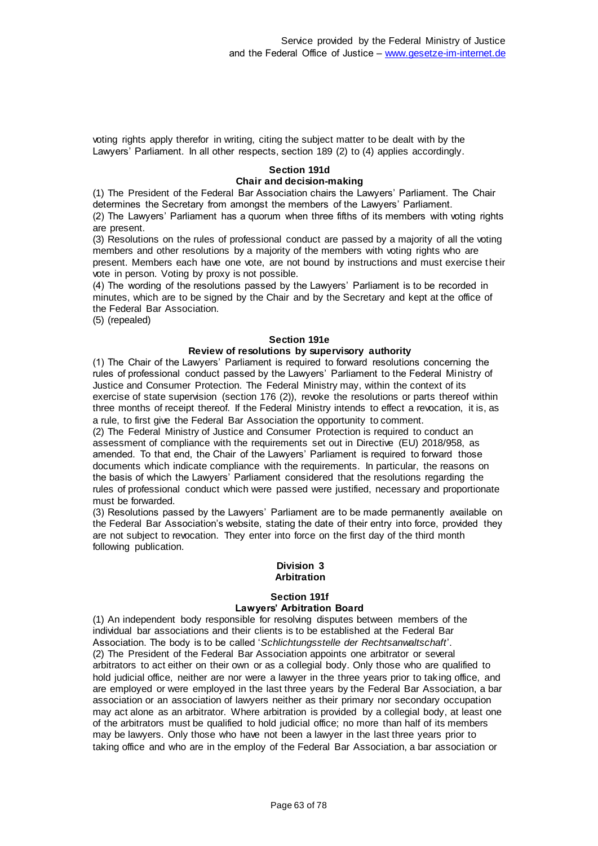voting rights apply therefor in writing, citing the subject matter to be dealt with by the Lawyers' Parliament. In all other respects, section 189 (2) to (4) applies accordingly.

### **Section 191d Chair and decision-making**

(1) The President of the Federal Bar Association chairs the Lawyers' Parliament. The Chair determines the Secretary from amongst the members of the Lawyers' Parliament.

(2) The Lawyers' Parliament has a quorum when three fifths of its members with voting rights are present.

(3) Resolutions on the rules of professional conduct are passed by a majority of all the voting members and other resolutions by a majority of the members with voting rights who are present. Members each have one vote, are not bound by instructions and must exercise their vote in person. Voting by proxy is not possible.

(4) The wording of the resolutions passed by the Lawyers' Parliament is to be recorded in minutes, which are to be signed by the Chair and by the Secretary and kept at the office of the Federal Bar Association.

(5) (repealed)

### **Section 191e**

### **Review of resolutions by supervisory authority**

(1) The Chair of the Lawyers' Parliament is required to forward resolutions concerning the rules of professional conduct passed by the Lawyers' Parliament to the Federal Ministry of Justice and Consumer Protection. The Federal Ministry may, within the context of its exercise of state supervision (section 176 (2)), revoke the resolutions or parts thereof within three months of receipt thereof. If the Federal Ministry intends to effect a revocation, it is, as a rule, to first give the Federal Bar Association the opportunity to comment.

(2) The Federal Ministry of Justice and Consumer Protection is required to conduct an assessment of compliance with the requirements set out in Directive (EU) 2018/958, as amended. To that end, the Chair of the Lawyers' Parliament is required to forward those documents which indicate compliance with the requirements. In particular, the reasons on the basis of which the Lawyers' Parliament considered that the resolutions regarding the rules of professional conduct which were passed were justified, necessary and proportionate must be forwarded.

(3) Resolutions passed by the Lawyers' Parliament are to be made permanently available on the Federal Bar Association's website, stating the date of their entry into force, provided they are not subject to revocation. They enter into force on the first day of the third month following publication.

#### **Division 3 Arbitration**

#### **Section 191f Lawyers' Arbitration Board**

(1) An independent body responsible for resolving disputes between members of the individual bar associations and their clients is to be established at the Federal Bar Association. The body is to be called '*Schlichtungsstelle der Rechtsanwaltschaft*'. (2) The President of the Federal Bar Association appoints one arbitrator or several arbitrators to act either on their own or as a collegial body. Only those who are qualified to hold judicial office, neither are nor were a lawyer in the three years prior to taking office, and are employed or were employed in the last three years by the Federal Bar Association, a bar association or an association of lawyers neither as their primary nor secondary occupation may act alone as an arbitrator. Where arbitration is provided by a collegial body, at least one of the arbitrators must be qualified to hold judicial office; no more than half of its members may be lawyers. Only those who have not been a lawyer in the last three years prior to taking office and who are in the employ of the Federal Bar Association, a bar association or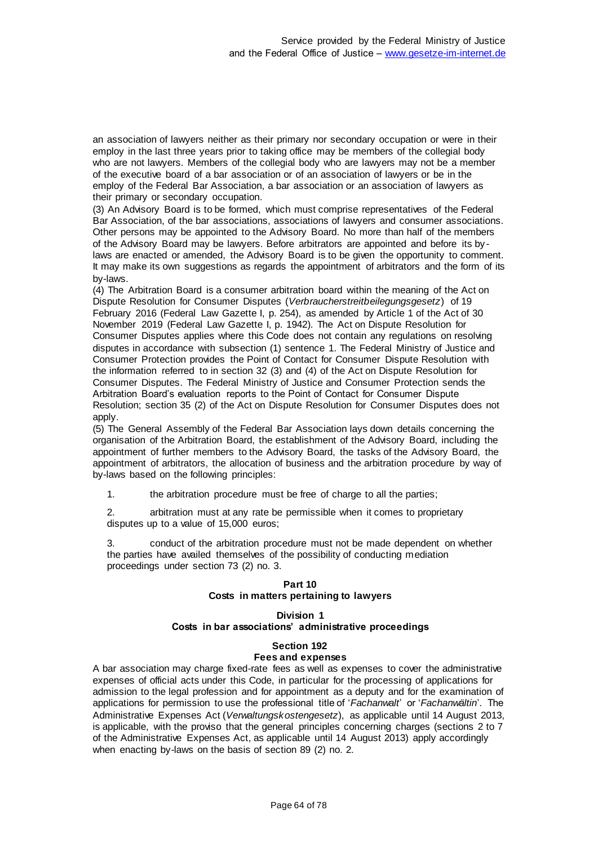an association of lawyers neither as their primary nor secondary occupation or were in their employ in the last three years prior to taking office may be members of the collegial body who are not lawyers. Members of the collegial body who are lawyers may not be a member of the executive board of a bar association or of an association of lawyers or be in the employ of the Federal Bar Association, a bar association or an association of lawyers as their primary or secondary occupation.

(3) An Advisory Board is to be formed, which must comprise representatives of the Federal Bar Association, of the bar associations, associations of lawyers and consumer associations. Other persons may be appointed to the Advisory Board. No more than half of the members of the Advisory Board may be lawyers. Before arbitrators are appointed and before its by laws are enacted or amended, the Advisory Board is to be given the opportunity to comment. It may make its own suggestions as regards the appointment of arbitrators and the form of its by-laws.

(4) The Arbitration Board is a consumer arbitration board within the meaning of the Act on Dispute Resolution for Consumer Disputes (*Verbraucherstreitbeilegungsgesetz*) of 19 February 2016 (Federal Law Gazette I, p. 254), as amended by Article 1 of the Act of 30 November 2019 (Federal Law Gazette I, p. 1942). The Act on Dispute Resolution for Consumer Disputes applies where this Code does not contain any regulations on resolving disputes in accordance with subsection (1) sentence 1. The Federal Ministry of Justice and Consumer Protection provides the Point of Contact for Consumer Dispute Resolution with the information referred to in section 32 (3) and (4) of the Act on Dispute Resolution for Consumer Disputes. The Federal Ministry of Justice and Consumer Protection sends the Arbitration Board's evaluation reports to the Point of Contact for Consumer Dispute Resolution; section 35 (2) of the Act on Dispute Resolution for Consumer Disputes does not apply.

(5) The General Assembly of the Federal Bar Association lays down details concerning the organisation of the Arbitration Board, the establishment of the Advisory Board, including the appointment of further members to the Advisory Board, the tasks of the Advisory Board, the appointment of arbitrators, the allocation of business and the arbitration procedure by way of by-laws based on the following principles:

1. the arbitration procedure must be free of charge to all the parties;

2. arbitration must at any rate be permissible when it comes to proprietary disputes up to a value of 15,000 euros;

3. conduct of the arbitration procedure must not be made dependent on whether the parties have availed themselves of the possibility of conducting mediation proceedings under section 73 (2) no. 3.

### **Part 10 Costs in matters pertaining to lawyers**

## **Division 1 Costs in bar associations' administrative proceedings**

#### **Section 192 Fees and expenses**

A bar association may charge fixed-rate fees as well as expenses to cover the administrative expenses of official acts under this Code, in particular for the processing of applications for admission to the legal profession and for appointment as a deputy and for the examination of applications for permission to use the professional title of '*Fachanwalt*' or '*Fachanwältin*'. The Administrative Expenses Act (*Verwaltungskostengesetz*), as applicable until 14 August 2013, is applicable, with the proviso that the general principles concerning charges (sections 2 to 7 of the Administrative Expenses Act, as applicable until 14 August 2013) apply accordingly when enacting by-laws on the basis of section 89 (2) no. 2.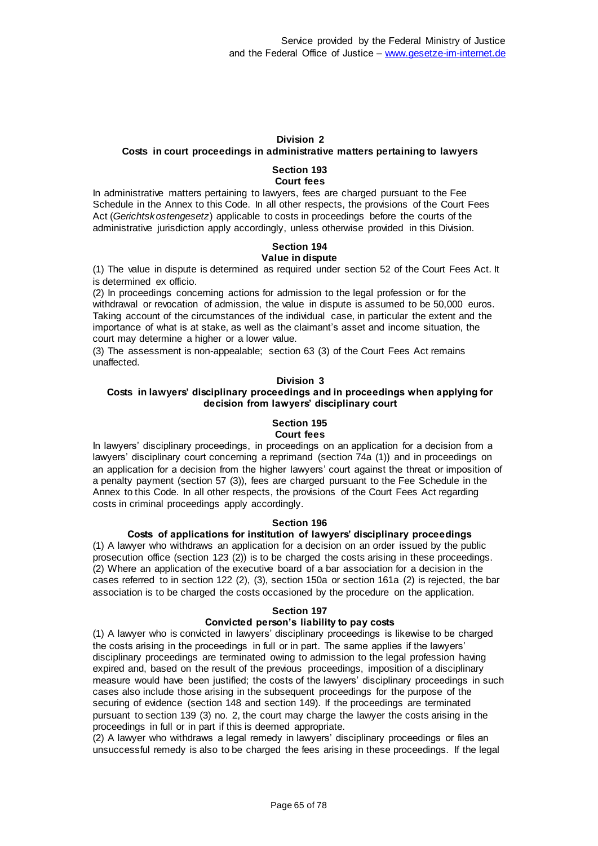#### **Division 2**

### **Costs in court proceedings in administrative matters pertaining to lawyers**

#### **Section 193 Court fees**

In administrative matters pertaining to lawyers, fees are charged pursuant to the Fee Schedule in the Annex to this Code. In all other respects, the provisions of the Court Fees Act (*Gerichtskostengesetz*) applicable to costs in proceedings before the courts of the administrative jurisdiction apply accordingly, unless otherwise provided in this Division.

#### **Section 194 Value in dispute**

(1) The value in dispute is determined as required under section 52 of the Court Fees Act. It is determined ex officio.

(2) In proceedings concerning actions for admission to the legal profession or for the withdrawal or revocation of admission, the value in dispute is assumed to be 50,000 euros. Taking account of the circumstances of the individual case, in particular the extent and the importance of what is at stake, as well as the claimant's asset and income situation, the court may determine a higher or a lower value.

(3) The assessment is non-appealable; section 63 (3) of the Court Fees Act remains unaffected.

### **Division 3**

### **Costs in lawyers' disciplinary proceedings and in proceedings when applying for decision from lawyers' disciplinary court**

#### **Section 195 Court fees**

In lawyers' disciplinary proceedings, in proceedings on an application for a decision from a lawyers' disciplinary court concerning a reprimand (section 74a (1)) and in proceedings on an application for a decision from the higher lawyers' court against the threat or imposition of a penalty payment (section 57 (3)), fees are charged pursuant to the Fee Schedule in the Annex to this Code. In all other respects, the provisions of the Court Fees Act regarding costs in criminal proceedings apply accordingly.

### **Section 196**

### **Costs of applications for institution of lawyers' disciplinary proceedings**

(1) A lawyer who withdraws an application for a decision on an order issued by the public prosecution office (section 123 (2)) is to be charged the costs arising in these proceedings. (2) Where an application of the executive board of a bar association for a decision in the cases referred to in section 122 (2), (3), section 150a or section 161a (2) is rejected, the bar association is to be charged the costs occasioned by the procedure on the application.

#### **Section 197**

### **Convicted person's liability to pay costs**

(1) A lawyer who is convicted in lawyers' disciplinary proceedings is likewise to be charged the costs arising in the proceedings in full or in part. The same applies if the lawyers' disciplinary proceedings are terminated owing to admission to the legal profession having expired and, based on the result of the previous proceedings, imposition of a disciplinary measure would have been justified; the costs of the lawyers' disciplinary proceedings in such cases also include those arising in the subsequent proceedings for the purpose of the securing of evidence (section 148 and section 149). If the proceedings are terminated pursuant to section 139 (3) no. 2, the court may charge the lawyer the costs arising in the proceedings in full or in part if this is deemed appropriate.

(2) A lawyer who withdraws a legal remedy in lawyers' disciplinary proceedings or files an unsuccessful remedy is also to be charged the fees arising in these proceedings. If the legal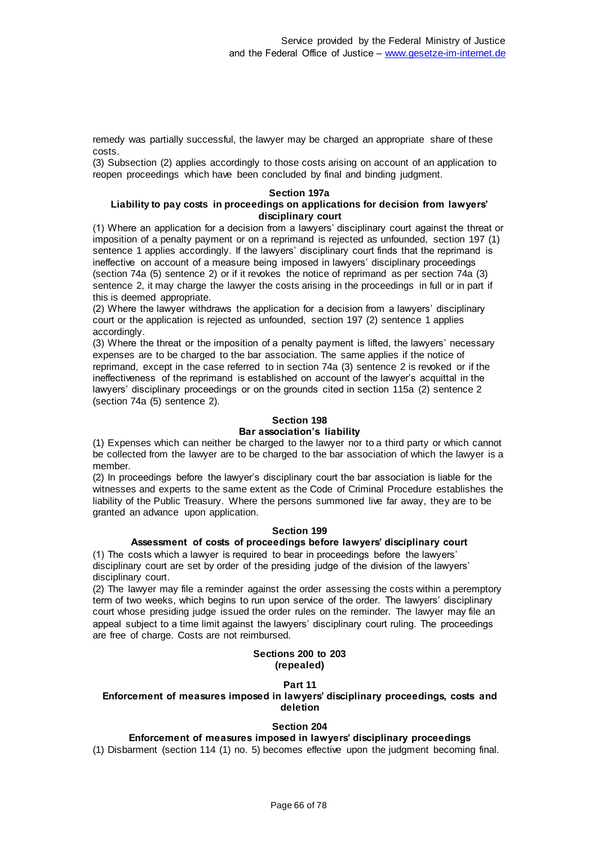remedy was partially successful, the lawyer may be charged an appropriate share of these costs.

(3) Subsection (2) applies accordingly to those costs arising on account of an application to reopen proceedings which have been concluded by final and binding judgment.

#### **Section 197a**

### **Liability to pay costs in proceedings on applications for decision from lawyers' disciplinary court**

(1) Where an application for a decision from a lawyers' disciplinary court against the threat or imposition of a penalty payment or on a reprimand is rejected as unfounded, section 197 (1) sentence 1 applies accordingly. If the lawyers' disciplinary court finds that the reprimand is ineffective on account of a measure being imposed in lawyers' disciplinary proceedings (section 74a (5) sentence 2) or if it revokes the notice of reprimand as per section 74a (3) sentence 2, it may charge the lawyer the costs arising in the proceedings in full or in part if this is deemed appropriate.

(2) Where the lawyer withdraws the application for a decision from a lawyers' disciplinary court or the application is rejected as unfounded, section 197 (2) sentence 1 applies accordingly.

(3) Where the threat or the imposition of a penalty payment is lifted, the lawyers' necessary expenses are to be charged to the bar association. The same applies if the notice of reprimand, except in the case referred to in section 74a (3) sentence 2 is revoked or if the ineffectiveness of the reprimand is established on account of the lawyer's acquittal in the lawyers' disciplinary proceedings or on the grounds cited in section 115a (2) sentence 2 (section 74a (5) sentence 2).

#### **Section 198**

#### **Bar association's liability**

(1) Expenses which can neither be charged to the lawyer nor to a third party or which cannot be collected from the lawyer are to be charged to the bar association of which the lawyer is a member.

(2) In proceedings before the lawyer's disciplinary court the bar association is liable for the witnesses and experts to the same extent as the Code of Criminal Procedure establishes the liability of the Public Treasury. Where the persons summoned live far away, they are to be granted an advance upon application.

#### **Section 199**

### **Assessment of costs of proceedings before lawyers' disciplinary court**

(1) The costs which a lawyer is required to bear in proceedings before the lawyers' disciplinary court are set by order of the presiding judge of the division of the lawyers' disciplinary court.

(2) The lawyer may file a reminder against the order assessing the costs within a peremptory term of two weeks, which begins to run upon service of the order. The lawyers' disciplinary court whose presiding judge issued the order rules on the reminder. The lawyer may file an appeal subject to a time limit against the lawyers' disciplinary court ruling. The proceedings are free of charge. Costs are not reimbursed.

#### **Sections 200 to 203 (repealed)**

#### **Part 11**

### **Enforcement of measures imposed in lawyers' disciplinary proceedings, costs and deletion**

### **Section 204**

### **Enforcement of measures imposed in lawyers' disciplinary proceedings**

(1) Disbarment (section 114 (1) no. 5) becomes effective upon the judgment becoming final.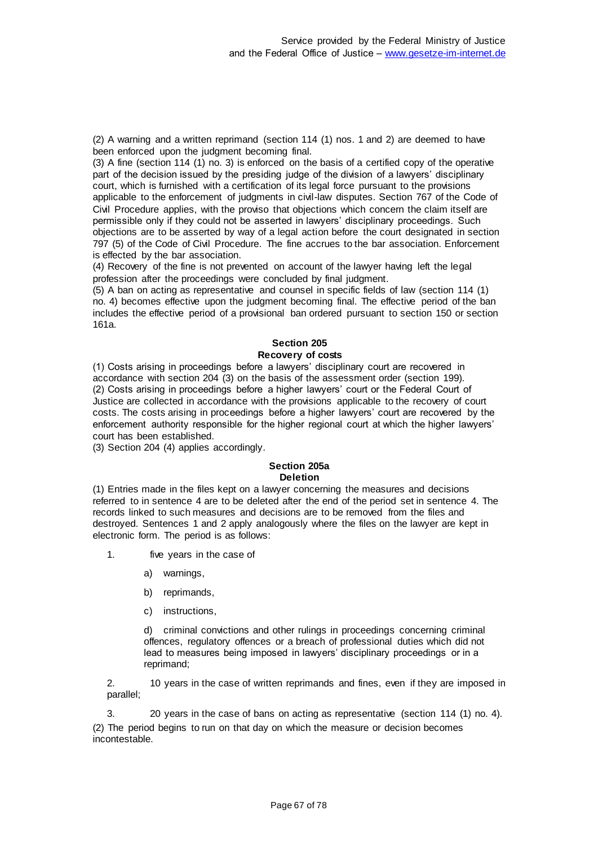(2) A warning and a written reprimand (section 114 (1) nos. 1 and 2) are deemed to have been enforced upon the judgment becoming final.

(3) A fine (section 114 (1) no. 3) is enforced on the basis of a certified copy of the operative part of the decision issued by the presiding judge of the division of a lawyers' disciplinary court, which is furnished with a certification of its legal force pursuant to the provisions applicable to the enforcement of judgments in civil-law disputes. Section 767 of the Code of Civil Procedure applies, with the proviso that objections which concern the claim itself are permissible only if they could not be asserted in lawyers' disciplinary proceedings. Such objections are to be asserted by way of a legal action before the court designated in section 797 (5) of the Code of Civil Procedure. The fine accrues to the bar association. Enforcement is effected by the bar association.

(4) Recovery of the fine is not prevented on account of the lawyer having left the legal profession after the proceedings were concluded by final judgment.

(5) A ban on acting as representative and counsel in specific fields of law (section 114 (1) no. 4) becomes effective upon the judgment becoming final. The effective period of the ban includes the effective period of a provisional ban ordered pursuant to section 150 or section 161a.

### **Section 205 Recovery of costs**

(1) Costs arising in proceedings before a lawyers' disciplinary court are recovered in accordance with section 204 (3) on the basis of the assessment order (section 199). (2) Costs arising in proceedings before a higher lawyers' court or the Federal Court of Justice are collected in accordance with the provisions applicable to the recovery of court costs. The costs arising in proceedings before a higher lawyers' court are recovered by the enforcement authority responsible for the higher regional court at which the higher lawyers' court has been established.

(3) Section 204 (4) applies accordingly.

### **Section 205a Deletion**

(1) Entries made in the files kept on a lawyer concerning the measures and decisions referred to in sentence 4 are to be deleted after the end of the period set in sentence 4. The records linked to such measures and decisions are to be removed from the files and destroyed. Sentences 1 and 2 apply analogously where the files on the lawyer are kept in electronic form. The period is as follows:

1. five years in the case of

- a) warnings,
- b) reprimands,
- c) instructions,

d) criminal convictions and other rulings in proceedings concerning criminal offences, regulatory offences or a breach of professional duties which did not lead to measures being imposed in lawyers' disciplinary proceedings or in a reprimand;

2. 10 years in the case of written reprimands and fines, even if they are imposed in parallel;

3. 20 years in the case of bans on acting as representative (section 114 (1) no. 4). (2) The period begins to run on that day on which the measure or decision becomes incontestable.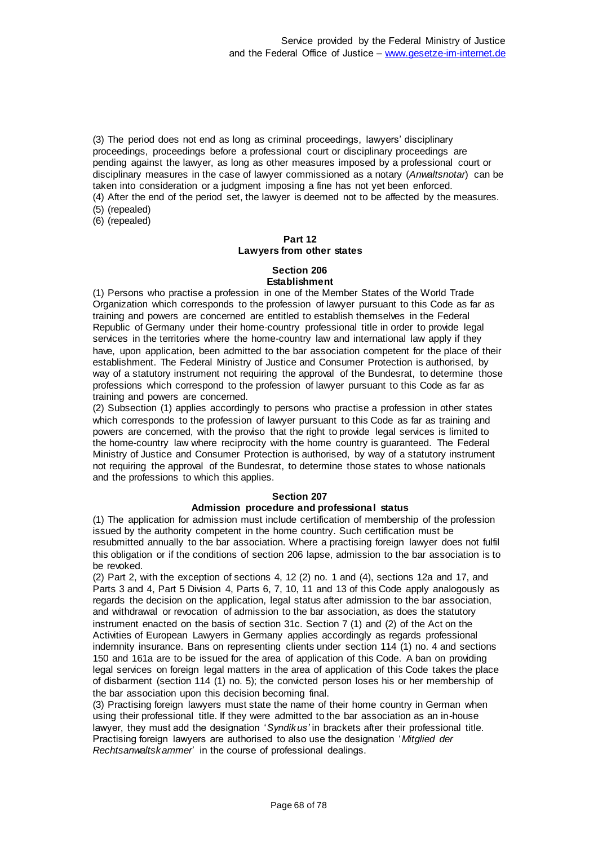(3) The period does not end as long as criminal proceedings, lawyers' disciplinary proceedings, proceedings before a professional court or disciplinary proceedings are pending against the lawyer, as long as other measures imposed by a professional court or disciplinary measures in the case of lawyer commissioned as a notary (*Anwaltsnotar*) can be taken into consideration or a judgment imposing a fine has not yet been enforced.

(4) After the end of the period set, the lawyer is deemed not to be affected by the measures. (5) (repealed)

(6) (repealed)

## **Part 12 Lawyers from other states**

#### **Section 206 Establishment**

(1) Persons who practise a profession in one of the Member States of the World Trade Organization which corresponds to the profession of lawyer pursuant to this Code as far as training and powers are concerned are entitled to establish themselves in the Federal Republic of Germany under their home-country professional title in order to provide legal services in the territories where the home-country law and international law apply if they have, upon application, been admitted to the bar association competent for the place of their establishment. The Federal Ministry of Justice and Consumer Protection is authorised, by way of a statutory instrument not requiring the approval of the Bundesrat, to determine those professions which correspond to the profession of lawyer pursuant to this Code as far as training and powers are concerned.

(2) Subsection (1) applies accordingly to persons who practise a profession in other states which corresponds to the profession of lawyer pursuant to this Code as far as training and powers are concerned, with the proviso that the right to provide legal services is limited to the home-country law where reciprocity with the home country is guaranteed. The Federal Ministry of Justice and Consumer Protection is authorised, by way of a statutory instrument not requiring the approval of the Bundesrat, to determine those states to whose nationals and the professions to which this applies.

### **Section 207**

### **Admission procedure and professional status**

(1) The application for admission must include certification of membership of the profession issued by the authority competent in the home country. Such certification must be resubmitted annually to the bar association. Where a practising foreign lawyer does not fulfil this obligation or if the conditions of section 206 lapse, admission to the bar association is to be revoked.

(2) Part 2, with the exception of sections 4, 12 (2) no. 1 and (4), sections 12a and 17, and Parts 3 and 4, Part 5 Division 4, Parts 6, 7, 10, 11 and 13 of this Code apply analogously as regards the decision on the application, legal status after admission to the bar association, and withdrawal or revocation of admission to the bar association, as does the statutory instrument enacted on the basis of section 31c. Section 7 (1) and (2) of the Act on the Activities of European Lawyers in Germany applies accordingly as regards professional indemnity insurance. Bans on representing clients under section 114 (1) no. 4 and sections 150 and 161a are to be issued for the area of application of this Code. A ban on providing legal services on foreign legal matters in the area of application of this Code takes the place of disbarment (section 114 (1) no. 5); the convicted person loses his or her membership of the bar association upon this decision becoming final.

(3) Practising foreign lawyers must state the name of their home country in German when using their professional title. If they were admitted to the bar association as an in-house lawyer, they must add the designation '*Syndikus'* in brackets after their professional title. Practising foreign lawyers are authorised to also use the designation '*Mitglied der Rechtsanwaltskammer*' in the course of professional dealings.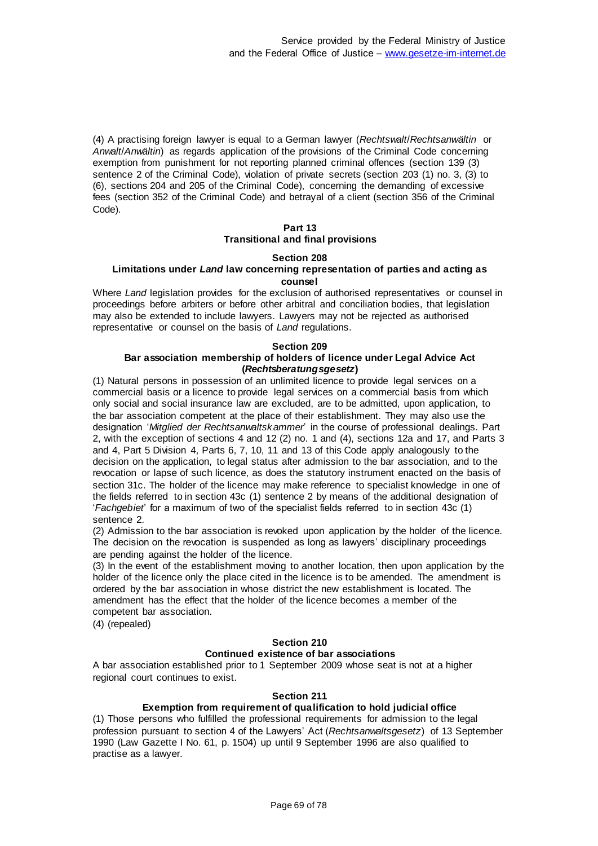(4) A practising foreign lawyer is equal to a German lawyer (*Rechtswalt*/*Rechtsanwältin* or *Anwalt*/*Anwältin*) as regards application of the provisions of the Criminal Code concerning exemption from punishment for not reporting planned criminal offences (section 139 (3) sentence 2 of the Criminal Code), violation of private secrets (section 203 (1) no. 3, (3) to (6), sections 204 and 205 of the Criminal Code), concerning the demanding of excessive fees (section 352 of the Criminal Code) and betrayal of a client (section 356 of the Criminal Code).

### **Part 13 Transitional and final provisions**

### **Section 208**

### **Limitations under** *Land* **law concerning representation of parties and acting as counsel**

Where *Land* legislation provides for the exclusion of authorised representatives or counsel in proceedings before arbiters or before other arbitral and conciliation bodies, that legislation may also be extended to include lawyers. Lawyers may not be rejected as authorised representative or counsel on the basis of *Land* regulations.

### **Section 209**

### **Bar association membership of holders of licence under Legal Advice Act (***Rechtsberatungsgesetz***)**

(1) Natural persons in possession of an unlimited licence to provide legal services on a commercial basis or a licence to provide legal services on a commercial basis from which only social and social insurance law are excluded, are to be admitted, upon application, to the bar association competent at the place of their establishment. They may also use the designation '*Mitglied der Rechtsanwaltskammer*' in the course of professional dealings. Part 2, with the exception of sections 4 and 12 (2) no. 1 and (4), sections 12a and 17, and Parts 3 and 4, Part 5 Division 4, Parts 6, 7, 10, 11 and 13 of this Code apply analogously to the decision on the application, to legal status after admission to the bar association, and to the revocation or lapse of such licence, as does the statutory instrument enacted on the basis of section 31c. The holder of the licence may make reference to specialist knowledge in one of the fields referred to in section 43c (1) sentence 2 by means of the additional designation of '*Fachgebiet*' for a maximum of two of the specialist fields referred to in section 43c (1) sentence 2.

(2) Admission to the bar association is revoked upon application by the holder of the licence. The decision on the revocation is suspended as long as lawyers' disciplinary proceedings are pending against the holder of the licence.

(3) In the event of the establishment moving to another location, then upon application by the holder of the licence only the place cited in the licence is to be amended. The amendment is ordered by the bar association in whose district the new establishment is located. The amendment has the effect that the holder of the licence becomes a member of the competent bar association.

(4) (repealed)

### **Section 210**

### **Continued existence of bar associations**

A bar association established prior to 1 September 2009 whose seat is not at a higher regional court continues to exist.

### **Section 211**

### **Exemption from requirement of qualification to hold judicial office**

(1) Those persons who fulfilled the professional requirements for admission to the legal profession pursuant to section 4 of the Lawyers' Act (*Rechtsanwaltsgesetz*) of 13 September 1990 (Law Gazette I No. 61, p. 1504) up until 9 September 1996 are also qualified to practise as a lawyer.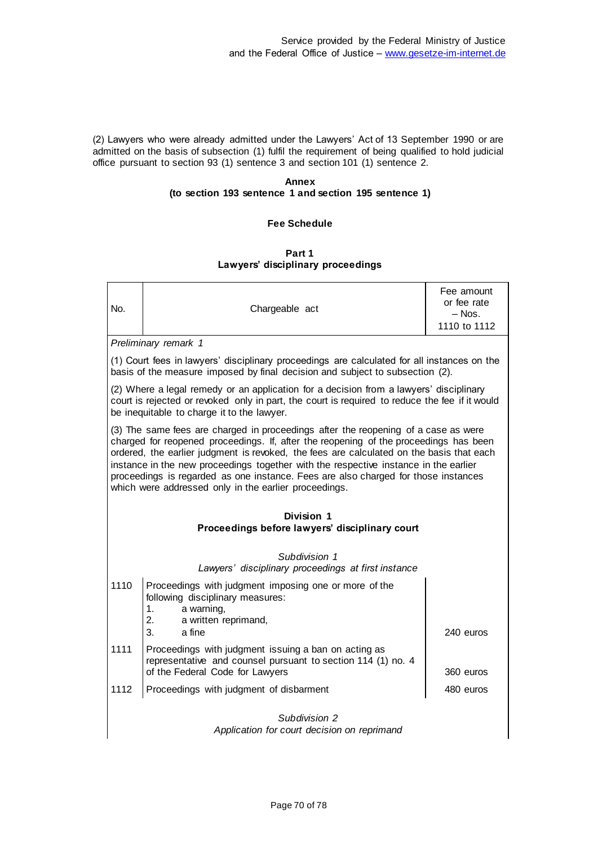(2) Lawyers who were already admitted under the Lawyers' Act of 13 September 1990 or are admitted on the basis of subsection (1) fulfil the requirement of being qualified to hold judicial office pursuant to section 93 (1) sentence 3 and section 101 (1) sentence 2.

### **Annex (to section 193 sentence 1 and section 195 sentence 1)**

### **Fee Schedule**

### **Part 1 Lawyers' disciplinary proceedings**

| No.                                                                                                                                                                                                                                                                                                                                                                                                                                                                                                            | Chargeable act                                                                                                                                              | Fee amount<br>or fee rate<br>– Nos.<br>1110 to 1112 |  |  |
|----------------------------------------------------------------------------------------------------------------------------------------------------------------------------------------------------------------------------------------------------------------------------------------------------------------------------------------------------------------------------------------------------------------------------------------------------------------------------------------------------------------|-------------------------------------------------------------------------------------------------------------------------------------------------------------|-----------------------------------------------------|--|--|
|                                                                                                                                                                                                                                                                                                                                                                                                                                                                                                                | Preliminary remark 1                                                                                                                                        |                                                     |  |  |
| (1) Court fees in lawyers' disciplinary proceedings are calculated for all instances on the<br>basis of the measure imposed by final decision and subject to subsection (2).                                                                                                                                                                                                                                                                                                                                   |                                                                                                                                                             |                                                     |  |  |
| (2) Where a legal remedy or an application for a decision from a lawyers' disciplinary<br>court is rejected or revoked only in part, the court is required to reduce the fee if it would<br>be inequitable to charge it to the lawyer.                                                                                                                                                                                                                                                                         |                                                                                                                                                             |                                                     |  |  |
| (3) The same fees are charged in proceedings after the reopening of a case as were<br>charged for reopened proceedings. If, after the reopening of the proceedings has been<br>ordered, the earlier judgment is revoked, the fees are calculated on the basis that each<br>instance in the new proceedings together with the respective instance in the earlier<br>proceedings is regarded as one instance. Fees are also charged for those instances<br>which were addressed only in the earlier proceedings. |                                                                                                                                                             |                                                     |  |  |
| Division 1<br>Proceedings before lawyers' disciplinary court                                                                                                                                                                                                                                                                                                                                                                                                                                                   |                                                                                                                                                             |                                                     |  |  |
| Subdivision 1<br>Lawyers' disciplinary proceedings at first instance                                                                                                                                                                                                                                                                                                                                                                                                                                           |                                                                                                                                                             |                                                     |  |  |
| 1110                                                                                                                                                                                                                                                                                                                                                                                                                                                                                                           | Proceedings with judgment imposing one or more of the<br>following disciplinary measures:<br>a warning,<br>1.<br>a written reprimand,<br>2.<br>a fine<br>3. | 240 euros                                           |  |  |
| 1111                                                                                                                                                                                                                                                                                                                                                                                                                                                                                                           | Proceedings with judgment issuing a ban on acting as<br>representative and counsel pursuant to section 114 (1) no. 4<br>of the Federal Code for Lawyers     | 360 euros                                           |  |  |
| 1112                                                                                                                                                                                                                                                                                                                                                                                                                                                                                                           | Proceedings with judgment of disbarment                                                                                                                     | 480 euros                                           |  |  |
| Subdivision 2<br>Application for court decision on reprimand                                                                                                                                                                                                                                                                                                                                                                                                                                                   |                                                                                                                                                             |                                                     |  |  |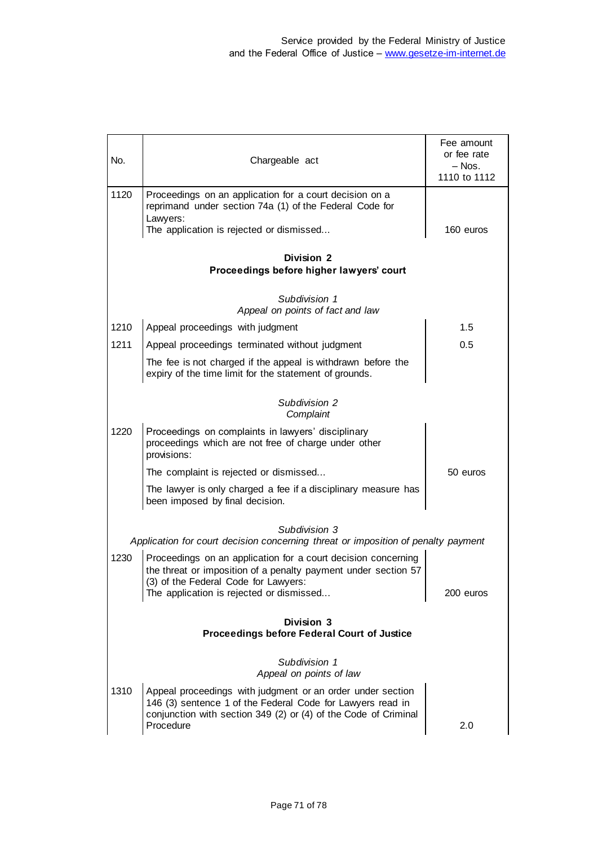| No.                                                                                                | Chargeable act                                                                                                                                                                                                      | Fee amount<br>or fee rate<br>$-$ Nos.<br>1110 to 1112 |  |  |  |
|----------------------------------------------------------------------------------------------------|---------------------------------------------------------------------------------------------------------------------------------------------------------------------------------------------------------------------|-------------------------------------------------------|--|--|--|
| 1120                                                                                               | Proceedings on an application for a court decision on a<br>reprimand under section 74a (1) of the Federal Code for<br>Lawyers:                                                                                      |                                                       |  |  |  |
|                                                                                                    | The application is rejected or dismissed                                                                                                                                                                            | 160 euros                                             |  |  |  |
| Division 2<br>Proceedings before higher lawyers' court                                             |                                                                                                                                                                                                                     |                                                       |  |  |  |
| Subdivision 1<br>Appeal on points of fact and law                                                  |                                                                                                                                                                                                                     |                                                       |  |  |  |
| 1210                                                                                               | Appeal proceedings with judgment                                                                                                                                                                                    | 1.5                                                   |  |  |  |
| 1211                                                                                               | Appeal proceedings terminated without judgment                                                                                                                                                                      | 0.5                                                   |  |  |  |
|                                                                                                    | The fee is not charged if the appeal is withdrawn before the<br>expiry of the time limit for the statement of grounds.                                                                                              |                                                       |  |  |  |
|                                                                                                    | Subdivision 2<br>Complaint                                                                                                                                                                                          |                                                       |  |  |  |
| 1220                                                                                               | Proceedings on complaints in lawyers' disciplinary<br>proceedings which are not free of charge under other<br>provisions:                                                                                           |                                                       |  |  |  |
|                                                                                                    | The complaint is rejected or dismissed                                                                                                                                                                              | 50 euros                                              |  |  |  |
|                                                                                                    | The lawyer is only charged a fee if a disciplinary measure has<br>been imposed by final decision.                                                                                                                   |                                                       |  |  |  |
| Subdivision 3<br>Application for court decision concerning threat or imposition of penalty payment |                                                                                                                                                                                                                     |                                                       |  |  |  |
| 1230                                                                                               | Proceedings on an application for a court decision concerning<br>the threat or imposition of a penalty payment under section 57<br>(3) of the Federal Code for Lawyers:<br>The application is rejected or dismissed | 200 euros                                             |  |  |  |
| Division 3<br><b>Proceedings before Federal Court of Justice</b>                                   |                                                                                                                                                                                                                     |                                                       |  |  |  |
| Subdivision 1<br>Appeal on points of law                                                           |                                                                                                                                                                                                                     |                                                       |  |  |  |
| 1310                                                                                               | Appeal proceedings with judgment or an order under section<br>146 (3) sentence 1 of the Federal Code for Lawyers read in<br>conjunction with section 349 (2) or (4) of the Code of Criminal<br>Procedure            | 2.0                                                   |  |  |  |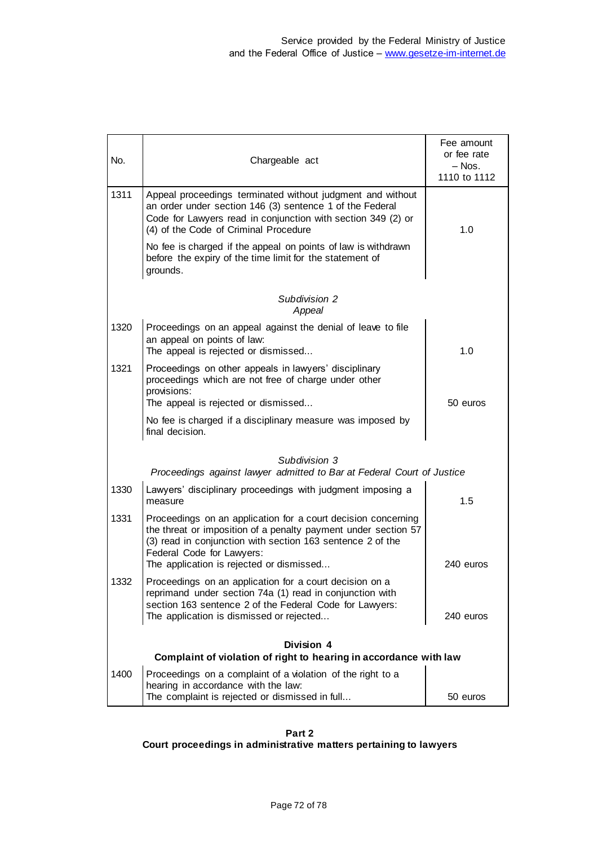| No.                                                                                     | Chargeable act                                                                                                                                                                                                                  | Fee amount<br>or fee rate<br>$-$ Nos.<br>1110 to 1112 |  |  |
|-----------------------------------------------------------------------------------------|---------------------------------------------------------------------------------------------------------------------------------------------------------------------------------------------------------------------------------|-------------------------------------------------------|--|--|
| 1311                                                                                    | Appeal proceedings terminated without judgment and without<br>an order under section 146 (3) sentence 1 of the Federal<br>Code for Lawyers read in conjunction with section 349 (2) or<br>(4) of the Code of Criminal Procedure | 1.0                                                   |  |  |
|                                                                                         | No fee is charged if the appeal on points of law is withdrawn<br>before the expiry of the time limit for the statement of<br>grounds.                                                                                           |                                                       |  |  |
| Subdivision 2<br>Appeal                                                                 |                                                                                                                                                                                                                                 |                                                       |  |  |
| 1320                                                                                    | Proceedings on an appeal against the denial of leave to file<br>an appeal on points of law:<br>The appeal is rejected or dismissed                                                                                              | 1.0                                                   |  |  |
| 1321                                                                                    | Proceedings on other appeals in lawyers' disciplinary<br>proceedings which are not free of charge under other<br>provisions:<br>The appeal is rejected or dismissed                                                             | 50 euros                                              |  |  |
|                                                                                         | No fee is charged if a disciplinary measure was imposed by<br>final decision.                                                                                                                                                   |                                                       |  |  |
| Subdivision 3<br>Proceedings against lawyer admitted to Bar at Federal Court of Justice |                                                                                                                                                                                                                                 |                                                       |  |  |
| 1330                                                                                    | Lawyers' disciplinary proceedings with judgment imposing a<br>measure                                                                                                                                                           | 1.5                                                   |  |  |
| 1331                                                                                    | Proceedings on an application for a court decision concerning<br>the threat or imposition of a penalty payment under section 57<br>(3) read in conjunction with section 163 sentence 2 of the<br>Federal Code for Lawyers:      |                                                       |  |  |
|                                                                                         | The application is rejected or dismissed                                                                                                                                                                                        | 240 euros                                             |  |  |
| 1332                                                                                    | Proceedings on an application for a court decision on a<br>reprimand under section 74a (1) read in conjunction with<br>section 163 sentence 2 of the Federal Code for Lawyers:<br>The application is dismissed or rejected      | 240 euros                                             |  |  |
| Division 4<br>Complaint of violation of right to hearing in accordance with law         |                                                                                                                                                                                                                                 |                                                       |  |  |
| 1400                                                                                    | Proceedings on a complaint of a violation of the right to a<br>hearing in accordance with the law:                                                                                                                              |                                                       |  |  |
|                                                                                         | The complaint is rejected or dismissed in full                                                                                                                                                                                  | 50 euros                                              |  |  |

**Part 2 Court proceedings in administrative matters pertaining to lawyers**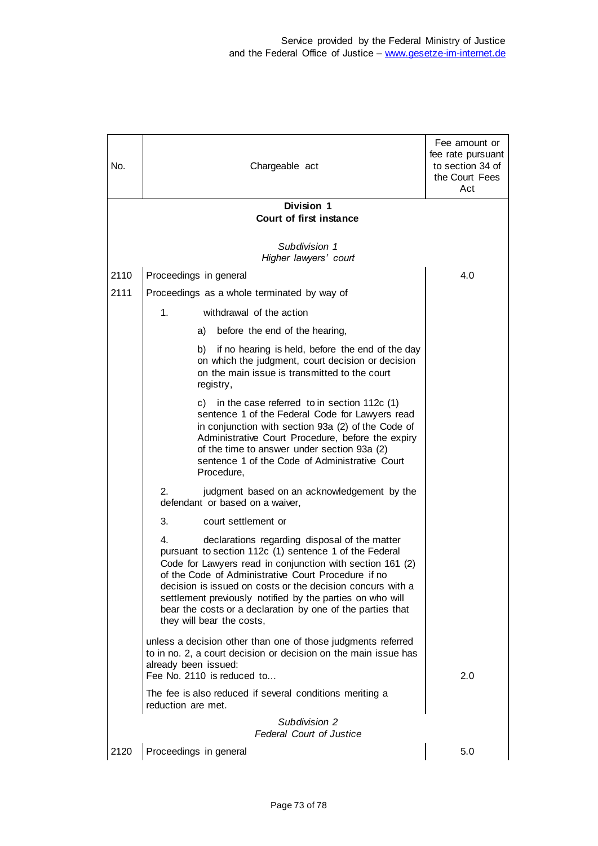| No.  | Chargeable act                                                                                                                                                                                                                                                                                                                                                                                                                                          | Fee amount or<br>fee rate pursuant<br>to section 34 of<br>the Court Fees<br>Act |
|------|---------------------------------------------------------------------------------------------------------------------------------------------------------------------------------------------------------------------------------------------------------------------------------------------------------------------------------------------------------------------------------------------------------------------------------------------------------|---------------------------------------------------------------------------------|
|      | Division 1                                                                                                                                                                                                                                                                                                                                                                                                                                              |                                                                                 |
|      | Court of first instance                                                                                                                                                                                                                                                                                                                                                                                                                                 |                                                                                 |
|      | Subdivision 1<br>Higher lawyers' court                                                                                                                                                                                                                                                                                                                                                                                                                  |                                                                                 |
| 2110 | Proceedings in general                                                                                                                                                                                                                                                                                                                                                                                                                                  | 4.0                                                                             |
| 2111 | Proceedings as a whole terminated by way of                                                                                                                                                                                                                                                                                                                                                                                                             |                                                                                 |
|      | 1 <sub>1</sub><br>withdrawal of the action                                                                                                                                                                                                                                                                                                                                                                                                              |                                                                                 |
|      | before the end of the hearing,<br>a)                                                                                                                                                                                                                                                                                                                                                                                                                    |                                                                                 |
|      | b) if no hearing is held, before the end of the day<br>on which the judgment, court decision or decision<br>on the main issue is transmitted to the court<br>registry,                                                                                                                                                                                                                                                                                  |                                                                                 |
|      | c) in the case referred to in section $112c(1)$<br>sentence 1 of the Federal Code for Lawyers read<br>in conjunction with section 93a (2) of the Code of<br>Administrative Court Procedure, before the expiry<br>of the time to answer under section 93a (2)<br>sentence 1 of the Code of Administrative Court<br>Procedure,                                                                                                                            |                                                                                 |
|      | 2.<br>judgment based on an acknowledgement by the<br>defendant or based on a waiver.                                                                                                                                                                                                                                                                                                                                                                    |                                                                                 |
|      | 3.<br>court settlement or                                                                                                                                                                                                                                                                                                                                                                                                                               |                                                                                 |
|      | 4.<br>declarations regarding disposal of the matter<br>pursuant to section 112c (1) sentence 1 of the Federal<br>Code for Lawyers read in conjunction with section 161 (2)<br>of the Code of Administrative Court Procedure if no<br>decision is issued on costs or the decision concurs with a<br>settlement previously notified by the parties on who will<br>bear the costs or a declaration by one of the parties that<br>they will bear the costs, |                                                                                 |
|      | unless a decision other than one of those judgments referred<br>to in no. 2, a court decision or decision on the main issue has<br>already been issued:<br>Fee No. 2110 is reduced to                                                                                                                                                                                                                                                                   | 2.0                                                                             |
|      | The fee is also reduced if several conditions meriting a<br>reduction are met.                                                                                                                                                                                                                                                                                                                                                                          |                                                                                 |
|      | Subdivision 2<br><b>Federal Court of Justice</b>                                                                                                                                                                                                                                                                                                                                                                                                        |                                                                                 |
| 2120 | Proceedings in general                                                                                                                                                                                                                                                                                                                                                                                                                                  | 5.0                                                                             |
|      |                                                                                                                                                                                                                                                                                                                                                                                                                                                         |                                                                                 |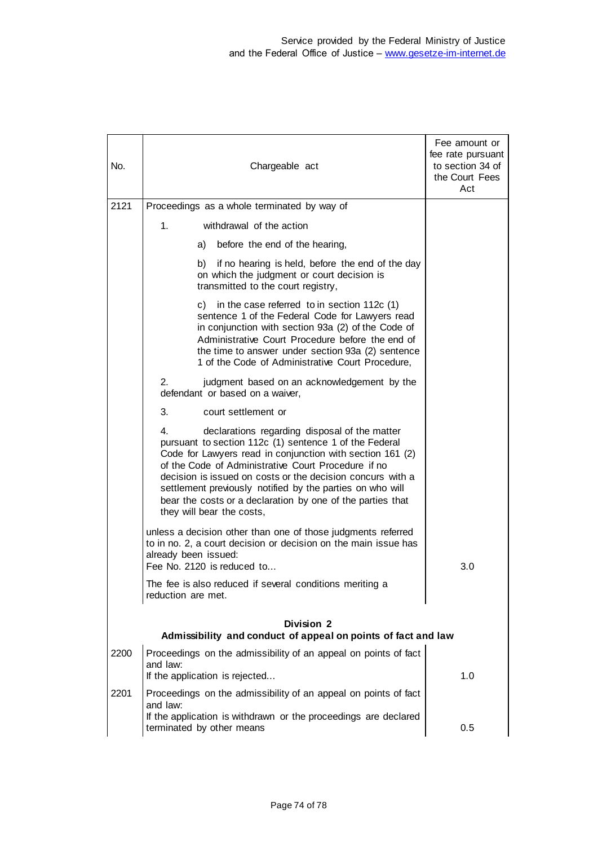| No.                                                                                | Chargeable act                                                                                                                                                                                                                                                                                                                                                                                                                                          | Fee amount or<br>fee rate pursuant<br>to section 34 of<br>the Court Fees<br>Act |
|------------------------------------------------------------------------------------|---------------------------------------------------------------------------------------------------------------------------------------------------------------------------------------------------------------------------------------------------------------------------------------------------------------------------------------------------------------------------------------------------------------------------------------------------------|---------------------------------------------------------------------------------|
| 2121                                                                               | Proceedings as a whole terminated by way of                                                                                                                                                                                                                                                                                                                                                                                                             |                                                                                 |
|                                                                                    | withdrawal of the action<br>1.                                                                                                                                                                                                                                                                                                                                                                                                                          |                                                                                 |
|                                                                                    | before the end of the hearing,<br>a)                                                                                                                                                                                                                                                                                                                                                                                                                    |                                                                                 |
|                                                                                    | if no hearing is held, before the end of the day<br>b)<br>on which the judgment or court decision is<br>transmitted to the court registry,                                                                                                                                                                                                                                                                                                              |                                                                                 |
|                                                                                    | in the case referred to in section 112c (1)<br>C)<br>sentence 1 of the Federal Code for Lawyers read<br>in conjunction with section 93a (2) of the Code of<br>Administrative Court Procedure before the end of<br>the time to answer under section 93a (2) sentence<br>1 of the Code of Administrative Court Procedure,                                                                                                                                 |                                                                                 |
|                                                                                    | judgment based on an acknowledgement by the<br>2.<br>defendant or based on a waiver,                                                                                                                                                                                                                                                                                                                                                                    |                                                                                 |
|                                                                                    | 3.<br>court settlement or                                                                                                                                                                                                                                                                                                                                                                                                                               |                                                                                 |
|                                                                                    | 4.<br>declarations regarding disposal of the matter<br>pursuant to section 112c (1) sentence 1 of the Federal<br>Code for Lawyers read in conjunction with section 161 (2)<br>of the Code of Administrative Court Procedure if no<br>decision is issued on costs or the decision concurs with a<br>settlement previously notified by the parties on who will<br>bear the costs or a declaration by one of the parties that<br>they will bear the costs, |                                                                                 |
|                                                                                    | unless a decision other than one of those judgments referred<br>to in no. 2, a court decision or decision on the main issue has<br>already been issued:<br>Fee No. 2120 is reduced to                                                                                                                                                                                                                                                                   | 3.0                                                                             |
|                                                                                    | The fee is also reduced if several conditions meriting a<br>reduction are met.                                                                                                                                                                                                                                                                                                                                                                          |                                                                                 |
| <b>Division 2</b><br>Admissibility and conduct of appeal on points of fact and law |                                                                                                                                                                                                                                                                                                                                                                                                                                                         |                                                                                 |
| 2200                                                                               | Proceedings on the admissibility of an appeal on points of fact<br>and law:<br>If the application is rejected                                                                                                                                                                                                                                                                                                                                           | 1.0                                                                             |
| 2201                                                                               | Proceedings on the admissibility of an appeal on points of fact                                                                                                                                                                                                                                                                                                                                                                                         |                                                                                 |
|                                                                                    | and law:<br>If the application is withdrawn or the proceedings are declared<br>terminated by other means                                                                                                                                                                                                                                                                                                                                                | 0.5                                                                             |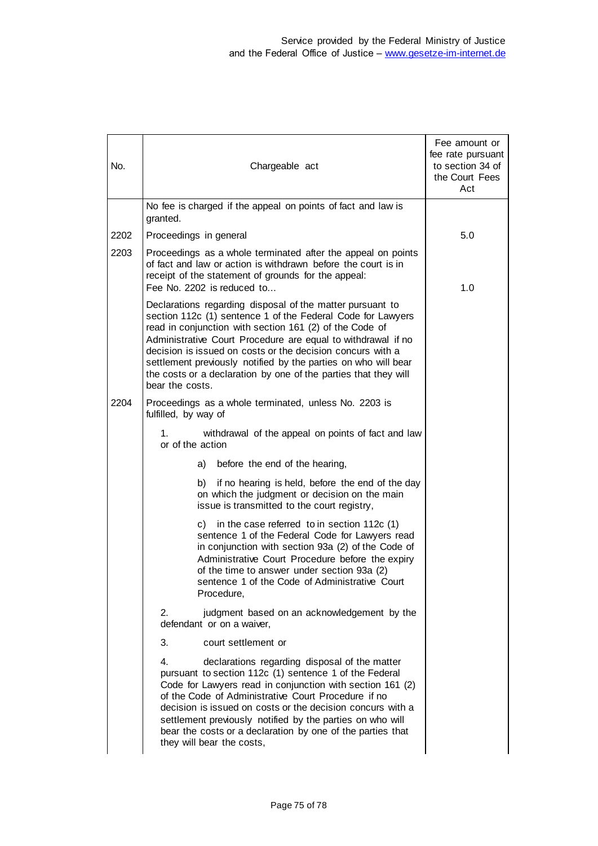| No.  | Chargeable act                                                                                                                                                                                                                                                                                                                                                                                                                                                            | Fee amount or<br>fee rate pursuant<br>to section 34 of<br>the Court Fees<br>Act |
|------|---------------------------------------------------------------------------------------------------------------------------------------------------------------------------------------------------------------------------------------------------------------------------------------------------------------------------------------------------------------------------------------------------------------------------------------------------------------------------|---------------------------------------------------------------------------------|
|      | No fee is charged if the appeal on points of fact and law is<br>granted.                                                                                                                                                                                                                                                                                                                                                                                                  |                                                                                 |
| 2202 | Proceedings in general                                                                                                                                                                                                                                                                                                                                                                                                                                                    | 5.0                                                                             |
| 2203 | Proceedings as a whole terminated after the appeal on points<br>of fact and law or action is withdrawn before the court is in<br>receipt of the statement of grounds for the appeal:<br>Fee No. 2202 is reduced to                                                                                                                                                                                                                                                        | 1.0                                                                             |
|      | Declarations regarding disposal of the matter pursuant to<br>section 112c (1) sentence 1 of the Federal Code for Lawyers<br>read in conjunction with section 161 (2) of the Code of<br>Administrative Court Procedure are equal to withdrawal if no<br>decision is issued on costs or the decision concurs with a<br>settlement previously notified by the parties on who will bear<br>the costs or a declaration by one of the parties that they will<br>bear the costs. |                                                                                 |
| 2204 | Proceedings as a whole terminated, unless No. 2203 is<br>fulfilled, by way of                                                                                                                                                                                                                                                                                                                                                                                             |                                                                                 |
|      | withdrawal of the appeal on points of fact and law<br>1.<br>or of the action                                                                                                                                                                                                                                                                                                                                                                                              |                                                                                 |
|      | before the end of the hearing,<br>a)                                                                                                                                                                                                                                                                                                                                                                                                                                      |                                                                                 |
|      | if no hearing is held, before the end of the day<br>b)<br>on which the judgment or decision on the main<br>issue is transmitted to the court registry,                                                                                                                                                                                                                                                                                                                    |                                                                                 |
|      | in the case referred to in section 112c (1)<br>C)<br>sentence 1 of the Federal Code for Lawyers read<br>in conjunction with section 93a (2) of the Code of<br>Administrative Court Procedure before the expiry<br>of the time to answer under section 93a (2)<br>sentence 1 of the Code of Administrative Court<br>Procedure,                                                                                                                                             |                                                                                 |
|      | 2.<br>judgment based on an acknowledgement by the<br>defendant or on a waiver,                                                                                                                                                                                                                                                                                                                                                                                            |                                                                                 |
|      | 3.<br>court settlement or                                                                                                                                                                                                                                                                                                                                                                                                                                                 |                                                                                 |
|      | 4.<br>declarations regarding disposal of the matter<br>pursuant to section 112c (1) sentence 1 of the Federal<br>Code for Lawyers read in conjunction with section 161 (2)<br>of the Code of Administrative Court Procedure if no<br>decision is issued on costs or the decision concurs with a<br>settlement previously notified by the parties on who will<br>bear the costs or a declaration by one of the parties that<br>they will bear the costs,                   |                                                                                 |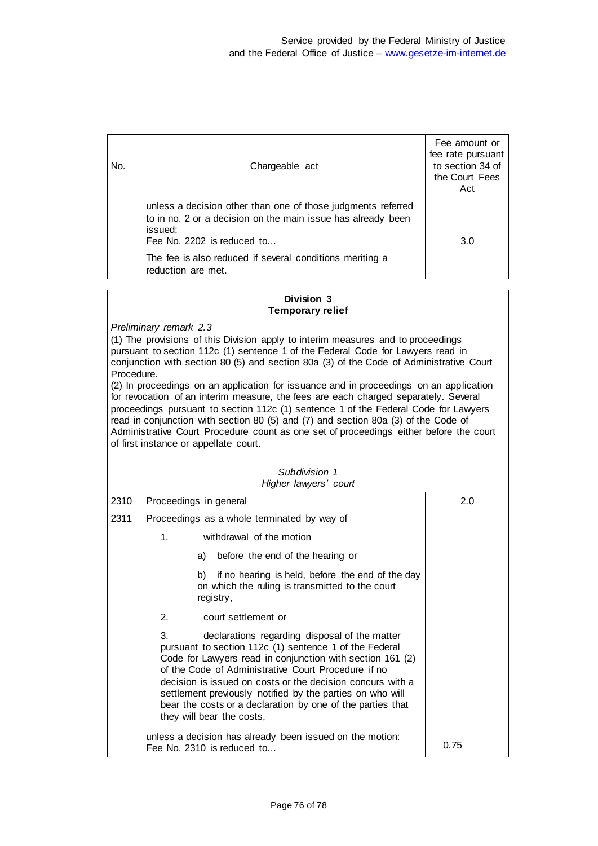| No.  | Chargeable act                                                                                                                                                                                                                                                                                                                                                                                                                                                                                                                                                                                                                                                                                                                                                                                          | Fee amount or<br>fee rate pursuant<br>to section 34 of<br>the Court Fees<br>Act |  |
|------|---------------------------------------------------------------------------------------------------------------------------------------------------------------------------------------------------------------------------------------------------------------------------------------------------------------------------------------------------------------------------------------------------------------------------------------------------------------------------------------------------------------------------------------------------------------------------------------------------------------------------------------------------------------------------------------------------------------------------------------------------------------------------------------------------------|---------------------------------------------------------------------------------|--|
|      | unless a decision other than one of those judgments referred                                                                                                                                                                                                                                                                                                                                                                                                                                                                                                                                                                                                                                                                                                                                            |                                                                                 |  |
|      | to in no. 2 or a decision on the main issue has already been<br>issued:<br>Fee No. 2202 is reduced to                                                                                                                                                                                                                                                                                                                                                                                                                                                                                                                                                                                                                                                                                                   | 3.0                                                                             |  |
|      | The fee is also reduced if several conditions meriting a<br>reduction are met.                                                                                                                                                                                                                                                                                                                                                                                                                                                                                                                                                                                                                                                                                                                          |                                                                                 |  |
|      | Division 3<br><b>Temporary relief</b>                                                                                                                                                                                                                                                                                                                                                                                                                                                                                                                                                                                                                                                                                                                                                                   |                                                                                 |  |
|      | Preliminary remark 2.3<br>(1) The provisions of this Division apply to interim measures and to proceedings<br>pursuant to section 112c (1) sentence 1 of the Federal Code for Lawyers read in<br>conjunction with section 80 (5) and section 80a (3) of the Code of Administrative Court<br>Procedure.<br>(2) In proceedings on an application for issuance and in proceedings on an application<br>for revocation of an interim measure, the fees are each charged separately. Several<br>proceedings pursuant to section 112c (1) sentence 1 of the Federal Code for Lawyers<br>read in conjunction with section 80 (5) and (7) and section 80a (3) of the Code of<br>Administrative Court Procedure count as one set of proceedings either before the court<br>of first instance or appellate court. |                                                                                 |  |
|      | Subdivision 1<br>Higher lawyers' court                                                                                                                                                                                                                                                                                                                                                                                                                                                                                                                                                                                                                                                                                                                                                                  |                                                                                 |  |
| 2310 | Proceedings in general                                                                                                                                                                                                                                                                                                                                                                                                                                                                                                                                                                                                                                                                                                                                                                                  | 2.0                                                                             |  |
| 2311 | Proceedings as a whole terminated by way of                                                                                                                                                                                                                                                                                                                                                                                                                                                                                                                                                                                                                                                                                                                                                             |                                                                                 |  |
|      | withdrawal of the motion<br>1.                                                                                                                                                                                                                                                                                                                                                                                                                                                                                                                                                                                                                                                                                                                                                                          |                                                                                 |  |
|      | before the end of the hearing or<br>a)                                                                                                                                                                                                                                                                                                                                                                                                                                                                                                                                                                                                                                                                                                                                                                  |                                                                                 |  |
|      | if no hearing is held, before the end of the day<br>b)<br>on which the ruling is transmitted to the court<br>registry,                                                                                                                                                                                                                                                                                                                                                                                                                                                                                                                                                                                                                                                                                  |                                                                                 |  |
|      | 2.<br>court settlement or                                                                                                                                                                                                                                                                                                                                                                                                                                                                                                                                                                                                                                                                                                                                                                               |                                                                                 |  |
|      | 3.<br>declarations regarding disposal of the matter<br>pursuant to section 112c (1) sentence 1 of the Federal<br>Code for Lawyers read in conjunction with section 161 (2)<br>of the Code of Administrative Court Procedure if no<br>decision is issued on costs or the decision concurs with a<br>settlement previously notified by the parties on who will<br>bear the costs or a declaration by one of the parties that<br>they will bear the costs,                                                                                                                                                                                                                                                                                                                                                 |                                                                                 |  |
|      | 0.75                                                                                                                                                                                                                                                                                                                                                                                                                                                                                                                                                                                                                                                                                                                                                                                                    |                                                                                 |  |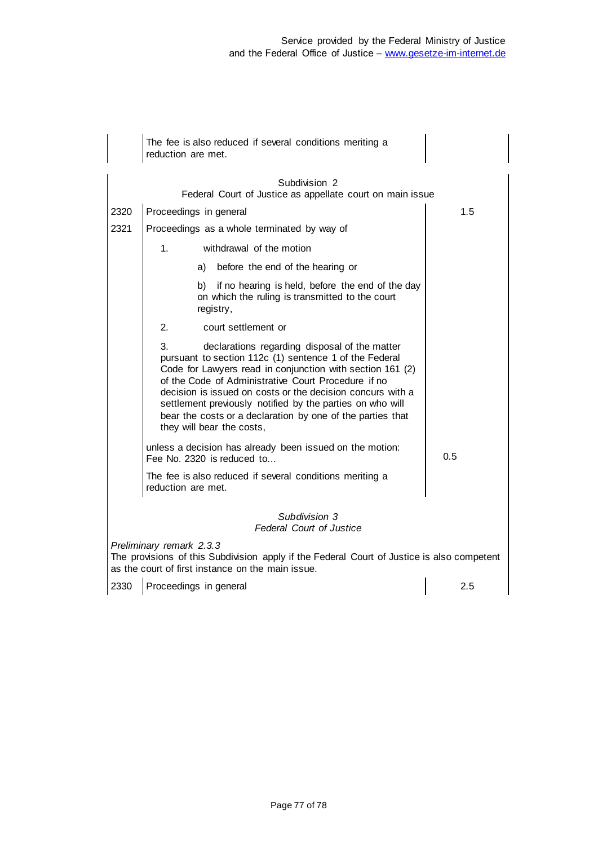|                                                                                                                                                                             | The fee is also reduced if several conditions meriting a<br>reduction are met.                                                                                                                                                                                                                                                                                                                                                                          |     |  |
|-----------------------------------------------------------------------------------------------------------------------------------------------------------------------------|---------------------------------------------------------------------------------------------------------------------------------------------------------------------------------------------------------------------------------------------------------------------------------------------------------------------------------------------------------------------------------------------------------------------------------------------------------|-----|--|
|                                                                                                                                                                             | Subdivision 2<br>Federal Court of Justice as appellate court on main issue                                                                                                                                                                                                                                                                                                                                                                              |     |  |
| 2320                                                                                                                                                                        | Proceedings in general                                                                                                                                                                                                                                                                                                                                                                                                                                  | 1.5 |  |
| 2321                                                                                                                                                                        | Proceedings as a whole terminated by way of                                                                                                                                                                                                                                                                                                                                                                                                             |     |  |
|                                                                                                                                                                             | 1.<br>withdrawal of the motion                                                                                                                                                                                                                                                                                                                                                                                                                          |     |  |
|                                                                                                                                                                             | before the end of the hearing or<br>a)                                                                                                                                                                                                                                                                                                                                                                                                                  |     |  |
|                                                                                                                                                                             | b)<br>if no hearing is held, before the end of the day<br>on which the ruling is transmitted to the court<br>registry,                                                                                                                                                                                                                                                                                                                                  |     |  |
|                                                                                                                                                                             | 2.<br>court settlement or                                                                                                                                                                                                                                                                                                                                                                                                                               |     |  |
|                                                                                                                                                                             | 3.<br>declarations regarding disposal of the matter<br>pursuant to section 112c (1) sentence 1 of the Federal<br>Code for Lawyers read in conjunction with section 161 (2)<br>of the Code of Administrative Court Procedure if no<br>decision is issued on costs or the decision concurs with a<br>settlement previously notified by the parties on who will<br>bear the costs or a declaration by one of the parties that<br>they will bear the costs, |     |  |
|                                                                                                                                                                             | unless a decision has already been issued on the motion:<br>Fee No. 2320 is reduced to                                                                                                                                                                                                                                                                                                                                                                  |     |  |
|                                                                                                                                                                             | The fee is also reduced if several conditions meriting a<br>reduction are met.                                                                                                                                                                                                                                                                                                                                                                          |     |  |
|                                                                                                                                                                             | Subdivision 3<br><b>Federal Court of Justice</b>                                                                                                                                                                                                                                                                                                                                                                                                        |     |  |
| Preliminary remark 2.3.3<br>The provisions of this Subdivision apply if the Federal Court of Justice is also competent<br>as the court of first instance on the main issue. |                                                                                                                                                                                                                                                                                                                                                                                                                                                         |     |  |
| 2330                                                                                                                                                                        | Proceedings in general                                                                                                                                                                                                                                                                                                                                                                                                                                  | 2.5 |  |